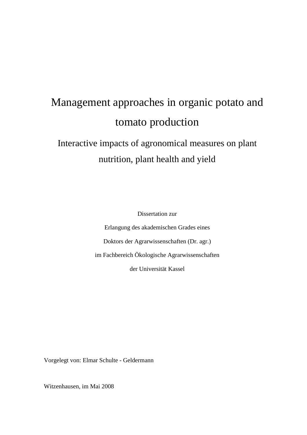# Management approaches in organic potato and tomato production

## Interactive impacts of agronomical measures on plant nutrition, plant health and yield

Dissertation zur

Erlangung des akademischen Grades eines Doktors der Agrarwissenschaften (Dr. agr.) im Fachbereich Ökologische Agrarwissenschaften der Universität Kassel

Vorgelegt von: Elmar Schulte - Geldermann

Witzenhausen, im Mai 2008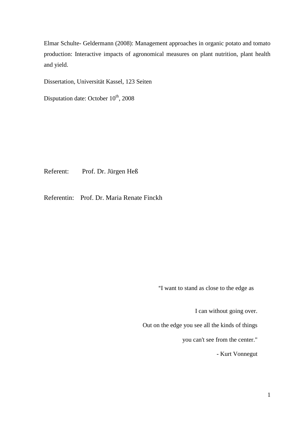Elmar Schulte- Geldermann (2008): Management approaches in organic potato and tomato production: Interactive impacts of agronomical measures on plant nutrition, plant health and yield.

Dissertation, Universität Kassel, 123 Seiten

Disputation date: October  $10^{th}$ , 2008

Referent: Prof. Dr. Jürgen Heß

Referentin: Prof. Dr. Maria Renate Finckh

"I want to stand as close to the edge as

I can without going over.

Out on the edge you see all the kinds of things

you can't see from the center."

- Kurt Vonnegut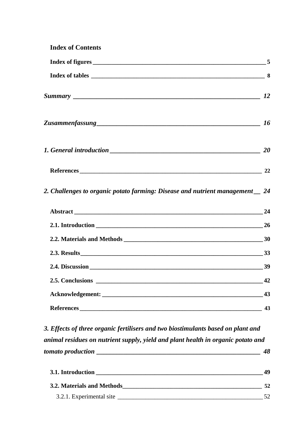| <b>Index of Contents</b>                                                      |    |
|-------------------------------------------------------------------------------|----|
|                                                                               |    |
|                                                                               |    |
|                                                                               |    |
|                                                                               |    |
|                                                                               |    |
|                                                                               |    |
| 2. Challenges to organic potato farming: Disease and nutrient management _ 24 |    |
|                                                                               |    |
|                                                                               |    |
|                                                                               |    |
|                                                                               |    |
|                                                                               |    |
|                                                                               | 42 |
|                                                                               | 43 |
| References                                                                    | 43 |
|                                                                               |    |

*3. Effects of three organic fertilisers and two biostimulants based on plant and animal residues on nutrient supply, yield and plant health in organic potato and tomato production \_\_\_\_\_\_\_\_\_\_\_\_\_\_\_\_\_\_\_\_\_\_\_\_\_\_\_\_\_\_\_\_\_\_\_\_\_\_\_\_\_\_\_\_\_\_\_\_\_ 48*

| 3.1. Introduction          |  |  |  |  |
|----------------------------|--|--|--|--|
| 3.2. Materials and Methods |  |  |  |  |
| 3.2.1. Experimental site   |  |  |  |  |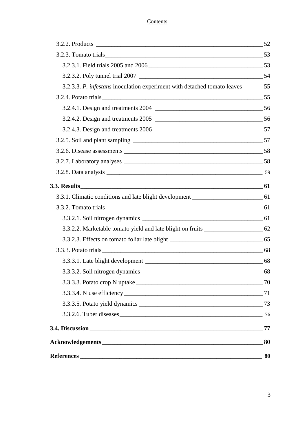#### **Contents**

| 3.2.3. Tomato trials 53                                                              |    |
|--------------------------------------------------------------------------------------|----|
|                                                                                      |    |
|                                                                                      |    |
| 3.2.3.3. P. infestans inoculation experiment with detached tomato leaves _______ 55  |    |
|                                                                                      |    |
|                                                                                      |    |
|                                                                                      |    |
|                                                                                      |    |
|                                                                                      |    |
|                                                                                      |    |
|                                                                                      |    |
|                                                                                      |    |
|                                                                                      |    |
| 3.3.1. Climatic conditions and late blight development __________________________ 61 |    |
|                                                                                      |    |
|                                                                                      |    |
| 3.3.2.2. Marketable tomato yield and late blight on fruits ______________________ 62 |    |
|                                                                                      |    |
|                                                                                      |    |
|                                                                                      |    |
|                                                                                      |    |
|                                                                                      |    |
|                                                                                      |    |
|                                                                                      |    |
|                                                                                      |    |
|                                                                                      | 77 |
|                                                                                      | 80 |
|                                                                                      | 80 |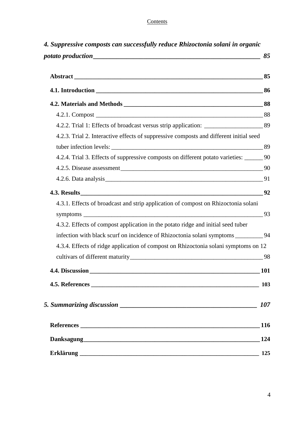#### **Contents**

| 4.2.3. Trial 2. Interactive effects of suppressive composts and different initial seed     |            |
|--------------------------------------------------------------------------------------------|------------|
|                                                                                            |            |
| 4.2.4. Trial 3. Effects of suppressive composts on different potato varieties: ________ 90 |            |
|                                                                                            |            |
|                                                                                            |            |
|                                                                                            |            |
| 4.3.1. Effects of broadcast and strip application of compost on Rhizoctonia solani         |            |
|                                                                                            |            |
| 4.3.2. Effects of compost application in the potato ridge and initial seed tuber           |            |
| infection with black scurf on incidence of Rhizoctonia solani symptoms ___________94       |            |
| 4.3.4. Effects of ridge application of compost on Rhizoctonia solani symptoms on 12        |            |
|                                                                                            | - 98       |
| 4.4. Discussion                                                                            | <b>101</b> |
|                                                                                            | <b>103</b> |
|                                                                                            | 107        |
|                                                                                            |            |
|                                                                                            | 124        |
|                                                                                            | 125        |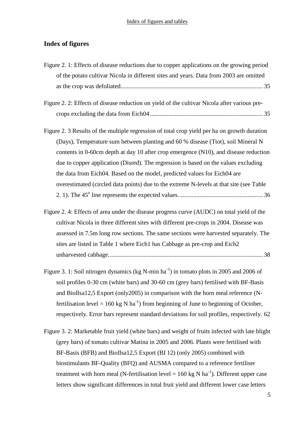#### Index of figures and tables

#### **Index of figures**

| Figure 2.1: Effects of disease reductions due to copper applications on the growing period   |
|----------------------------------------------------------------------------------------------|
| of the potato cultivar Nicola in different sites and years. Data from 2003 are omitted       |
|                                                                                              |
| Figure 2. 2: Effects of disease reduction on yield of the cultivar Nicola after various pre- |
|                                                                                              |
| Figure 2. 3 Results of the multiple regression of total crop yield per ha on growth duration |
| (Days), Temperature sum between planting and 60 % disease (Ttot), soil Mineral N             |
| contents in 0-60cm depth at day 10 after crop emergence (N10), and disease reduction         |
| due to copper application (Disred). The regression is based on the values excluding          |
| the data from Eich04. Based on the model, predicted values for Eich04 are                    |
| overestimated (circled data points) due to the extreme N-levels at that site (see Table      |
|                                                                                              |
| Figure 2. 4: Effects of area under the disease progress curve (AUDC) on total yield of the   |
| cultivar Nicola in three different sites with different pre-crops in 2004. Disease was       |
| assessed in 7.5m long row sections. The same sections were harvested separately. The         |
| sites are listed in Table 1 where Eich1 has Cabbage as pre-crop and Eich2                    |
|                                                                                              |

- Figure 3. 1: Soil nitrogen dynamics (kg N-min  $ha^{-1}$ ) in tomato plots in 2005 and 2006 of soil profiles 0-30 cm (white bars) and 30-60 cm (grey bars) fertilised with BF-Basis and BioIlsa12,5 Export (only2005) in comparison with the horn meal reference (Nfertilisation level = 160 kg N ha<sup>-1</sup>) from beginning of June to beginning of October, respectively. Error bars represent standard deviations for soil profiles, respectively. 62
- Figure 3. 2: Marketable fruit yield (white bars) and weight of fruits infected with late blight (grey bars) of tomato cultivar Matina in 2005 and 2006. Plants were fertilised with BF-Basis (BFB) and BioIlsa12,5 Export (BI 12) (only 2005) combined with biostimulants BF-Quality (BFQ) and AUSMA compared to a reference fertiliser treatment with horn meal (N-fertilisation level =  $160 \text{ kg N}$  ha<sup>-1</sup>). Different upper case letters show significant differences in total fruit yield and different lower case letters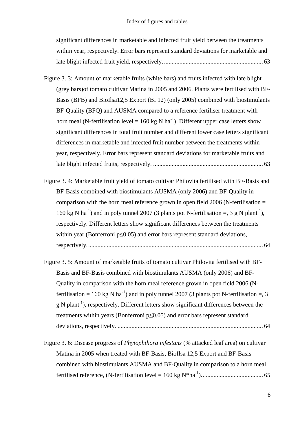#### Index of figures and tables

significant differences in marketable and infected fruit yield between the treatments within year, respectively. Error bars represent standard deviations for marketable and late blight infected fruit yield, respectively................................................................. 63

- Figure 3. 3: Amount of marketable fruits (white bars) and fruits infected with late blight (grey bars)of tomato cultivar Matina in 2005 and 2006. Plants were fertilised with BF-Basis (BFB) and BioIlsa12,5 Export (BI 12) (only 2005) combined with biostimulants BF-Quality (BFQ) and AUSMA compared to a reference fertiliser treatment with horn meal (N-fertilisation level = 160 kg N ha<sup>-1</sup>). Different upper case letters show significant differences in total fruit number and different lower case letters significant differences in marketable and infected fruit number between the treatments within year, respectively. Error bars represent standard deviations for marketable fruits and late blight infected fruits, respectively. ....................................................................... 63
- Figure 3. 4: Marketable fruit yield of tomato cultivar Philovita fertilised with BF-Basis and BF-Basis combined with biostimulants AUSMA (only 2006) and BF-Quality in comparison with the horn meal reference grown in open field  $2006$  (N-fertilisation  $=$ 160 kg N ha<sup>-1</sup>) and in poly tunnel 2007 (3 plants pot N-fertilisation =, 3 g N plant<sup>-1</sup>), respectively. Different letters show significant differences between the treatments within year (Bonferroni  $p \leq 0.05$ ) and error bars represent standard deviations, respectively.................................................................................................................. 64
- Figure 3. 5: Amount of marketable fruits of tomato cultivar Philovita fertilised with BF-Basis and BF-Basis combined with biostimulants AUSMA (only 2006) and BF-Quality in comparison with the horn meal reference grown in open field 2006 (Nfertilisation = 160 kg N ha<sup>-1</sup>) and in poly tunnel 2007 (3 plants pot N-fertilisation =, 3  $g N$  plant<sup>-1</sup>), respectively. Different letters show significant differences between the treatments within years (Bonferroni p≤0.05) and error bars represent standard deviations, respectively. .............................................................................................. 64
- Figure 3. 6: Disease progress of *Phytophthora infestans* (% attacked leaf area) on cultivar Matina in 2005 when treated with BF-Basis, BioIlsa 12,5 Export and BF-Basis combined with biostimulants AUSMA and BF-Quality in comparison to a horn meal fertilised reference, (N-fertilisation level = 160 kg N\*ha-1)........................................ 65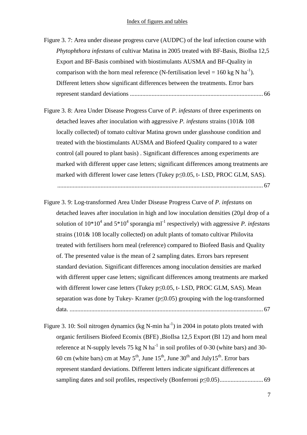- Figure 3. 7: Area under disease progress curve (AUDPC) of the leaf infection course with *Phytophthora infestans* of cultivar Matina in 2005 treated with BF-Basis, BioIlsa 12,5 Export and BF-Basis combined with biostimulants AUSMA and BF-Quality in comparison with the horn meal reference (N-fertilisation level =  $160 \text{ kg N} \text{ ha}^{-1}$ ). Different letters show significant differences between the treatments. Error bars represent standard deviations ...................................................................................... 66
- Figure 3. 8: Area Under Disease Progress Curve of *P. infestans* of three experiments on detached leaves after inoculation with aggressive *P. infestans* strains (101& 108 locally collected) of tomato cultivar Matina grown under glasshouse condition and treated with the biostimulants AUSMA and Biofeed Quality compared to a water control (all poured to plant basis) . Significant differences among experiments are marked with different upper case letters; significant differences among treatments are marked with different lower case letters (Tukey  $p \le 0.05$ , t- LSD, PROC GLM, SAS).

..................................................................................................................................... 67

- Figure 3. 9: Log-transformed Area Under Disease Progress Curve of *P. infestans* on detached leaves after inoculation in high and low inoculation densities (20µl drop of a solution of 10\*10<sup>4</sup> and 5\*10<sup>4</sup> sporangia ml<sup>-1</sup> respectively) with aggressive *P. infestans* strains (101& 108 locally collected) on adult plants of tomato cultivar Philovita treated with fertilisers horn meal (reference) compared to Biofeed Basis and Quality of. The presented value is the mean of 2 sampling dates. Errors bars represent standard deviation. Significant differences among inoculation densities are marked with different upper case letters; significant differences among treatments are marked with different lower case letters (Tukey  $p \le 0.05$ , t- LSD, PROC GLM, SAS). Mean separation was done by Tukey- Kramer ( $p \le 0.05$ ) grouping with the log-transformed data. ............................................................................................................................. 67
- Figure 3. 10: Soil nitrogen dynamics (kg N-min  $ha^{-1}$ ) in 2004 in potato plots treated with organic fertilisers Biofeed Ecomix (BFE) ,BioIlsa 12,5 Export (BI 12) and horn meal reference at N-supply levels 75 kg N ha<sup>-1</sup> in soil profiles of 0-30 (white bars) and 30-60 cm (white bars) cm at May  $5<sup>th</sup>$ , June  $15<sup>th</sup>$ , June  $30<sup>th</sup>$  and July $15<sup>th</sup>$ . Error bars represent standard deviations. Different letters indicate significant differences at sampling dates and soil profiles, respectively (Bonferroni p≤0.05)............................ 69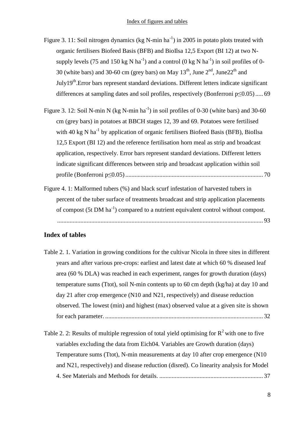Figure 3. 11: Soil nitrogen dynamics (kg N-min  $ha^{-1}$ ) in 2005 in potato plots treated with organic fertilisers Biofeed Basis (BFB) and BioIlsa 12,5 Export (BI 12) at two Nsupply levels (75 and 150 kg N ha<sup>-1</sup>) and a control (0 kg N ha<sup>-1</sup>) in soil profiles of 0-30 (white bars) and 30-60 cm (grey bars) on May  $13<sup>th</sup>$ , June  $2<sup>nd</sup>$ , June  $2<sup>th</sup>$  and  $July19<sup>th</sup> . Error bars represent standard deviations. Different letters indicate significant$ differences at sampling dates and soil profiles, respectively (Bonferroni p≤0.05) ..... 69

Figure 3. 12: Soil N-min N (kg N-min  $ha^{-1}$ ) in soil profiles of 0-30 (white bars) and 30-60 cm (grey bars) in potatoes at BBCH stages 12, 39 and 69. Potatoes were fertilised with 40 kg N ha<sup>-1</sup> by application of organic fertilisers Biofeed Basis (BFB), BioIlsa 12,5 Export (BI 12) and the reference fertilisation horn meal as strip and broadcast application, respectively. Error bars represent standard deviations. Different letters indicate significant differences between strip and broadcast application within soil profile (Bonferroni p≤0.05) ......................................................................................... 70

Figure 4. 1: Malformed tubers (%) and black scurf infestation of harvested tubers in percent of the tuber surface of treatments broadcast and strip application placements of compost (5t DM ha-1) compared to a nutrient equivalent control without compost. ..................................................................................................................................... 93

#### **Index of tables**

Table 2. 1. Variation in growing conditions for the cultivar Nicola in three sites in different years and after various pre-crops: earliest and latest date at which 60 % diseased leaf area (60 % DLA) was reached in each experiment, ranges for growth duration (days) temperature sums (Ttot), soil N-min contents up to 60 cm depth (kg/ha) at day 10 and day 21 after crop emergence (N10 and N21, respectively) and disease reduction observed. The lowest (min) and highest (max) observed value at a given site is shown for each parameter. ...................................................................................................... 32

Table 2. 2: Results of multiple regression of total yield optimising for  $R^2$  with one to five variables excluding the data from Eich04. Variables are Growth duration (days) Temperature sums (Ttot), N-min measurements at day 10 after crop emergence (N10 and N21, respectively) and disease reduction (disred). Co linearity analysis for Model 4. See Materials and Methods for details. ................................................................... 37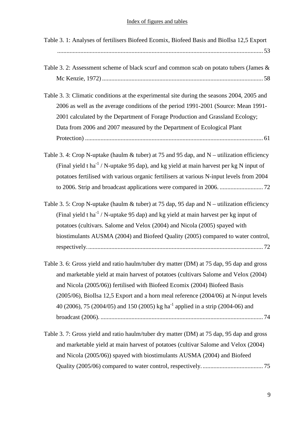| Table 3. 1: Analyses of fertilisers Biofeed Ecomix, Biofeed Basis and BioIlsa 12,5 Export                                                                                                                                                                                                                                                                                                                                                            |
|------------------------------------------------------------------------------------------------------------------------------------------------------------------------------------------------------------------------------------------------------------------------------------------------------------------------------------------------------------------------------------------------------------------------------------------------------|
| Table 3. 2: Assessment scheme of black scurf and common scab on potato tubers (James &                                                                                                                                                                                                                                                                                                                                                               |
| Table 3. 3: Climatic conditions at the experimental site during the seasons 2004, 2005 and<br>2006 as well as the average conditions of the period 1991-2001 (Source: Mean 1991-<br>2001 calculated by the Department of Forage Production and Grassland Ecology;<br>Data from 2006 and 2007 measured by the Department of Ecological Plant                                                                                                          |
| Table 3. 4: Crop N-uptake (haulm $&$ tuber) at 75 and 95 dap, and N – utilization efficiency<br>(Final yield t ha <sup>-1</sup> / N-uptake 95 dap), and kg yield at main harvest per kg N input of<br>potatoes fertilised with various organic fertilisers at various N-input levels from 2004                                                                                                                                                       |
| Table 3. 5: Crop N-uptake (haulm & tuber) at 75 dap, 95 dap and N – utilization efficiency<br>(Final yield t ha <sup>-1</sup> / N-uptake 95 dap) and kg yield at main harvest per kg input of<br>potatoes (cultivars. Salome and Velox (2004) and Nicola (2005) spayed with<br>biostimulants AUSMA (2004) and Biofeed Quality (2005) compared to water control,                                                                                      |
| Table 3. 6: Gross yield and ratio haulm/tuber dry matter (DM) at 75 dap, 95 dap and gross<br>and marketable yield at main harvest of potatoes (cultivars Salome and Velox (2004)<br>and Nicola (2005/06)) fertilised with Biofeed Ecomix (2004) Biofeed Basis<br>(2005/06), BioIlsa 12,5 Export and a horn meal reference (2004/06) at N-input levels<br>40 (2006), 75 (2004/05) and 150 (2005) kg ha <sup>-1</sup> applied in a strip (2004-06) and |
| Table 3. 7: Gross yield and ratio haulm/tuber dry matter (DM) at 75 dap, 95 dap and gross<br>and marketable yield at main harvest of potatoes (cultivar Salome and Velox (2004)<br>and Nicola (2005/06)) spayed with biostimulants AUSMA (2004) and Biofeed                                                                                                                                                                                          |

Quality (2005/06) compared to water control, respectively........................................ 75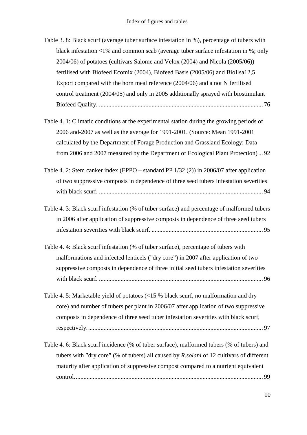| Table 3. 8: Black scurf (average tuber surface infestation in %), percentage of tubers with |
|---------------------------------------------------------------------------------------------|
| black infestation $\leq$ 1% and common scab (average tuber surface infestation in %; only   |
| 2004/06) of potatoes (cultivars Salome and Velox (2004) and Nicola (2005/06))               |
| fertilised with Biofeed Ecomix (2004), Biofeed Basis (2005/06) and BioIlsa12,5              |
| Export compared with the horn meal reference (2004/06) and a not N fertilised               |
| control treatment (2004/05) and only in 2005 additionally sprayed with biostimulant         |
|                                                                                             |
|                                                                                             |
| Table 4. 1: Climatic conditions at the experimental station during the growing periods of   |
| 2006 and-2007 as well as the average for 1991-2001. (Source: Mean 1991-2001                 |
| calculated by the Department of Forage Production and Grassland Ecology; Data               |
| from 2006 and 2007 measured by the Department of Ecological Plant Protection) 92            |
| Table 4. 2: Stem canker index (EPPO – standard PP $1/32$ (2)) in 2006/07 after application  |
| of two suppressive composts in dependence of three seed tubers infestation severities       |
|                                                                                             |
|                                                                                             |
| Table 4. 3: Black scurf infestation (% of tuber surface) and percentage of malformed tubers |
| in 2006 after application of suppressive composts in dependence of three seed tubers        |
|                                                                                             |
|                                                                                             |
| Table 4.4: Black scurf infestation (% of tuber surface), percentage of tubers with          |
| malformations and infected lenticels ("dry core") in 2007 after application of two          |
| suppressive composts in dependence of three initial seed tubers infestation severities      |
|                                                                                             |
| Table 4. 5: Marketable yield of potatoes (<15 % black scurf, no malformation and dry        |
| core) and number of tubers per plant in 2006/07 after application of two suppressive        |
| composts in dependence of three seed tuber infestation severities with black scurf,         |
|                                                                                             |
|                                                                                             |
| Table 4. 6: Black scurf incidence (% of tuber surface), malformed tubers (% of tubers) and  |
| tubers with "dry core" (% of tubers) all caused by R.solani of 12 cultivars of different    |
| maturity after application of suppressive compost compared to a nutrient equivalent         |
|                                                                                             |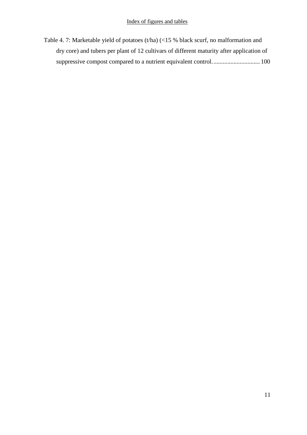Table 4. 7: Marketable yield of potatoes (t/ha) (<15 % black scurf, no malformation and dry core) and tubers per plant of 12 cultivars of different maturity after application of suppressive compost compared to a nutrient equivalent control............................... 100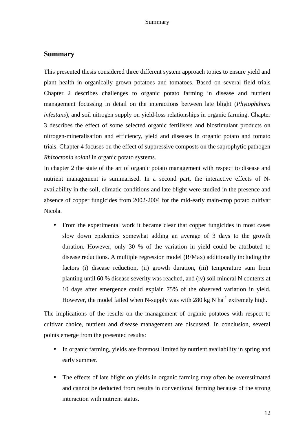#### **Summary**

This presented thesis considered three different system approach topics to ensure yield and plant health in organically grown potatoes and tomatoes. Based on several field trials Chapter 2 describes challenges to organic potato farming in disease and nutrient management focussing in detail on the interactions between late blight (*Phytophthora infestans*), and soil nitrogen supply on yield-loss relationships in organic farming. Chapter 3 describes the effect of some selected organic fertilisers and biostimulant products on nitrogen-mineralisation and efficiency, yield and diseases in organic potato and tomato trials. Chapter 4 focuses on the effect of suppressive composts on the saprophytic pathogen *Rhizoctonia solani* in organic potato systems.

In chapter 2 the state of the art of organic potato management with respect to disease and nutrient management is summarised. In a second part, the interactive effects of Navailability in the soil, climatic conditions and late blight were studied in the presence and absence of copper fungicides from 2002-2004 for the mid-early main-crop potato cultivar Nicola.

• From the experimental work it became clear that copper fungicides in most cases slow down epidemics somewhat adding an average of 3 days to the growth duration. However, only 30 % of the variation in yield could be attributed to disease reductions. A multiple regression model (R²Max) additionally including the factors (i) disease reduction, (ii) growth duration, (iii) temperature sum from planting until 60 % disease severity was reached, and (iv) soil mineral N contents at 10 days after emergence could explain 75% of the observed variation in yield. However, the model failed when N-supply was with 280 kg N ha<sup>-1</sup> extremely high.

The implications of the results on the management of organic potatoes with respect to cultivar choice, nutrient and disease management are discussed. In conclusion, several points emerge from the presented results:

- In organic farming, yields are foremost limited by nutrient availability in spring and early summer.
- The effects of late blight on yields in organic farming may often be overestimated and cannot be deducted from results in conventional farming because of the strong interaction with nutrient status.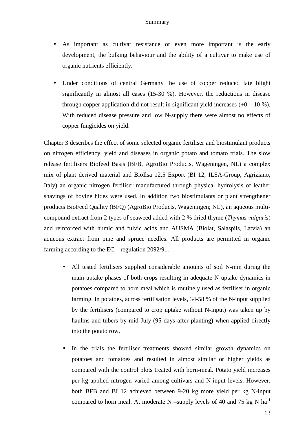- As important as cultivar resistance or even more important is the early development, the bulking behaviour and the ability of a cultivar to make use of organic nutrients efficiently.
- Under conditions of central Germany the use of copper reduced late blight significantly in almost all cases (15-30 %). However, the reductions in disease through copper application did not result in significant yield increases  $(+0 - 10 \%)$ . With reduced disease pressure and low N-supply there were almost no effects of copper fungicides on yield.

Chapter 3 describes the effect of some selected organic fertiliser and biostimulant products on nitrogen efficiency, yield and diseases in organic potato and tomato trials. The slow release fertilisers Biofeed Basis (BFB, AgroBio Products, Wageningen, NL) a complex mix of plant derived material and BioIlsa 12,5 Export (BI 12, ILSA-Group, Agriziano, Italy) an organic nitrogen fertiliser manufactured through physical hydrolysis of leather shavings of bovine hides were used. In addition two biostimulants or plant strengthener products BioFeed Quality (BFQ) (AgroBio Products, Wageningen; NL), an aqueous multicompound extract from 2 types of seaweed added with 2 % dried thyme (*Thymus vulgaris*) and reinforced with humic and fulvic acids and AUSMA (Biolat, Salaspils, Latvia) an aqueous extract from pine and spruce needles. All products are permitted in organic farming according to the EC – regulation 2092/91.

- All tested fertilisers supplied considerable amounts of soil N-min during the main uptake phases of both crops resulting in adequate N uptake dynamics in potatoes compared to horn meal which is routinely used as fertiliser in organic farming. In potatoes, across fertilisation levels, 34-58 % of the N-input supplied by the fertilisers (compared to crop uptake without N-input) was taken up by haulms and tubers by mid July (95 days after planting) when applied directly into the potato row.
- In the trials the fertiliser treatments showed similar growth dynamics on potatoes and tomatoes and resulted in almost similar or higher yields as compared with the control plots treated with horn-meal. Potato yield increases per kg applied nitrogen varied among cultivars and N-input levels. However, both BFB and BI 12 achieved between 9-20 kg more yield per kg N-input compared to horn meal. At moderate N –supply levels of 40 and 75 kg N  $ha^{-1}$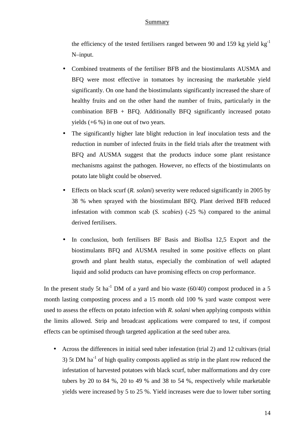the efficiency of the tested fertilisers ranged between 90 and 159 kg yield  $kg^{-1}$ N–input.

- Combined treatments of the fertiliser BFB and the biostimulants AUSMA and BFQ were most effective in tomatoes by increasing the marketable yield significantly. On one hand the biostimulants significantly increased the share of healthy fruits and on the other hand the number of fruits, particularly in the combination  $BFB + BFO$ . Additionally  $BFO$  significantly increased potato yields (+6 %) in one out of two years.
- The significantly higher late blight reduction in leaf inoculation tests and the reduction in number of infected fruits in the field trials after the treatment with BFQ and AUSMA suggest that the products induce some plant resistance mechanisms against the pathogen. However, no effects of the biostimulants on potato late blight could be observed.
- Effects on black scurf (*R. solani*) severity were reduced significantly in 2005 by 38 % when sprayed with the biostimulant BFQ. Plant derived BFB reduced infestation with common scab (*S. scabies*) (-25 %) compared to the animal derived fertilisers.
- In conclusion, both fertilisers BF Basis and BioIlsa 12,5 Export and the biostimulants BFQ and AUSMA resulted in some positive effects on plant growth and plant health status, especially the combination of well adapted liquid and solid products can have promising effects on crop performance.

In the present study 5t ha<sup>-1</sup> DM of a yard and bio waste (60/40) compost produced in a 5 month lasting composting process and a 15 month old 100 % yard waste compost were used to assess the effects on potato infection with *R. solani* when applying composts within the limits allowed*.* Strip and broadcast applications were compared to test, if compost effects can be optimised through targeted application at the seed tuber area.

• Across the differences in initial seed tuber infestation (trial 2) and 12 cultivars (trial 3) 5t DM ha<sup>-1</sup> of high quality composts applied as strip in the plant row reduced the infestation of harvested potatoes with black scurf, tuber malformations and dry core tubers by 20 to 84 %, 20 to 49 % and 38 to 54 %, respectively while marketable yields were increased by 5 to 25 %. Yield increases were due to lower tuber sorting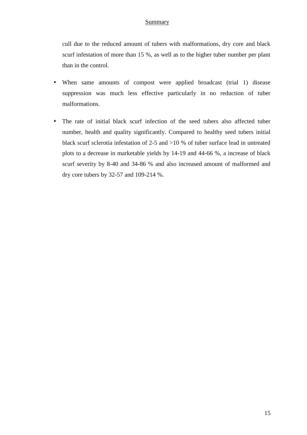cull due to the reduced amount of tubers with malformations, dry core and black scurf infestation of more than 15 %, as well as to the higher tuber number per plant than in the control.

- When same amounts of compost were applied broadcast (trial 1) disease suppression was much less effective particularly in no reduction of tuber malformations.
- The rate of initial black scurf infection of the seed tubers also affected tuber number, health and quality significantly. Compared to healthy seed tubers initial black scurf sclerotia infestation of 2-5 and >10 % of tuber surface lead in untreated plots to a decrease in marketable yields by 14-19 and 44-66 %, a increase of black scurf severity by 8-40 and 34-86 % and also increased amount of malformed and dry core tubers by 32-57 and 109-214 %.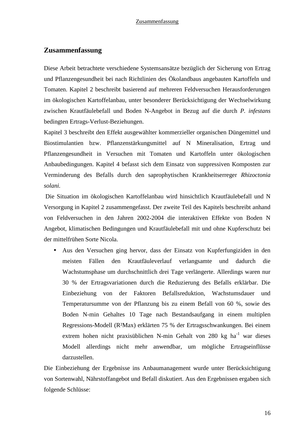#### **Zusammenfassung**

Diese Arbeit betrachtete verschiedene Systemsansätze bezüglich der Sicherung von Ertrag und Pflanzengesundheit bei nach Richtlinien des Ökolandbaus angebauten Kartoffeln und Tomaten. Kapitel 2 beschreibt basierend auf mehreren Feldversuchen Herausforderungen im ökologischen Kartoffelanbau, unter besonderer Berücksichtigung der Wechselwirkung zwischen Krautfäulebefall und Boden N-Angebot in Bezug auf die durch *P. infestans* bedingten Ertrags-Verlust-Beziehungen.

Kapitel 3 beschreibt den Effekt ausgewählter kommerzieller organischen Düngemittel und Biostimulantien bzw. Pflanzenstärkungsmittel auf N Mineralisation, Ertrag und Pflanzengesundheit in Versuchen mit Tomaten und Kartoffeln unter ökologischen Anbaubedingungen. Kapitel 4 befasst sich dem Einsatz von suppressiven Komposten zur Verminderung des Befalls durch den saprophytischen Krankheitserreger *Rhizoctonia solani.* 

 Die Situation im ökologischen Kartoffelanbau wird hinsichtlich Krautfäulebefall und N Versorgung in Kapitel 2 zusammengefasst. Der zweite Teil des Kapitels beschreibt anhand von Feldversuchen in den Jahren 2002-2004 die interaktiven Effekte von Boden N Angebot, klimatischen Bedingungen und Krautfäulebefall mit und ohne Kupferschutz bei der mittelfrühen Sorte Nicola.

• Aus den Versuchen ging hervor, dass der Einsatz von Kupferfungiziden in den meisten Fällen den Krautfäuleverlauf verlangsamte und dadurch die Wachstumsphase um durchschnittlich drei Tage verlängerte. Allerdings waren nur 30 % der Ertragsvariationen durch die Reduzierung des Befalls erklärbar. Die Einbeziehung von der Faktoren Befallsreduktion, Wachstumsdauer und Temperatursumme von der Pflanzung bis zu einem Befall von 60 %, sowie des Boden N-min Gehaltes 10 Tage nach Bestandsaufgang in einem multiplen Regressions-Modell (R²Max) erklärten 75 % der Ertragsschwankungen. Bei einem extrem hohen nicht praxisüblichen N-min Gehalt von 280 kg ha<sup>-1</sup> war dieses Modell allerdings nicht mehr anwendbar, um mögliche Ertragseinflüsse darzustellen.

Die Einbeziehung der Ergebnisse ins Anbaumanagement wurde unter Berücksichtigung von Sortenwahl, Nährstoffangebot und Befall diskutiert. Aus den Ergebnissen ergaben sich folgende Schlüsse: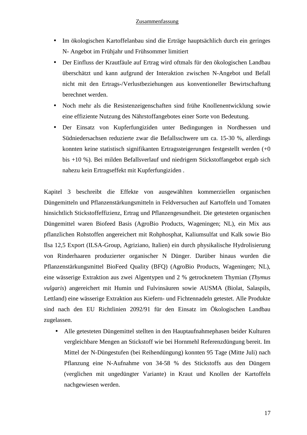- Im ökologischen Kartoffelanbau sind die Erträge hauptsächlich durch ein geringes N- Angebot im Frühjahr und Frühsommer limitiert
- Der Einfluss der Krautfäule auf Ertrag wird oftmals für den ökologischen Landbau überschätzt und kann aufgrund der Interaktion zwischen N-Angebot und Befall nicht mit den Ertrags-/Verlustbeziehungen aus konventioneller Bewirtschaftung berechnet werden.
- Noch mehr als die Resistenzeigenschaften sind frühe Knollenentwicklung sowie eine effiziente Nutzung des Nährstoffangebotes einer Sorte von Bedeutung.
- Der Einsatz von Kupferfungiziden unter Bedingungen in Nordhessen und Südniedersachsen reduzierte zwar die Befallsschwere um ca. 15-30 %, allerdings konnten keine statistisch signifikanten Ertragssteigerungen festgestellt werden (+0 bis +10 %). Bei milden Befallsverlauf und niedrigem Stickstoffangebot ergab sich nahezu kein Ertragseffekt mit Kupferfungiziden .

Kapitel 3 beschreibt die Effekte von ausgewählten kommerziellen organischen Düngemitteln und Pflanzenstärkungsmitteln in Feldversuchen auf Kartoffeln und Tomaten hinsichtlich Stickstoffeffizienz, Ertrag und Pflanzengesundheit. Die getesteten organischen Düngemittel waren Biofeed Basis (AgroBio Products, Wageningen; NL), ein Mix aus pflanzlichen Rohstoffen angereichert mit Rohphosphat, Kaliumsulfat und Kalk sowie Bio Ilsa 12,5 Export (ILSA-Group, Agriziano, Italien) ein durch physikalische Hydrolisierung von Rinderhaaren produzierter organischer N Dünger. Darüber hinaus wurden die Pflanzenstärkungsmittel BioFeed Quality (BFQ) (AgroBio Products, Wageningen; NL), eine wässerige Extraktion aus zwei Algentypen und 2 % getrocknetem Thymian (*Thymus vulgaris*) angereichert mit Humin und Fulvinsäuren sowie AUSMA (Biolat, Salaspils, Lettland) eine wässerige Extraktion aus Kiefern- und Fichtennadeln getestet. Alle Produkte sind nach den EU Richtlinien 2092/91 für den Einsatz im Ökologischen Landbau zugelassen.

• Alle getesteten Düngemittel stellten in den Hauptaufnahmephasen beider Kulturen vergleichbare Mengen an Stickstoff wie bei Hornmehl Referenzdüngung bereit. Im Mittel der N-Düngestufen (bei Reihendüngung) konnten 95 Tage (Mitte Juli) nach Pflanzung eine N-Aufnahme von 34-58 % des Stickstoffs aus den Düngern (verglichen mit ungedüngter Variante) in Kraut und Knollen der Kartoffeln nachgewiesen werden.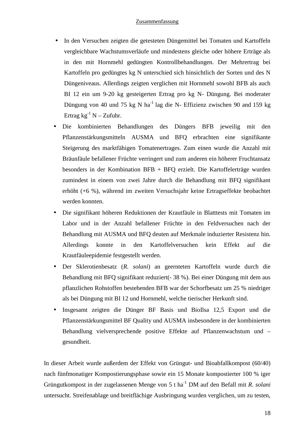#### Zusammenfassung

- In den Versuchen zeigten die getesteten Düngemittel bei Tomaten und Kartoffeln vergleichbare Wachstumsverläufe und mindestens gleiche oder höhere Erträge als in den mit Hornmehl gedüngten Kontrollbehandlungen. Der Mehrertrag bei Kartoffeln pro gedüngtes kg N unterschied sich hinsichtlich der Sorten und des N Düngeniveaus. Allerdings zeigten verglichen mit Hornmehl sowohl BFB als auch BI 12 ein um 9-20 kg gesteigerten Ertrag pro kg N- Düngung. Bei moderater Düngung von 40 und 75 kg N ha<sup>-1</sup> lag die N- Effizienz zwischen 90 and 159 kg Ertrag  $kg^{-1}$  N – Zufuhr.
- Die kombinierten Behandlungen des Düngers BFB jeweilig mit den Pflanzenstärkungsmitteln AUSMA und BFQ erbrachten eine signifikante Steigerung des marktfähigen Tomatenertrages. Zum einen wurde die Anzahl mit Bräunfäule befallener Früchte verringert und zum anderen ein höherer Fruchtansatz besonders in der Kombination BFB + BFQ erzielt. Die Kartoffelerträge wurden zumindest in einem von zwei Jahre durch die Behandlung mit BFQ signifikant erhöht (+6 %), während im zweiten Versuchsjahr keine Ertragseffekte beobachtet werden konnten.
- Die signifikant höheren Reduktionen der Krautfäule in Blatttests mit Tomaten im Labor und in der Anzahl befallener Früchte in den Feldversuchen nach der Behandlung mit AUSMA und BFQ deuten auf Merkmale induzierter Resistenz hin. Allerdings konnte in den Kartoffelversuchen kein Effekt auf die Krautfäuleepidemie festgestellt werden.
- Der Sklerotienbesatz (*R. solani*) an geernteten Kartoffeln wurde durch die Behandlung mit BFQ signifikant reduziert(- 38 %). Bei einer Düngung mit dem aus pflanzlichen Rohstoffen bestehenden BFB war der Schorfbesatz um 25 % niedriger als bei Düngung mit BI 12 und Hornmehl, welche tierischer Herkunft sind.
- Insgesamt zeigten die Dünger BF Basis und BioIlsa 12,5 Export und die Pflanzenstärkungsmittel BF Quality und AUSMA insbesondere in der kombinierten Behandlung vielversprechende positive Effekte auf Pflanzenwachstum und – gesundheit.

In dieser Arbeit wurde außerdem der Effekt von Grüngut- und Bioabfallkompost (60/40) nach fünfmonatiger Kompostierungsphase sowie ein 15 Monate kompostierter 100 % iger Grüngutkompost in der zugelassenen Menge von 5 t ha-1 DM auf den Befall mit *R. solani*  untersucht. Streifenablage und breitflächige Ausbringung wurden verglichen, um zu testen,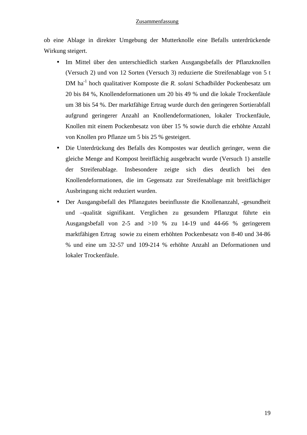#### Zusammenfassung

ob eine Ablage in direkter Umgebung der Mutterknolle eine Befalls unterdrückende Wirkung steigert.

- Im Mittel über den unterschiedlich starken Ausgangsbefalls der Pflanzknollen (Versuch 2) und von 12 Sorten (Versuch 3) reduzierte die Streifenablage von 5 t DM ha-1 hoch qualitativer Komposte die *R. solani* Schadbilder Pockenbesatz um 20 bis 84 %, Knollendeformationen um 20 bis 49 % und die lokale Trockenfäule um 38 bis 54 %. Der marktfähige Ertrag wurde durch den geringeren Sortierabfall aufgrund geringerer Anzahl an Knollendeformationen, lokaler Trockenfäule, Knollen mit einem Pockenbesatz von über 15 % sowie durch die erhöhte Anzahl von Knollen pro Pflanze um 5 bis 25 % gesteigert.
- Die Unterdrückung des Befalls des Kompostes war deutlich geringer, wenn die gleiche Menge and Kompost breitflächig ausgebracht wurde (Versuch 1) anstelle der Streifenablage. Insbesondere zeigte sich dies deutlich bei den Knollendeformationen, die im Gegensatz zur Streifenablage mit breitflächiger Ausbringung nicht reduziert wurden.
- Der Ausgangsbefall des Pflanzgutes beeinflusste die Knollenanzahl, -gesundheit und –qualität signifikant. Verglichen zu gesundem Pflanzgut führte ein Ausgangsbefall von 2-5 and >10 % zu 14-19 und 44-66 % geringerem marktfähigen Ertrag sowie zu einem erhöhten Pockenbesatz von 8-40 und 34-86 % und eine um 32-57 und 109-214 % erhöhte Anzahl an Deformationen und lokaler Trockenfäule.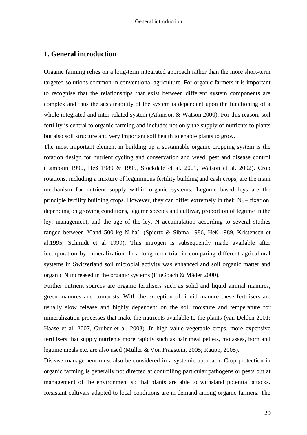#### **1. General introduction**

Organic farming relies on a long-term integrated approach rather than the more short-term targeted solutions common in conventional agriculture. For organic farmers it is important to recognise that the relationships that exist between different system components are complex and thus the sustainability of the system is dependent upon the functioning of a whole integrated and inter-related system (Atkinson & Watson 2000). For this reason, soil fertility is central to organic farming and includes not only the supply of nutrients to plants but also soil structure and very important soil health to enable plants to grow.

The most important element in building up a sustainable organic cropping system is the rotation design for nutrient cycling and conservation and weed, pest and disease control (Lampkin 1990, Heß 1989 & 1995, Stockdale et al. 2001, Watson et al. 2002). Crop rotations, including a mixture of leguminous fertility building and cash crops, are the main mechanism for nutrient supply within organic systems. Legume based leys are the principle fertility building crops. However, they can differ extremely in their  $N_2$  – fixation, depending on growing conditions, legume species and cultivar, proportion of legume in the ley, management, and the age of the ley. N accumulation according to several studies ranged between 20and 500 kg N ha<sup>-1</sup> (Spiertz & Sibma 1986, Heß 1989, Kristensen et al.1995, Schmidt et al 1999). This nitrogen is subsequently made available after incorporation by mineralization. In a long term trial in comparing different agricultural systems in Switzerland soil microbial activity was enhanced and soil organic matter and organic N increased in the organic systems (Fließbach & Mäder 2000).

Further nutrient sources are organic fertilisers such as solid and liquid animal manures, green manures and composts. With the exception of liquid manure these fertilisers are usually slow release and highly dependent on the soil moisture and temperature for mineralization processes that make the nutrients available to the plants (van Delden 2001; Haase et al. 2007, Gruber et al. 2003). In high value vegetable crops, more expensive fertilisers that supply nutrients more rapidly such as hair meal pellets, molasses, horn and legume meals etc. are also used (Müller & Von Fragstein, 2005; Raupp, 2005).

Disease management must also be considered in a systemic approach. Crop protection in organic farming is generally not directed at controlling particular pathogens or pests but at management of the environment so that plants are able to withstand potential attacks. Resistant cultivars adapted to local conditions are in demand among organic farmers. The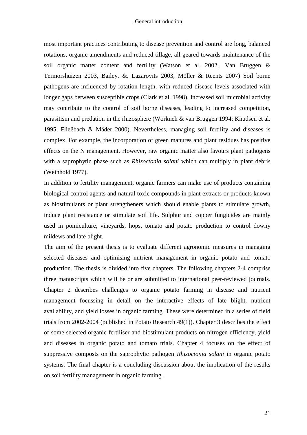#### . General introduction

most important practices contributing to disease prevention and control are long, balanced rotations, organic amendments and reduced tillage, all geared towards maintenance of the soil organic matter content and fertility (Watson et al. 2002,. Van Bruggen & Termorshuizen 2003, Bailey. &. Lazarovits 2003, Möller & Reents 2007) Soil borne pathogens are influenced by rotation length, with reduced disease levels associated with longer gaps between susceptible crops (Clark et al. 1998). Increased soil microbial activity may contribute to the control of soil borne diseases, leading to increased competition, parasitism and predation in the rhizosphere (Workneh & van Bruggen 1994; Knudsen et al. 1995, Fließbach & Mäder 2000). Nevertheless, managing soil fertility and diseases is complex. For example, the incorporation of green manures and plant residues has positive effects on the N management. However, raw organic matter also favours plant pathogens with a saprophytic phase such as *Rhizoctonia solani* which can multiply in plant debris (Weinhold 1977).

In addition to fertility management, organic farmers can make use of products containing biological control agents and natural toxic compounds in plant extracts or products known as biostimulants or plant strengtheners which should enable plants to stimulate growth, induce plant resistance or stimulate soil life. Sulphur and copper fungicides are mainly used in pomiculture, vineyards, hops, tomato and potato production to control downy mildews and late blight.

The aim of the present thesis is to evaluate different agronomic measures in managing selected diseases and optimising nutrient management in organic potato and tomato production. The thesis is divided into five chapters. The following chapters 2-4 comprise three manuscripts which will be or are submitted to international peer-reviewed journals. Chapter 2 describes challenges to organic potato farming in disease and nutrient management focussing in detail on the interactive effects of late blight, nutrient availability, and yield losses in organic farming. These were determined in a series of field trials from 2002-2004 (published in Potato Research 49(1)). Chapter 3 describes the effect of some selected organic fertiliser and biostimulant products on nitrogen efficiency, yield and diseases in organic potato and tomato trials. Chapter 4 focuses on the effect of suppressive composts on the saprophytic pathogen *Rhizoctonia solani* in organic potato systems. The final chapter is a concluding discussion about the implication of the results on soil fertility management in organic farming.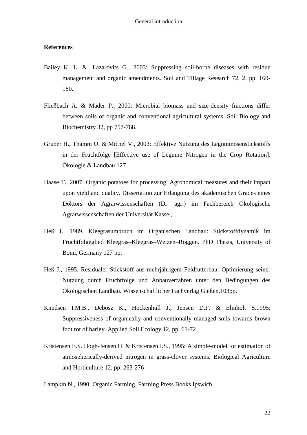#### **References**

- Bailey K. L. &. Lazarovits G., 2003: Suppressing soil-borne diseases with residue management and organic amendments. Soil and Tillage Research 72, 2, pp. 169- 180.
- Fließbach A. & Mäder P., 2000: Microbial biomass and size-density fractions differ between soils of organic and conventional agricultural systems. Soil Biology and Biochemistry 32, pp 757-768.
- Gruber H., Thamm U. & Michel V., 2003: Effektive Nutzung des Leguminosenstickstoffs in der Fruchtfolge [Effective use of Legume Nitrogen in the Crop Rotation]. Ökologie & Landbau 127
- Haase T., 2007: Organic potatoes for processing. Agronomical measures and their impact upon yield and quality. Dissertation zur Erlangung des akademischen Grades eines Doktors der Agrarwissenschaften (Dr. agr.) im Fachbereich Ökologische Agrarwissenschaften der Universität Kassel,
- Heß J., 1989. Kleegrasumbruch im Organischen Landbau: Stickstoffdynamik im Fruchtfolgeglied Kleegras–Kleegras–Weizen–Roggen. PhD Thesis, University of Bonn, Germany 127 pp.
- Heß J., 1995. Residualer Stickstoff aus mehrjährigem Feldfutterbau: Optimierung seiner Nutzung durch Fruchtfolge und Anbauverfahren unter den Bedingungen des Ökologischen Landbau. Wissenschaftlicher Fachverlag Gießen.103pp.
- Knudsen I.M.B., Debosz K., Hockenhull J., Jensen D.F. & Elmholt S.1995: Suppressiveness of organically and conventionally managed soils towards brown foot rot of barley. Applied Soil Ecology 12, pp. 61-72
- Kristensen E.S. Hogh-Jensen H. & Kristensen I.S., 1995: A simple-model for estimation of atmospherically-derived nitrogen in grass-clover systems. Biological Agriculture and Horticulture 12, pp. 263-276

Lampkin N., 1990: Organic Farming. Farming Press Books Ipswich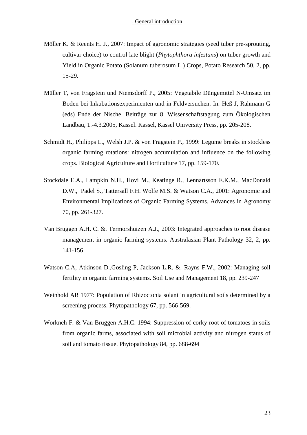- Möller K. & Reents H. J., 2007: Impact of agronomic strategies (seed tuber pre-sprouting, cultivar choice) to control late blight (*Phytophthora infestans*) on tuber growth and Yield in Organic Potato (Solanum tuberosum L.) Crops, Potato Research 50, 2, pp. 15-29.
- Müller T, von Fragstein und Niemsdorff P., 2005: Vegetabile Düngemittel N-Umsatz im Boden bei Inkubationsexperimenten und in Feldversuchen. In: Heß J, Rahmann G (eds) Ende der Nische. Beiträge zur 8. Wissenschaftstagung zum Ökologischen Landbau, 1.-4.3.2005, Kassel. Kassel, Kassel University Press, pp. 205-208.
- Schmidt H., Philipps L., Welsh J.P. & von Fragstein P., 1999: Legume breaks in stockless organic farming rotations: nitrogen accumulation and influence on the following crops. Biological Agriculture and Horticulture 17, pp. 159-170.
- Stockdale E.A., Lampkin N.H., Hovi M., Keatinge R., Lennartsson E.K.M., MacDonald D.W., Padel S., Tattersall F.H. Wolfe M.S. & Watson C.A., 2001: Agronomic and Environmental Implications of Organic Farming Systems. Advances in Agronomy 70, pp. 261-327.
- Van Bruggen A.H. C. &. Termorshuizen A.J., 2003: Integrated approaches to root disease management in organic farming systems. Australasian Plant Pathology 32, 2, pp. 141-156
- Watson C.A, Atkinson D.,Gosling P, Jackson L.R. &. Rayns F.W., 2002: Managing soil fertility in organic farming systems. Soil Use and Management 18, pp. 239-247
- Weinhold AR 1977: Population of Rhizoctonia solani in agricultural soils determined by a screening process. Phytopathology 67, pp. 566-569.
- Workneh F. & Van Bruggen A.H.C. 1994: Suppression of corky root of tomatoes in soils from organic farms, associated with soil microbial activity and nitrogen status of soil and tomato tissue. Phytopathology 84, pp. 688-694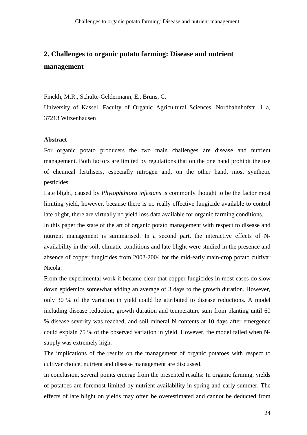### **2. Challenges to organic potato farming: Disease and nutrient management**

Finckh, M.R., Schulte-Geldermann, E., Bruns, C.

University of Kassel, Faculty of Organic Agricultural Sciences, Nordbahnhofstr. 1 a, 37213 Witzenhausen

#### **Abstract**

For organic potato producers the two main challenges are disease and nutrient management. Both factors are limited by regulations that on the one hand prohibit the use of chemical fertilisers, especially nitrogen and, on the other hand, most synthetic pesticides.

Late blight, caused by *Phytophthtora infestans* is commonly thought to be the factor most limiting yield, however, because there is no really effective fungicide available to control late blight, there are virtually no yield loss data available for organic farming conditions.

In this paper the state of the art of organic potato management with respect to disease and nutrient management is summarised. In a second part, the interactive effects of Navailability in the soil, climatic conditions and late blight were studied in the presence and absence of copper fungicides from 2002-2004 for the mid-early main-crop potato cultivar Nicola.

From the experimental work it became clear that copper fungicides in most cases do slow down epidemics somewhat adding an average of 3 days to the growth duration. However, only 30 % of the variation in yield could be attributed to disease reductions. A model including disease reduction, growth duration and temperature sum from planting until 60 % disease severity was reached, and soil mineral N contents at 10 days after emergence could explain 75 % of the observed variation in yield. However, the model failed when Nsupply was extremely high.

The implications of the results on the management of organic potatoes with respect to cultivar choice, nutrient and disease management are discussed.

In conclusion, several points emerge from the presented results: In organic farming, yields of potatoes are foremost limited by nutrient availability in spring and early summer. The effects of late blight on yields may often be overestimated and cannot be deducted from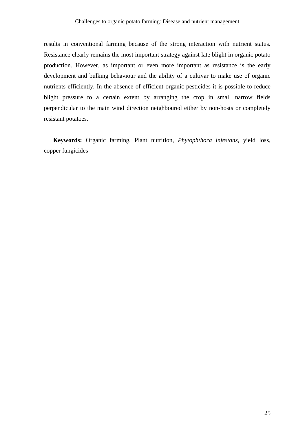#### Challenges to organic potato farming: Disease and nutrient management

results in conventional farming because of the strong interaction with nutrient status. Resistance clearly remains the most important strategy against late blight in organic potato production. However, as important or even more important as resistance is the early development and bulking behaviour and the ability of a cultivar to make use of organic nutrients efficiently. In the absence of efficient organic pesticides it is possible to reduce blight pressure to a certain extent by arranging the crop in small narrow fields perpendicular to the main wind direction neighboured either by non-hosts or completely resistant potatoes.

**Keywords:** Organic farming, Plant nutrition, *Phytophthora infestans,* yield loss, copper fungicides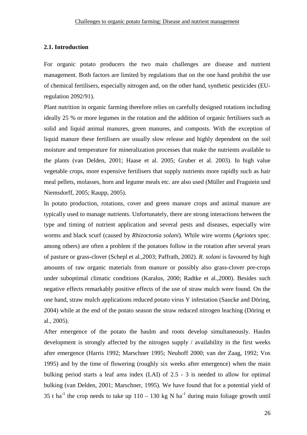#### **2.1. Introduction**

For organic potato producers the two main challenges are disease and nutrient management. Both factors are limited by regulations that on the one hand prohibit the use of chemical fertilisers, especially nitrogen and, on the other hand, synthetic pesticides (EUregulation 2092/91).

Plant nutrition in organic farming therefore relies on carefully designed rotations including ideally 25 % or more legumes in the rotation and the addition of organic fertilisers such as solid and liquid animal manures, green manures, and composts. With the exception of liquid manure these fertilisers are usually slow release and highly dependent on the soil moisture and temperature for mineralization processes that make the nutrients available to the plants (van Delden, 2001; Haase et al. 2005; Gruber et al. 2003). In high value vegetable crops, more expensive fertilisers that supply nutrients more rapidly such as hair meal pellets, molasses, horn and legume meals etc. are also used (Müller and Fragstein und Niemsdorff, 2005; Raupp, 2005).

In potato production, rotations, cover and green manure crops and animal manure are typically used to manage nutrients. Unfortunately, there are strong interactions between the type and timing of nutrient application and several pests and diseases, especially wire worms and black scurf (caused by *Rhizoctonia solani*). While wire worms (*Agriotes* spec. among others) are often a problem if the potatoes follow in the rotation after several years of pasture or grass-clover (Schepl et al.,2003; Paffrath, 2002). *R. solani* is favoured by high amounts of raw organic materials from manure or possibly also grass-clover pre-crops under suboptimal climatic conditions (Karalus, 2000; Radtke et al.,2000). Besides such negative effects remarkably positive effects of the use of straw mulch were found. On the one hand, straw mulch applications reduced potato virus Y infestation (Saucke and Döring, 2004) while at the end of the potato season the straw reduced nitrogen leaching (Döring et al., 2005).

After emergence of the potato the haulm and roots develop simultaneously. Haulm development is strongly affected by the nitrogen supply / availability in the first weeks after emergence (Harris 1992; Marschner 1995; Neuhoff 2000; van der Zaag, 1992; Vos 1995) and by the time of flowering (roughly six weeks after emergence) when the main bulking period starts a leaf area index (LAI) of 2.5 - 3 is needed to allow for optimal bulking (van Delden, 2001; Marschner, 1995). We have found that for a potential yield of 35 t ha<sup>-1</sup> the crop needs to take up  $110 - 130$  kg N ha<sup>-1</sup> during main foliage growth until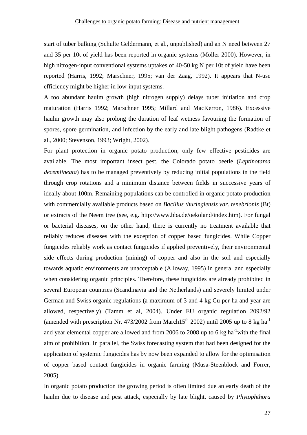start of tuber bulking (Schulte Geldermann, et al., unpublished) and an N need between 27 and 35 per 10t of yield has been reported in organic systems (Möller 2000). However, in high nitrogen-input conventional systems uptakes of 40-50 kg N per 10t of yield have been reported (Harris, 1992; Marschner, 1995; van der Zaag, 1992). It appears that N-use efficiency might be higher in low-input systems.

A too abundant haulm growth (high nitrogen supply) delays tuber initiation and crop maturation (Harris 1992; Marschner 1995; Millard and MacKerron, 1986). Excessive haulm growth may also prolong the duration of leaf wetness favouring the formation of spores, spore germination, and infection by the early and late blight pathogens (Radtke et al., 2000; Stevenson, 1993; Wright, 2002).

For plant protection in organic potato production, only few effective pesticides are available. The most important insect pest, the Colorado potato beetle (*Leptinotarsa decemlineata*) has to be managed preventively by reducing initial populations in the field through crop rotations and a minimum distance between fields in successive years of ideally about 100m. Remaining populations can be controlled in organic potato production with commercially available products based on *Bacillus thuringiensis var. tenebrionis* (Bt) or extracts of the Neem tree (see, e.g. http://www.bba.de/oekoland/index.htm). For fungal or bacterial diseases, on the other hand, there is currently no treatment available that reliably reduces diseases with the exception of copper based fungicides. While Copper fungicides reliably work as contact fungicides if applied preventively, their environmental side effects during production (mining) of copper and also in the soil and especially towards aquatic environments are unacceptable (Alloway, 1995) in general and especially when considering organic principles. Therefore, these fungicides are already prohibited in several European countries (Scandinavia and the Netherlands) and severely limited under German and Swiss organic regulations (a maximum of 3 and 4 kg Cu per ha and year are allowed, respectively) (Tamm et al, 2004). Under EU organic regulation 2092/92 (amended with prescription Nr. 473/2002 from March15<sup>th</sup> 2002) until 2005 up to 8 kg ha<sup>-1</sup> and year elemental copper are allowed and from 2006 to 2008 up to 6 kg ha<sup>-1</sup>with the final aim of prohibition. In parallel, the Swiss forecasting system that had been designed for the application of systemic fungicides has by now been expanded to allow for the optimisation of copper based contact fungicides in organic farming (Musa-Steenblock and Forrer, 2005).

In organic potato production the growing period is often limited due an early death of the haulm due to disease and pest attack, especially by late blight, caused by *Phytophthora*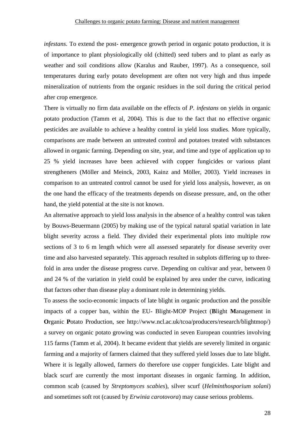*infestans*. To extend the post- emergence growth period in organic potato production, it is of importance to plant physiologically old (chitted) seed tubers and to plant as early as weather and soil conditions allow (Karalus and Rauber, 1997). As a consequence, soil temperatures during early potato development are often not very high and thus impede mineralization of nutrients from the organic residues in the soil during the critical period after crop emergence.

There is virtually no firm data available on the effects of *P. infestans* on yields in organic potato production (Tamm et al, 2004). This is due to the fact that no effective organic pesticides are available to achieve a healthy control in yield loss studies. More typically, comparisons are made between an untreated control and potatoes treated with substances allowed in organic farming. Depending on site, year, and time and type of application up to 25 % yield increases have been achieved with copper fungicides or various plant strengtheners (Möller and Meinck, 2003, Kainz and Möller, 2003). Yield increases in comparison to an untreated control cannot be used for yield loss analysis, however, as on the one hand the efficacy of the treatments depends on disease pressure, and, on the other hand, the yield potential at the site is not known.

An alternative approach to yield loss analysis in the absence of a healthy control was taken by Bouws-Beuermann (2005) by making use of the typical natural spatial variation in late blight severity across a field. They divided their experimental plots into multiple row sections of 3 to 6 m length which were all assessed separately for disease severity over time and also harvested separately. This approach resulted in subplots differing up to threefold in area under the disease progress curve. Depending on cultivar and year, between 0 and 24 % of the variation in yield could be explained by area under the curve, indicating that factors other than disease play a dominant role in determining yields.

To assess the socio-economic impacts of late blight in organic production and the possible impacts of a copper ban, within the EU- Blight-MOP Project (**B**light **M**anagement in **Organic Potato Production, see http://www.ncl.ac.uk/tcoa/producers/research/blightmop/)** a survey on organic potato growing was conducted in seven European countries involving 115 farms (Tamm et al, 2004). It became evident that yields are severely limited in organic farming and a majority of farmers claimed that they suffered yield losses due to late blight. Where it is legally allowed, farmers do therefore use copper fungicides. Late blight and black scurf are currently the most important diseases in organic farming. In addition, common scab (caused by *Streptomyces scabies*), silver scurf (*Helminthosporium solani*) and sometimes soft rot (caused by *Erwinia carotovora*) may cause serious problems.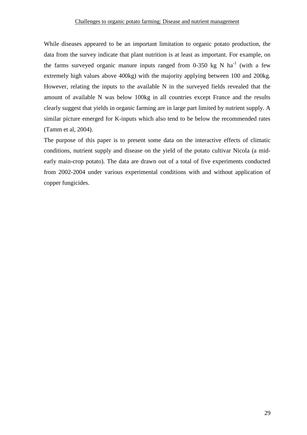While diseases appeared to be an important limitation to organic potato production, the data from the survey indicate that plant nutrition is at least as important. For example, on the farms surveyed organic manure inputs ranged from 0-350 kg N  $ha^{-1}$  (with a few extremely high values above 400kg) with the majority applying between 100 and 200kg. However, relating the inputs to the available N in the surveyed fields revealed that the amount of available N was below 100kg in all countries except France and the results clearly suggest that yields in organic farming are in large part limited by nutrient supply. A similar picture emerged for K-inputs which also tend to be below the recommended rates (Tamm et al, 2004).

The purpose of this paper is to present some data on the interactive effects of climatic conditions, nutrient supply and disease on the yield of the potato cultivar Nicola (a midearly main-crop potato). The data are drawn out of a total of five experiments conducted from 2002-2004 under various experimental conditions with and without application of copper fungicides.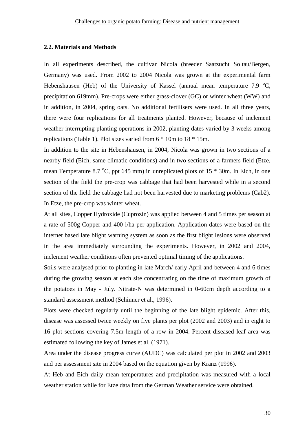#### **2.2. Materials and Methods**

In all experiments described, the cultivar Nicola (breeder Saatzucht Soltau/Bergen, Germany) was used. From 2002 to 2004 Nicola was grown at the experimental farm Hebenshausen (Heb) of the University of Kassel (annual mean temperature 7.9  $^{\circ}$ C, precipitation 619mm). Pre-crops were either grass-clover (GC) or winter wheat (WW) and in addition, in 2004, spring oats. No additional fertilisers were used. In all three years, there were four replications for all treatments planted. However, because of inclement weather interrupting planting operations in 2002, planting dates varied by 3 weeks among replications (Table 1). Plot sizes varied from 6 \* 10m to 18 \* 15m.

In addition to the site in Hebenshausen, in 2004, Nicola was grown in two sections of a nearby field (Eich, same climatic conditions) and in two sections of a farmers field (Etze, mean Temperature 8.7  $^{\circ}$ C, ppt 645 mm) in unreplicated plots of 15  $*$  30m. In Eich, in one section of the field the pre-crop was cabbage that had been harvested while in a second section of the field the cabbage had not been harvested due to marketing problems (Cab2). In Etze, the pre-crop was winter wheat.

At all sites, Copper Hydroxide (Cuprozin) was applied between 4 and 5 times per season at a rate of 500g Copper and 400 l/ha per application. Application dates were based on the internet based late blight warning system as soon as the first blight lesions were observed in the area immediately surrounding the experiments. However, in 2002 and 2004, inclement weather conditions often prevented optimal timing of the applications.

Soils were analysed prior to planting in late March/ early April and between 4 and 6 times during the growing season at each site concentrating on the time of maximum growth of the potatoes in May - July. Nitrate-N was determined in 0-60cm depth according to a standard assessment method (Schinner et al., 1996).

Plots were checked regularly until the beginning of the late blight epidemic. After this, disease was assessed twice weekly on five plants per plot (2002 and 2003) and in eight to 16 plot sections covering 7.5m length of a row in 2004. Percent diseased leaf area was estimated following the key of James et al. (1971).

Area under the disease progress curve (AUDC) was calculated per plot in 2002 and 2003 and per assessment site in 2004 based on the equation given by Kranz (1996).

At Heb and Eich daily mean temperatures and precipitation was measured with a local weather station while for Etze data from the German Weather service were obtained.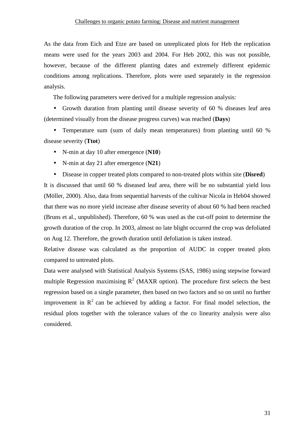As the data from Eich and Etze are based on unreplicated plots for Heb the replication means were used for the years 2003 and 2004. For Heb 2002, this was not possible, however, because of the different planting dates and extremely different epidemic conditions among replications. Therefore, plots were used separately in the regression analysis.

The following parameters were derived for a multiple regression analysis:

• Growth duration from planting until disease severity of 60 % diseases leaf area (determined visually from the disease progress curves) was reached (**Days**)

• Temperature sum (sum of daily mean temperatures) from planting until 60 % disease severity (**Ttot**)

- N-min at day 10 after emergence (**N10**)
- N-min at day 21 after emergence (**N21**)
- Disease in copper treated plots compared to non-treated plots within site (**Disred**)

It is discussed that until 60 % diseased leaf area, there will be no substantial yield loss (Möller, 2000). Also, data from sequential harvests of the cultivar Nicola in Heb04 showed that there was no more yield increase after disease severity of about 60 % had been reached (Bruns et al., unpublished). Therefore, 60 % was used as the cut-off point to determine the growth duration of the crop. In 2003, almost no late blight occurred the crop was defoliated on Aug 12. Therefore, the growth duration until defoliation is taken instead.

Relative disease was calculated as the proportion of AUDC in copper treated plots compared to untreated plots.

Data were analysed with Statistical Analysis Systems (SAS, 1986) using stepwise forward multiple Regression maximising  $R^2$  (MAXR option). The procedure first selects the best regression based on a single parameter, then based on two factors and so on until no further improvement in  $R^2$  can be achieved by adding a factor. For final model selection, the residual plots together with the tolerance values of the co linearity analysis were also considered.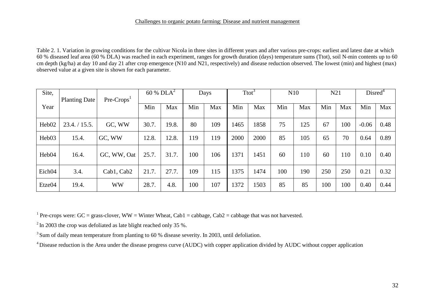#### Challenges to organic potato farming: Disease and nutrient management

Table 2. 1. Variation in growing conditions for the cultivar Nicola in three sites in different years and after various pre-crops: earliest and latest date at which 60 % diseased leaf area (60 % DLA) was reached in each experiment, ranges for growth duration (days) temperature sums (Ttot), soil N-min contents up to 60 cm depth (kg/ha) at day 10 and day 21 after crop emergence (N10 and N21, respectively) and disease reduction observed. The lowest (min) and highest (max) observed value at a given site is shown for each parameter.

| Site,             | <b>Planting Date</b> | $Pre-CropsT$ | 60 % $DLA^2$ |       | Days |     | Ttot |      | N10 |     | N21 |     | Disred <sup>4</sup> |      |
|-------------------|----------------------|--------------|--------------|-------|------|-----|------|------|-----|-----|-----|-----|---------------------|------|
| Year              |                      |              | Min          | Max   | Min  | Max | Min  | Max  | Min | Max | Min | Max | Min                 | Max  |
| Heb <sub>02</sub> | 23.4. / 15.5.        | GC, WW       | 30.7.        | 19.8. | 80   | 109 | 1465 | 1858 | 75  | 125 | 67  | 100 | $-0.06$             | 0.48 |
| Heb03             | 15.4.                | GC, WW       | 12.8.        | 12.8. | 119  | 119 | 2000 | 2000 | 85  | 105 | 65  | 70  | 0.64                | 0.89 |
| Heb <sub>04</sub> | 16.4.                | GC, WW, Oat  | 25.7.        | 31.7. | 100  | 106 | 1371 | 1451 | 60  | 110 | 60  | 110 | 0.10                | 0.40 |
| Eich04            | 3.4.                 | Cab1, Cab2   | 21.7.        | 27.7. | 109  | 115 | 1375 | 1474 | 100 | 190 | 250 | 250 | 0.21                | 0.32 |
| Etze04            | 19.4.                | <b>WW</b>    | 28.7.        | 4.8.  | 100  | 107 | 1372 | 1503 | 85  | 85  | 100 | 100 | 0.40                | 0.44 |

<sup>1</sup> Pre-crops were:  $GC =$  grass-clover,  $WW =$  Winter Wheat,  $Cab1 =$  cabbage,  $Cab2 =$  cabbage that was not harvested.

 $2 \text{ In } 2003$  the crop was defoliated as late blight reached only 35 %.

<sup>3</sup> Sum of daily mean temperature from planting to 60 % disease severity. In 2003, until defoliation.

<sup>4</sup> Disease reduction is the Area under the disease progress curve (AUDC) with copper application divided by AUDC without copper application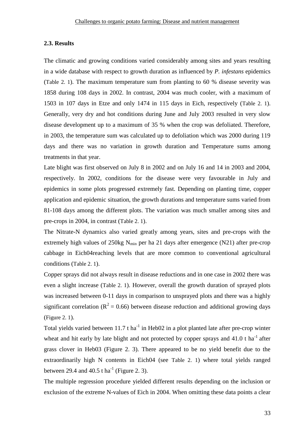#### **2.3. Results**

The climatic and growing conditions varied considerably among sites and years resulting in a wide database with respect to growth duration as influenced by *P. infestans* epidemics (Table 2. 1). The maximum temperature sum from planting to 60 % disease severity was 1858 during 108 days in 2002. In contrast, 2004 was much cooler, with a maximum of 1503 in 107 days in Etze and only 1474 in 115 days in Eich, respectively (Table 2. 1). Generally, very dry and hot conditions during June and July 2003 resulted in very slow disease development up to a maximum of 35 % when the crop was defoliated. Therefore, in 2003, the temperature sum was calculated up to defoliation which was 2000 during 119 days and there was no variation in growth duration and Temperature sums among treatments in that year.

Late blight was first observed on July 8 in 2002 and on July 16 and 14 in 2003 and 2004, respectively. In 2002, conditions for the disease were very favourable in July and epidemics in some plots progressed extremely fast. Depending on planting time, copper application and epidemic situation, the growth durations and temperature sums varied from 81-108 days among the different plots. The variation was much smaller among sites and pre-crops in 2004, in contrast (Table 2. 1).

The Nitrate-N dynamics also varied greatly among years, sites and pre-crops with the extremely high values of  $250kg$  N<sub>min</sub> per ha 21 days after emergence (N21) after pre-crop cabbage in Eich04reaching levels that are more common to conventional agricultural conditions (Table 2. 1).

Copper sprays did not always result in disease reductions and in one case in 2002 there was even a slight increase (Table 2. 1). However, overall the growth duration of sprayed plots was increased between 0-11 days in comparison to unsprayed plots and there was a highly significant correlation ( $R^2 = 0.66$ ) between disease reduction and additional growing days (Figure 2. 1).

Total yields varied between 11.7 t ha<sup>-1</sup> in Heb02 in a plot planted late after pre-crop winter wheat and hit early by late blight and not protected by copper sprays and  $41.0$  t ha<sup>-1</sup> after grass clover in Heb03 (Figure 2. 3). There appeared to be no yield benefit due to the extraordinarily high N contents in Eich04 (see Table 2. 1) where total yields ranged between 29.4 and 40.5 t ha<sup>-1</sup> (Figure 2, 3).

The multiple regression procedure yielded different results depending on the inclusion or exclusion of the extreme N-values of Eich in 2004. When omitting these data points a clear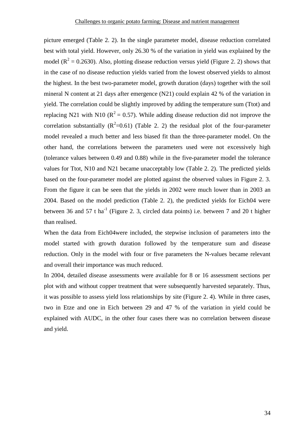picture emerged (Table 2. 2). In the single parameter model, disease reduction correlated best with total yield. However, only 26.30 % of the variation in yield was explained by the model ( $R^2 = 0.2630$ ). Also, plotting disease reduction versus yield (Figure 2. 2) shows that in the case of no disease reduction yields varied from the lowest observed yields to almost the highest. In the best two-parameter model, growth duration (days) together with the soil mineral N content at 21 days after emergence (N21) could explain 42 % of the variation in yield. The correlation could be slightly improved by adding the temperature sum (Ttot) and replacing N21 with N10 ( $R^2 = 0.57$ ). While adding disease reduction did not improve the correlation substantially  $(R^2=0.61)$  (Table 2. 2) the residual plot of the four-parameter model revealed a much better and less biased fit than the three-parameter model. On the other hand, the correlations between the parameters used were not excessively high (tolerance values between 0.49 and 0.88) while in the five-parameter model the tolerance values for Ttot, N10 and N21 became unacceptably low (Table 2. 2). The predicted yields based on the four-parameter model are plotted against the observed values in Figure 2. 3. From the figure it can be seen that the yields in 2002 were much lower than in 2003 an 2004. Based on the model prediction (Table 2. 2), the predicted yields for Eich04 were between 36 and 57 t ha<sup>-1</sup> (Figure 2. 3, circled data points) i.e. between 7 and 20 t higher than realised.

When the data from Eich04were included, the stepwise inclusion of parameters into the model started with growth duration followed by the temperature sum and disease reduction. Only in the model with four or five parameters the N-values became relevant and overall their importance was much reduced.

In 2004, detailed disease assessments were available for 8 or 16 assessment sections per plot with and without copper treatment that were subsequently harvested separately. Thus, it was possible to assess yield loss relationships by site (Figure 2. 4). While in three cases, two in Etze and one in Eich between 29 and 47 % of the variation in yield could be explained with AUDC, in the other four cases there was no correlation between disease and yield.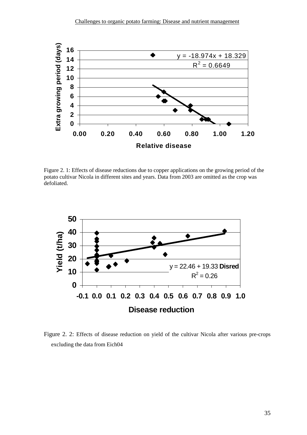

Figure 2. 1: Effects of disease reductions due to copper applications on the growing period of the potato cultivar Nicola in different sites and years. Data from 2003 are omitted as the crop was defoliated.



Figure 2. 2: Effects of disease reduction on yield of the cultivar Nicola after various pre-crops excluding the data from Eich04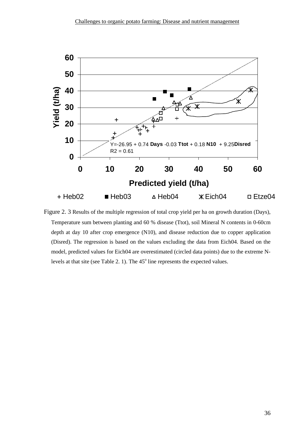

Figure 2. 3 Results of the multiple regression of total crop yield per ha on growth duration (Days), Temperature sum between planting and 60 % disease (Ttot), soil Mineral N contents in 0-60cm depth at day 10 after crop emergence (N10), and disease reduction due to copper application (Disred). The regression is based on the values excluding the data from Eich04. Based on the model, predicted values for Eich04 are overestimated (circled data points) due to the extreme Nlevels at that site (see Table 2. 1). The  $45^{\circ}$  line represents the expected values.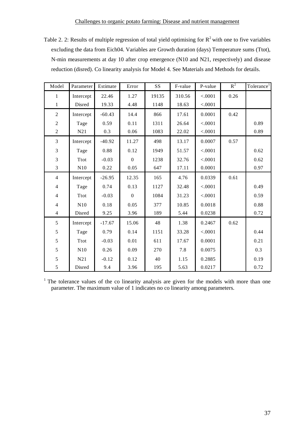Table 2. 2: Results of multiple regression of total yield optimising for  $R^2$  with one to five variables excluding the data from Eich04. Variables are Growth duration (days) Temperature sums (Ttot), N-min measurements at day 10 after crop emergence (N10 and N21, respectively) and disease reduction (disred). Co linearity analysis for Model 4. See Materials and Methods for details.

| Model          | Parameter   | Estimate | Error    | <b>SS</b> | F-value | P-value | $R^2$ | Tolerance <sup>1</sup> |
|----------------|-------------|----------|----------|-----------|---------|---------|-------|------------------------|
| $\mathbf{1}$   | Intercept   | 22.46    | 1.27     | 19135     | 310.56  | < .0001 | 0.26  |                        |
| $\mathbf{1}$   | Disred      | 19.33    | 4.48     | 1148      | 18.63   | < .0001 |       |                        |
| $\overline{2}$ | Intercept   | $-60.43$ | 14.4     | 866       | 17.61   | 0.0001  | 0.42  |                        |
| $\overline{c}$ | Tage        | 0.59     | 0.11     | 1311      | 26.64   | < .0001 |       | 0.89                   |
| $\overline{c}$ | N21         | 0.3      | 0.06     | 1083      | 22.02   | < .0001 |       | 0.89                   |
| 3              | Intercept   | $-40.92$ | 11.27    | 498       | 13.17   | 0.0007  | 0.57  |                        |
| 3              | Tage        | 0.88     | 0.12     | 1949      | 51.57   | < .0001 |       | 0.62                   |
| $\overline{3}$ | <b>Ttot</b> | $-0.03$  | $\Omega$ | 1238      | 32.76   | < .0001 |       | 0.62                   |
| 3              | N10         | 0.22     | 0.05     | 647       | 17.11   | 0.0001  |       | 0.97                   |
| $\overline{4}$ | Intercept   | $-26.95$ | 12.35    | 165       | 4.76    | 0.0339  | 0.61  |                        |
| $\overline{4}$ | Tage        | 0.74     | 0.13     | 1127      | 32.48   | < .0001 |       | 0.49                   |
| $\overline{4}$ | <b>Ttot</b> | $-0.03$  | $\Omega$ | 1084      | 31.23   | < .0001 |       | 0.59                   |
| $\overline{4}$ | N10         | 0.18     | 0.05     | 377       | 10.85   | 0.0018  |       | 0.88                   |
| $\overline{4}$ | Disred      | 9.25     | 3.96     | 189       | 5.44    | 0.0238  |       | 0.72                   |
| 5              | Intercept   | $-17.67$ | 15.06    | 48        | 1.38    | 0.2467  | 0.62  |                        |
| $\sqrt{5}$     | Tage        | 0.79     | 0.14     | 1151      | 33.28   | < .0001 |       | 0.44                   |
| $\sqrt{5}$     | <b>Ttot</b> | $-0.03$  | 0.01     | 611       | 17.67   | 0.0001  |       | 0.21                   |
| 5              | N10         | 0.26     | 0.09     | 270       | 7.8     | 0.0075  |       | 0.3                    |
| 5              | N21         | $-0.12$  | 0.12     | 40        | 1.15    | 0.2885  |       | 0.19                   |
| 5              | Disred      | 9.4      | 3.96     | 195       | 5.63    | 0.0217  |       | 0.72                   |

<sup>1</sup> The tolerance values of the co linearity analysis are given for the models with more than one parameter. The maximum value of 1 indicates no co linearity among parameters.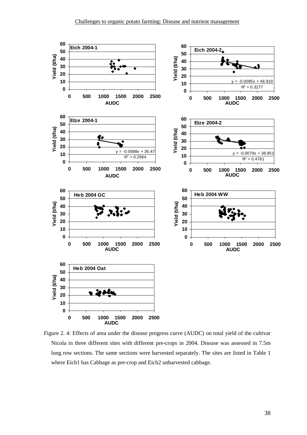

Figure 2. 4: Effects of area under the disease progress curve (AUDC) on total yield of the cultivar Nicola in three different sites with different pre-crops in 2004. Disease was assessed in 7.5m long row sections. The same sections were harvested separately. The sites are listed in Table 1 where Eich1 has Cabbage as pre-crop and Eich2 unharvested cabbage.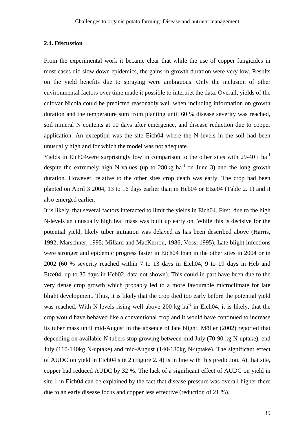#### **2.4. Discussion**

From the experimental work it became clear that while the use of copper fungicides in most cases did slow down epidemics, the gains in growth duration were very low. Results on the yield benefits due to spraying were ambiguous. Only the inclusion of other environmental factors over time made it possible to interpret the data. Overall, yields of the cultivar Nicola could be predicted reasonably well when including information on growth duration and the temperature sum from planting until 60 % disease severity was reached, soil mineral N contents at 10 days after emergence, and disease reduction due to copper application. An exception was the site Eich04 where the N levels in the soil had been unusually high and for which the model was not adequate.

Yields in Eich04were surprisingly low in comparison to the other sites with 29-40 t ha<sup>-1</sup> despite the extremely high N-values (up to 280kg  $ha^{-1}$  on June 3) and the long growth duration. However, relative to the other sites crop death was early. The crop had been planted on April 3 2004, 13 to 16 days earlier than in Heb04 or Etze04 (Table 2. 1) and it also emerged earlier.

It is likely, that several factors interacted to limit the yields in Eich04. First, due to the high N-levels an unusually high leaf mass was built up early on. While this is decisive for the potential yield, likely tuber initiation was delayed as has been described above (Harris, 1992; Marschner, 1995; Millard and MacKerron, 1986; Voss, 1995). Late blight infections were stronger and epidemic progress faster in Eich04 than in the other sites in 2004 or in 2002 (60 % severity reached within 7 to 13 days in Eich04, 9 to 19 days in Heb and Etze04, up to 35 days in Heb02, data not shown). This could in part have been due to the very dense crop growth which probably led to a more favourable microclimate for late blight development. Thus, it is likely that the crop died too early before the potential yield was reached. With N-levels rising well above 200 kg ha<sup>-1</sup> in Eich04, it is likely, that the crop would have behaved like a conventional crop and it would have continued to increase its tuber mass until mid-August in the absence of late blight. Möller (2002) reported that depending on available N tubers stop growing between mid July (70-90 kg N-uptake), end July (110-140kg N-uptake) and mid-August (140-180kg N-uptake). The significant effect of AUDC on yield in Eich04 site 2 (Figure 2. 4) is in line with this prediction. At that site, copper had reduced AUDC by 32 %. The lack of a significant effect of AUDC on yield in site 1 in Eich04 can be explained by the fact that disease pressure was overall higher there due to an early disease focus and copper less effective (reduction of 21 %).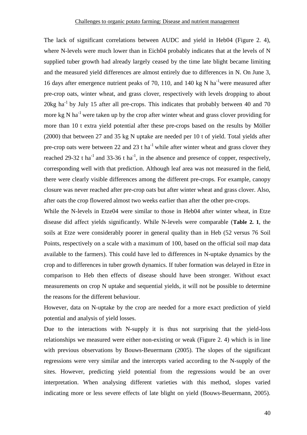The lack of significant correlations between AUDC and yield in Heb04 (Figure 2. 4), where N-levels were much lower than in Eich04 probably indicates that at the levels of N supplied tuber growth had already largely ceased by the time late blight became limiting and the measured yield differences are almost entirely due to differences in N. On June 3, 16 days after emergence nutrient peaks of 70, 110, and 140 kg N ha<sup>-1</sup>were measured after pre-crop oats, winter wheat, and grass clover, respectively with levels dropping to about  $20\text{kg}$  ha<sup>-1</sup> by July 15 after all pre-crops. This indicates that probably between 40 and 70 more kg N ha<sup>-1</sup> were taken up by the crop after winter wheat and grass clover providing for more than 10 t extra yield potential after these pre-crops based on the results by Möller (2000) that between 27 and 35 kg N uptake are needed per 10 t of yield. Total yields after pre-crop oats were between 22 and 23 t ha<sup>-1</sup> while after winter wheat and grass clover they reached 29-32 t ha<sup>-1</sup> and 33-36 t ha<sup>-1</sup>, in the absence and presence of copper, respectively, corresponding well with that prediction. Although leaf area was not measured in the field, there were clearly visible differences among the different pre-crops. For example, canopy closure was never reached after pre-crop oats but after winter wheat and grass clover. Also, after oats the crop flowered almost two weeks earlier than after the other pre-crops.

While the N-levels in Etze04 were similar to those in Heb04 after winter wheat, in Etze disease did affect yields significantly. While N-levels were comparable (**Table 2. 1**, the soils at Etze were considerably poorer in general quality than in Heb (52 versus 76 Soil Points, respectively on a scale with a maximum of 100, based on the official soil map data available to the farmers). This could have led to differences in N-uptake dynamics by the crop and to differences in tuber growth dynamics. If tuber formation was delayed in Etze in comparison to Heb then effects of disease should have been stronger. Without exact measurements on crop N uptake and sequential yields, it will not be possible to determine the reasons for the different behaviour.

However, data on N-uptake by the crop are needed for a more exact prediction of yield potential and analysis of yield losses.

Due to the interactions with N-supply it is thus not surprising that the yield-loss relationships we measured were either non-existing or weak (Figure 2. 4) which is in line with previous observations by Bouws-Beuermann (2005). The slopes of the significant regressions were very similar and the intercepts varied according to the N-supply of the sites. However, predicting yield potential from the regressions would be an over interpretation. When analysing different varieties with this method, slopes varied indicating more or less severe effects of late blight on yield (Bouws-Beuermann, 2005).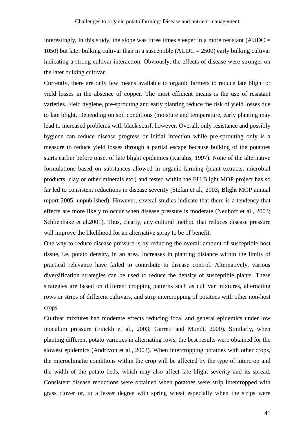Interestingly, in this study, the slope was three times steeper in a more resistant ( $AUDC =$ 1050) but later bulking cultivar than in a susceptible (AUDC = 2500) early bulking cultivar indicating a strong cultivar interaction. Obviously, the effects of disease were stronger on the later bulking cultivar.

Currently, there are only few means available to organic farmers to reduce late blight or yield losses in the absence of copper. The most efficient means is the use of resistant varieties. Field hygiene, pre-sprouting and early planting reduce the risk of yield losses due to late blight. Depending on soil conditions (moisture and temperature, early planting may lead to increased problems with black scurf, however. Overall, only resistance and possibly hygiene can reduce disease progress or initial infection while pre-sprouting only is a measure to reduce yield losses through a partial escape because bulking of the potatoes starts earlier before onset of late blight epidemics (Karalus, 1997). None of the alternative formulations based on substances allowed in organic farming (plant extracts, microbial products, clay or other minerals etc.) and tested within the EU Blight MOP project has so far led to consistent reductions in disease severity (Stefan et al., 2003; Blight MOP annual report 2005, unpublished). However, several studies indicate that there is a tendency that effects are more likely to occur when disease pressure is moderate (Neuhoff et al., 2003; Schliephake et al.2001). Thus, clearly, any cultural method that reduces disease pressure will improve the likelihood for an alternative spray to be of benefit.

One way to reduce disease pressure is by reducing the overall amount of susceptible host tissue, i.e. potato density, in an area. Increases in planting distance within the limits of practical relevance have failed to contribute to disease control. Alternatively, various diversification strategies can be used to reduce the density of susceptible plants. These strategies are based on different cropping patterns such as cultivar mixtures, alternating rows or strips of different cultivars, and strip intercropping of potatoes with other non-host crops.

Cultivar mixtures had moderate effects reducing focal and general epidemics under low inoculum pressure (Finckh et al., 2003; Garrett and Mundt, 2000). Similarly, when planting different potato varieties in alternating rows, the best results were obtained for the slowest epidemics (Andrivon et al., 2003). When intercropping potatoes with other crops, the microclimatic conditions within the crop will be affected by the type of intercrop and the width of the potato beds, which may also affect late blight severity and its spread. Consistent disease reductions were obtained when potatoes were strip intercropped with grass clover or, to a lesser degree with spring wheat especially when the strips were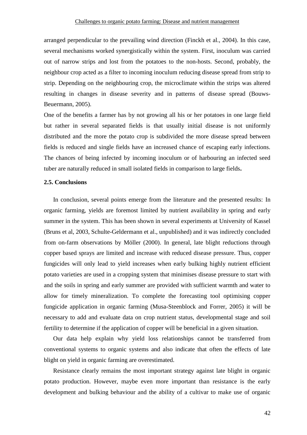arranged perpendicular to the prevailing wind direction (Finckh et al., 2004). In this case, several mechanisms worked synergistically within the system. First, inoculum was carried out of narrow strips and lost from the potatoes to the non-hosts. Second, probably, the neighbour crop acted as a filter to incoming inoculum reducing disease spread from strip to strip. Depending on the neighbouring crop, the microclimate within the strips was altered resulting in changes in disease severity and in patterns of disease spread (Bouws-Beuermann, 2005).

One of the benefits a farmer has by not growing all his or her potatoes in one large field but rather in several separated fields is that usually initial disease is not uniformly distributed and the more the potato crop is subdivided the more disease spread between fields is reduced and single fields have an increased chance of escaping early infections. The chances of being infected by incoming inoculum or of harbouring an infected seed tuber are naturally reduced in small isolated fields in comparison to large fields**.**

#### **2.5. Conclusions**

In conclusion, several points emerge from the literature and the presented results: In organic farming, yields are foremost limited by nutrient availability in spring and early summer in the system. This has been shown in several experiments at University of Kassel (Bruns et al, 2003, Schulte-Geldermann et al., unpublished) and it was indirectly concluded from on-farm observations by Möller (2000). In general, late blight reductions through copper based sprays are limited and increase with reduced disease pressure. Thus, copper fungicides will only lead to yield increases when early bulking highly nutrient efficient potato varieties are used in a cropping system that minimises disease pressure to start with and the soils in spring and early summer are provided with sufficient warmth and water to allow for timely mineralization. To complete the forecasting tool optimising copper fungicide application in organic farming (Musa-Steenblock and Forrer, 2005) it will be necessary to add and evaluate data on crop nutrient status, developmental stage and soil fertility to determine if the application of copper will be beneficial in a given situation.

Our data help explain why yield loss relationships cannot be transferred from conventional systems to organic systems and also indicate that often the effects of late blight on yield in organic farming are overestimated.

Resistance clearly remains the most important strategy against late blight in organic potato production. However, maybe even more important than resistance is the early development and bulking behaviour and the ability of a cultivar to make use of organic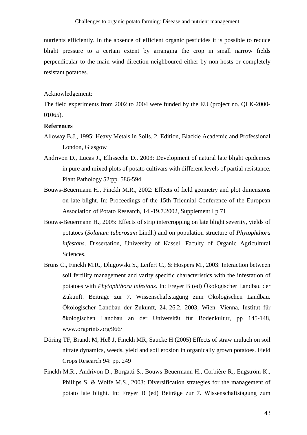nutrients efficiently. In the absence of efficient organic pesticides it is possible to reduce blight pressure to a certain extent by arranging the crop in small narrow fields perpendicular to the main wind direction neighboured either by non-hosts or completely resistant potatoes.

#### Acknowledgement:

The field experiments from 2002 to 2004 were funded by the EU (project no. QLK-2000- 01065).

#### **References**

- Alloway B.J., 1995: Heavy Metals in Soils. 2. Edition, Blackie Academic and Professional London, Glasgow
- Andrivon D., Lucas J., Ellisseche D., 2003: Development of natural late blight epidemics in pure and mixed plots of potato cultivars with different levels of partial resistance. Plant Pathology 52:pp. 586-594
- Bouws-Beuermann H., Finckh M.R., 2002: Effects of field geometry and plot dimensions on late blight. In: Proceedings of the 15th Triennial Conference of the European Association of Potato Research, 14.-19.7.2002, Supplement I p 71
- Bouws-Beuermann H., 2005: Effects of strip intercropping on late blight severity, yields of potatoes (*Solanum tuberosum* Lindl.) and on population structure of *Phytophthora infestans*. Dissertation, University of Kassel, Faculty of Organic Agricultural Sciences.
- Bruns C., Finckh M.R., Dlugowski S., Leifert C., & Hospers M., 2003: Interaction between soil fertility management and varity specific characteristics with the infestation of potatoes with *Phytophthora infestans*. In: Freyer B (ed) Ökologischer Landbau der Zukunft. Beiträge zur 7. Wissenschaftstagung zum Ökologischen Landbau. Ökologischer Landbau der Zukunft, 24.-26.2. 2003, Wien. Vienna, Institut für ökologischen Landbau an der Universität für Bodenkultur, pp 145-148, www.orgprints.org/966/
- Döring TF, Brandt M, Heß J, Finckh MR, Saucke H (2005) Effects of straw muluch on soil nitrate dynamics, weeds, yield and soil erosion in organically grown potatoes. Field Crops Research 94: pp. 249
- Finckh M.R., Andrivon D., Borgatti S., Bouws-Beuermann H., Corbière R., Engström K., Phillips S. & Wolfe M.S., 2003: Diversification strategies for the management of potato late blight. In: Freyer B (ed) Beiträge zur 7. Wissenschaftstagung zum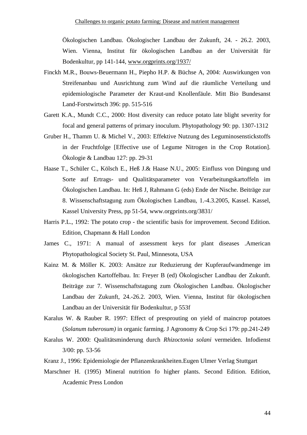Ökologischen Landbau. Ökologischer Landbau der Zukunft, 24. - 26.2. 2003, Wien. Vienna, Institut für ökologischen Landbau an der Universität für Bodenkultur, pp 141-144, www.orgprints.org/1937/

- Finckh M.R., Bouws-Beuermann H., Piepho H.P. & Büchse A, 2004: Auswirkungen von Streifenanbau und Ausrichtung zum Wind auf die räumliche Verteilung und epidemiologische Parameter der Kraut-und Knollenfäule. Mitt Bio Bundesanst Land-Forstwirtsch 396: pp. 515-516
- Garett K.A., Mundt C.C., 2000: Host diversity can reduce potato late blight severity for focal and general patterns of primary inoculum. Phytopathology 90: pp. 1307-1312
- Gruber H., Thamm U. & Michel V., 2003: Effektive Nutzung des Leguminosenstickstoffs in der Fruchtfolge [Effective use of Legume Nitrogen in the Crop Rotation]. Ökologie & Landbau 127: pp. 29-31
- Haase T., Schüler C., Kölsch E., Heß J.& Haase N.U., 2005: Einfluss von Düngung und Sorte auf Ertrags- und Qualitätsparameter von Verarbeitungskartoffeln im Ökologischen Landbau. In: Heß J, Rahmann G (eds) Ende der Nische. Beiträge zur 8. Wissenschaftstagung zum Ökologischen Landbau, 1.-4.3.2005, Kassel. Kassel, Kassel University Press, pp 51-54, www.orgprints.org/3831/
- Harris P.L., 1992: The potato crop the scientific basis for improvement. Second Edition. Edition, Chapmann & Hall London
- James C., 1971: A manual of assessment keys for plant diseases .American Phytopathological Society St. Paul, Minnesota, USA
- Kainz M. & Möller K. 2003: Ansätze zur Reduzierung der Kupferaufwandmenge im ökologischen Kartoffelbau. In: Freyer B (ed) Ökologischer Landbau der Zukunft. Beiträge zur 7. Wissenschaftstagung zum Ökologischen Landbau. Ökologischer Landbau der Zukunft, 24.-26.2. 2003, Wien. Vienna, Institut für ökologischen Landbau an der Universität für Bodenkultur, p 553f
- Karalus W. & Rauber R. 1997: Effect of presprouting on yield of maincrop potatoes (*Solanum tuberosum)* in organic farming. J Agronomy & Crop Sci 179: pp.241-249
- Karalus W. 2000: Qualitätsminderung durch *Rhizoctonia solani* vermeiden. Infodienst 3/00: pp. 53-56
- Kranz J., 1996: Epidemiologie der Pflanzenkrankheiten.Eugen Ulmer Verlag Stuttgart
- Marschner H. (1995) Mineral nutrition fo higher plants. Second Edition. Edition, Academic Press London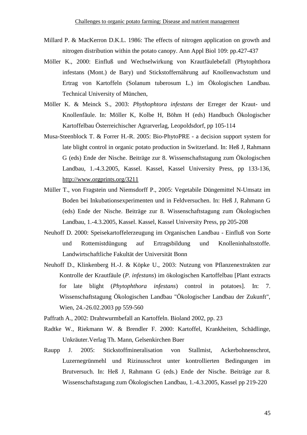- Millard P. & MacKerron D.K.L. 1986: The effects of nitrogen application on growth and nitrogen distribution within the potato canopy. Ann Appl Biol 109: pp.427-437
- Möller K., 2000: Einfluß und Wechselwirkung von Krautfäulebefall (Phytophthora infestans (Mont.) de Bary) und Stickstoffernährung auf Knollenwachstum und Ertrag von Kartoffeln (Solanum tuberosum L.) im Ökologischen Landbau. Technical University of München,
- Möller K. & Meinck S., 2003: *Phythophtora infestans* der Erreger der Kraut- und Knollenfäule. In: Möller K, Kolbe H, Böhm H (eds) Handbuch Ökologischer Kartoffelbau Österreichischer Agrarverlag, Leopoldsdorf, pp 105-114
- Musa-Steenblock T. & Forrer H.-R. 2005: Bio-PhytoPRE a decision support system for late blight control in organic potato production in Switzerland. In: Heß J, Rahmann G (eds) Ende der Nische. Beiträge zur 8. Wissenschaftstagung zum Ökologischen Landbau, 1.-4.3.2005, Kassel. Kassel, Kassel University Press, pp 133-136, http://www.orgprints.org/3211
- Müller T., von Fragstein und Niemsdorff P., 2005: Vegetabile Düngemittel N-Umsatz im Boden bei Inkubationsexperimenten und in Feldversuchen. In: Heß J, Rahmann G (eds) Ende der Nische. Beiträge zur 8. Wissenschaftstagung zum Ökologischen Landbau, 1.-4.3.2005, Kassel. Kassel, Kassel University Press, pp 205-208
- Neuhoff D. 2000: Speisekartoffelerzeugung im Organischen Landbau Einfluß von Sorte und Rottemistdüngung auf Ertragsbildung und Knolleninhaltsstoffe. Landwirtschaftliche Fakultät der Universität Bonn
- Neuhoff D., Klinkenberg H.-J. & Köpke U., 2003: Nutzung von Pflanzenextrakten zur Kontrolle der Krautfäule (*P. infestans*) im ökologischen Kartoffelbau [Plant extracts for late blight (*Phytophthora infestans*) control in potatoes]. In: 7. Wissenschaftstagung Ökologischen Landbau "Ökologischer Landbau der Zukunft", Wien, 24.-26.02.2003 pp 559-560

Paffrath A., 2002: Drahtwurmbefall an Kartoffeln. Bioland 2002, pp. 23

- Radtke W., Riekmann W. & Brendler F. 2000: Kartoffel, Krankheiten, Schädlinge, Unkräuter.Verlag Th. Mann, Gelsenkirchen Buer
- Raupp J. 2005: Stickstoffmineralisation von Stallmist, Ackerbohnenschrot, Luzernegrünmehl und Rizinusschrot unter kontrollierten Bedingungen im Brutversuch. In: Heß J, Rahmann G (eds.) Ende der Nische. Beiträge zur 8. Wissenschaftstagung zum Ökologischen Landbau, 1.-4.3.2005, Kassel pp 219-220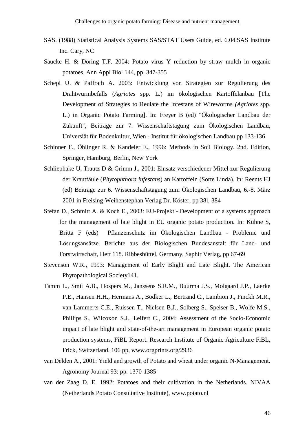- SAS. (1988) Statistical Analysis Systems SAS/STAT Users Guide, ed. 6.04.SAS Institute Inc. Cary, NC
- Saucke H. & Döring T.F. 2004: Potato virus Y reduction by straw mulch in organic potatoes. Ann Appl Biol 144, pp. 347-355
- Schepl U. & Paffrath A. 2003: Entwicklung von Strategien zur Regulierung des Drahtwurmbefalls (*Agriotes* spp. L.) im ökologischen Kartoffelanbau [The Development of Strategies to Reulate the Infestans of Wireworms *(Agriotes* spp. L.) in Organic Potato Farming]. In: Freyer B (ed) "Ökologischer Landbau der Zukunft", Beiträge zur 7. Wissenschaftstagung zum Ökologischen Landbau, Universiät für Bodenkultur, Wien - Institut für ökologischen Landbau pp 133-136
- Schinner F., Öhlinger R. & Kandeler E., 1996: Methods in Soil Biology. 2nd. Edition, Springer, Hamburg, Berlin, New York
- Schliephake U, Trautz D & Grimm J., 2001: Einsatz verschiedener Mittel zur Regulierung der Krautfäule (*Phytophthora infestans*) an Kartoffeln (Sorte Linda). In: Reents HJ (ed) Beiträge zur 6. Wissenschaftstagung zum Ökologischen Landbau, 6.-8. März 2001 in Freising-Weihenstephan Verlag Dr. Köster, pp 381-384
- Stefan D., Schmitt A. & Koch E., 2003: EU-Projekt Development of a systems approach for the management of late blight in EU organic potato production. In: Kühne S, Britta F (eds) Pflanzenschutz im Ökologischen Landbau - Probleme und Lösungsansätze. Berichte aus der Biologischen Bundesanstalt für Land- und Forstwirtschaft, Heft 118. Ribbesbüttel, Germany, Saphir Verlag, pp 67-69
- Stevenson W.R., 1993: Management of Early Blight and Late Blight. The American Phytopathological Society141.
- Tamm L., Smit A.B., Hospers M., Janssens S.R.M., Buurma J.S., Molgaard J.P., Laerke P.E., Hansen H.H., Hermans A., Bodker L., Bertrand C., Lambion J., Finckh M.R., van Lammerts C.E., Ruissen T., Nielsen B.J., Solberg S., Speiser B., Wolfe M.S., Phillips S., Wilcoxon S.J., Leifert C., 2004: Assessment of the Socio-Economic impact of late blight and state-of-the-art management in European organic potato production systems, FiBL Report. Research Institute of Organic Agriculture FiBL, Frick, Switzerland. 106 pp, www.orgprints.org/2936
- van Delden A., 2001: Yield and growth of Potato and wheat under organic N-Management. Agronomy Journal 93: pp. 1370-1385
- van der Zaag D. E. 1992: Potatoes and their cultivation in the Netherlands. NIVAA (Netherlands Potato Consultative Institute), www.potato.nl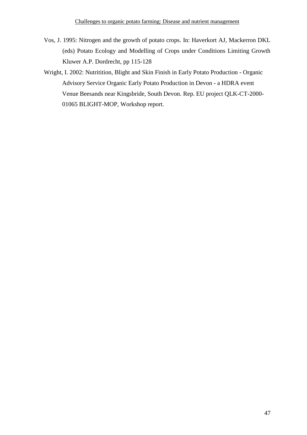- Vos, J. 1995: Nitrogen and the growth of potato crops. In: Haverkort AJ, Mackerron DKL (eds) Potato Ecology and Modelling of Crops under Conditions Limiting Growth Kluwer A.P. Dordrecht, pp 115-128
- Wright, I. 2002: Nutritition, Blight and Skin Finish in Early Potato Production Organic Advisory Service Organic Early Potato Production in Devon - a HDRA event Venue Beesands near Kingsbride, South Devon. Rep. EU project QLK-CT-2000- 01065 BLIGHT-MOP, Workshop report.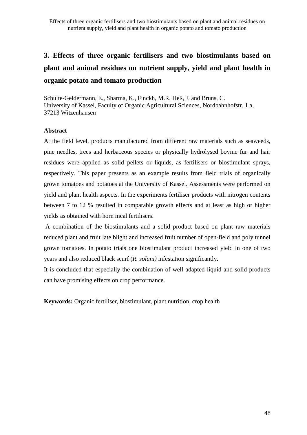Schulte-Geldermann, E., Sharma, K., Finckh, M.R, Heß, J. and Bruns, C. University of Kassel, Faculty of Organic Agricultural Sciences, Nordbahnhofstr. 1 a, 37213 Witzenhausen

# **Abstract**

At the field level, products manufactured from different raw materials such as seaweeds, pine needles, trees and herbaceous species or physically hydrolysed bovine fur and hair residues were applied as solid pellets or liquids, as fertilisers or biostimulant sprays, respectively. This paper presents as an example results from field trials of organically grown tomatoes and potatoes at the University of Kassel. Assessments were performed on yield and plant health aspects. In the experiments fertiliser products with nitrogen contents between 7 to 12 % resulted in comparable growth effects and at least as high or higher yields as obtained with horn meal fertilisers.

 A combination of the biostimulants and a solid product based on plant raw materials reduced plant and fruit late blight and increased fruit number of open-field and poly tunnel grown tomatoes. In potato trials one biostimulant product increased yield in one of two years and also reduced black scurf (*R. solani)* infestation significantly.

It is concluded that especially the combination of well adapted liquid and solid products can have promising effects on crop performance.

**Keywords:** Organic fertiliser, biostimulant, plant nutrition, crop health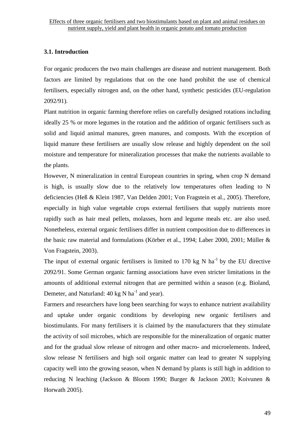# **3.1. Introduction**

For organic producers the two main challenges are disease and nutrient management. Both factors are limited by regulations that on the one hand prohibit the use of chemical fertilisers, especially nitrogen and, on the other hand, synthetic pesticides (EU-regulation 2092/91).

Plant nutrition in organic farming therefore relies on carefully designed rotations including ideally 25 % or more legumes in the rotation and the addition of organic fertilisers such as solid and liquid animal manures, green manures, and composts. With the exception of liquid manure these fertilisers are usually slow release and highly dependent on the soil moisture and temperature for mineralization processes that make the nutrients available to the plants.

However, N mineralization in central European countries in spring, when crop N demand is high, is usually slow due to the relatively low temperatures often leading to N deficiencies (Heß & Klein 1987, Van Delden 2001; Von Fragstein et al., 2005). Therefore, especially in high value vegetable crops external fertilisers that supply nutrients more rapidly such as hair meal pellets, molasses, horn and legume meals etc. are also used. Nonetheless, external organic fertilisers differ in nutrient composition due to differences in the basic raw material and formulations (Körber et al., 1994; Laber 2000, 2001; Müller & Von Fragstein, 2003).

The input of external organic fertilisers is limited to 170 kg N  $ha^{-1}$  by the EU directive 2092/91. Some German organic farming associations have even stricter limitations in the amounts of additional external nitrogen that are permitted within a season (e.g. Bioland, Demeter, and Naturland:  $40 \text{ kg N} \text{ ha}^{-1}$  and year).

Farmers and researchers have long been searching for ways to enhance nutrient availability and uptake under organic conditions by developing new organic fertilisers and biostimulants. For many fertilisers it is claimed by the manufacturers that they stimulate the activity of soil microbes, which are responsible for the mineralization of organic matter and for the gradual slow release of nitrogen and other macro- and microelements. Indeed, slow release N fertilisers and high soil organic matter can lead to greater N supplying capacity well into the growing season, when N demand by plants is still high in addition to reducing N leaching (Jackson & Bloom 1990; Burger & Jackson 2003; Koivunen & Horwath 2005).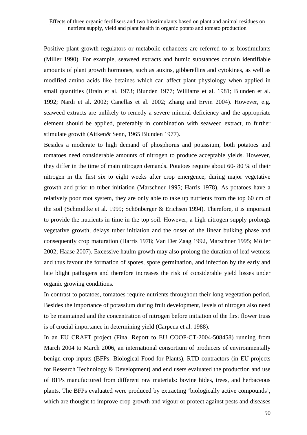Positive plant growth regulators or metabolic enhancers are referred to as biostimulants (Miller 1990). For example, seaweed extracts and humic substances contain identifiable amounts of plant growth hormones, such as auxins, gibberellins and cytokines, as well as modified amino acids like betaines which can affect plant physiology when applied in small quantities (Brain et al. 1973; Blunden 1977; Williams et al. 1981; Blunden et al. 1992; Nardi et al. 2002; Canellas et al. 2002; Zhang and Ervin 2004). However, e.g. seaweed extracts are unlikely to remedy a severe mineral deficiency and the appropriate element should be applied, preferably in combination with seaweed extract, to further stimulate growth (Aitken& Senn, 1965 Blunden 1977).

Besides a moderate to high demand of phosphorus and potassium, both potatoes and tomatoes need considerable amounts of nitrogen to produce acceptable yields. However, they differ in the time of main nitrogen demands. Potatoes require about 60- 80 % of their nitrogen in the first six to eight weeks after crop emergence, during major vegetative growth and prior to tuber initiation (Marschner 1995; Harris 1978). As potatoes have a relatively poor root system, they are only able to take up nutrients from the top 60 cm of the soil (Schmidtke et al. 1999; Schönberger & Erichsen 1994). Therefore, it is important to provide the nutrients in time in the top soil. However, a high nitrogen supply prolongs vegetative growth, delays tuber initiation and the onset of the linear bulking phase and consequently crop maturation (Harris 1978; Van Der Zaag 1992, Marschner 1995; Möller 2002; Haase 2007). Excessive haulm growth may also prolong the duration of leaf wetness and thus favour the formation of spores, spore germination, and infection by the early and late blight pathogens and therefore increases the risk of considerable yield losses under organic growing conditions.

In contrast to potatoes, tomatoes require nutrients throughout their long vegetation period. Besides the importance of potassium during fruit development, levels of nitrogen also need to be maintained and the concentration of nitrogen before initiation of the first flower truss is of crucial importance in determining yield (Carpena et al. 1988).

In an EU CRAFT project (Final Report to EU COOP-CT-2004-508458) running from March 2004 to March 2006, an international consortium of producers of environmentally benign crop inputs (BFPs: Biological Food for Plants), RTD contractors (in EU-projects for Research Technology & Development**)** and end users evaluated the production and use of BFPs manufactured from different raw materials: bovine hides, trees, and herbaceous plants. The BFPs evaluated were produced by extracting 'biologically active compounds', which are thought to improve crop growth and vigour or protect against pests and diseases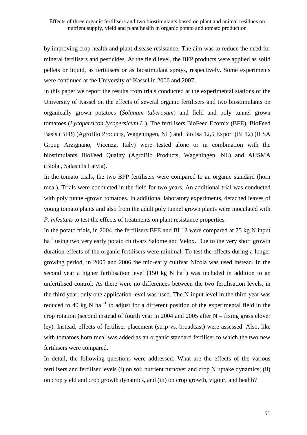by improving crop health and plant disease resistance. The aim was to reduce the need for mineral fertilisers and pesticides. At the field level, the BFP products were applied as solid pellets or liquid, as fertilisers or as biostimulant sprays, respectively. Some experiments were continued at the University of Kassel in 2006 and 2007.

In this paper we report the results from trials conducted at the experimental stations of the University of Kassel on the effects of several organic fertilisers and two biostimulants on organically grown potatoes (*Solanum tuberosum*) and field and poly tunnel grown tomatoes (*Lycopersicon lycopersicum L.*). The fertilisers BioFeed Ecomix (BFE), BioFeed Basis (BFB) (AgroBio Products, Wageningen, NL) and BioIlsa 12,5 Export (BI 12) (ILSA Group Arzignano, Vicenza, Italy) were tested alone or in combination with the biostimulants BioFeed Quality (AgroBio Products, Wageningen, NL) and AUSMA (Biolat, Salaspils Latvia).

In the tomato trials, the two BFP fertilisers were compared to an organic standard (horn meal). Trials were conducted in the field for two years. An additional trial was conducted with poly tunnel-grown tomatoes. In additional laboratory experiments, detached leaves of young tomato plants and also from the adult poly tunnel grown plants were inoculated with *P. infestans* to test the effects of treatments on plant resistance properties.

In the potato trials, in 2004, the fertilisers BFE and BI 12 were compared at 75 kg N input ha<sup>-1</sup> using two very early potato cultivars Salome and Velox. Due to the very short growth duration effects of the organic fertilisers were minimal. To test the effects during a longer growing period, in 2005 and 2006 the mid-early cultivar Nicola was used instead. In the second year a higher fertilisation level (150 kg N  $ha^{-1}$ ) was included in addition to an unfertilised control. As there were no differences between the two fertilisation levels, in the third year, only one application level was used. The N-input level in the third year was reduced to 40 kg N ha<sup> $-1$ </sup> to adjust for a different position of the experimental field in the crop rotation (second instead of fourth year in 2004 and 2005 after N – fixing grass clover ley). Instead, effects of fertiliser placement (strip vs. broadcast) were assessed. Also, like with tomatoes horn meal was added as an organic standard fertiliser to which the two new fertilisers were compared.

In detail, the following questions were addressed: What are the effects of the various fertilisers and fertiliser levels (i) on soil nutrient turnover and crop N uptake dynamics; (ii) on crop yield and crop growth dynamics, and (iii) on crop growth, vigour, and health?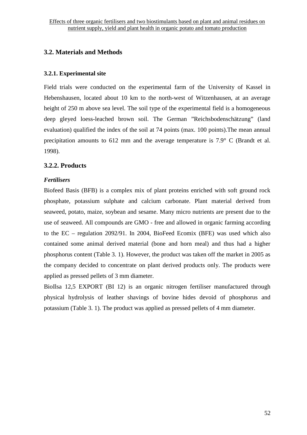# **3.2. Materials and Methods**

# **3.2.1. Experimental site**

Field trials were conducted on the experimental farm of the University of Kassel in Hebenshausen, located about 10 km to the north-west of Witzenhausen, at an average height of 250 m above sea level. The soil type of the experimental field is a homogeneous deep gleyed loess-leached brown soil. The German "Reichsbodenschätzung" (land evaluation) qualified the index of the soil at 74 points (max. 100 points).The mean annual precipitation amounts to 612 mm and the average temperature is 7.9° C (Brandt et al. 1998).

# **3.2.2. Products**

# *Fertilisers*

Biofeed Basis (BFB) is a complex mix of plant proteins enriched with soft ground rock phosphate, potassium sulphate and calcium carbonate. Plant material derived from seaweed, potato, maize, soybean and sesame. Many micro nutrients are present due to the use of seaweed. All compounds are GMO - free and allowed in organic farming according to the EC – regulation 2092/91. In 2004, BioFeed Ecomix (BFE) was used which also contained some animal derived material (bone and horn meal) and thus had a higher phosphorus content (Table 3. 1). However, the product was taken off the market in 2005 as the company decided to concentrate on plant derived products only. The products were applied as pressed pellets of 3 mm diameter.

BioIlsa 12,5 EXPORT (BI 12) is an organic nitrogen fertiliser manufactured through physical hydrolysis of leather shavings of bovine hides devoid of phosphorus and potassium (Table 3. 1). The product was applied as pressed pellets of 4 mm diameter.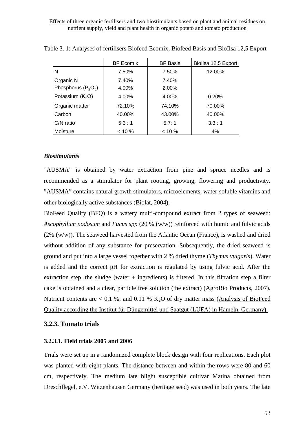|                       | <b>BF Ecomix</b> | <b>BF Basis</b> | Biollsa 12,5 Export |  |
|-----------------------|------------------|-----------------|---------------------|--|
| N                     | 7.50%            | 7.50%           | 12.00%              |  |
| Organic N             | 7.40%            | 7.40%           |                     |  |
| Phosphorus $(P_2O_5)$ | 4.00%            | 2.00%           |                     |  |
| Potassium $(K_2O)$    | 4.00%            | 4.00%           | 0.20%               |  |
| Organic matter        | 72.10%           | 74.10%          | 70.00%              |  |
| Carbon                | 40.00%           | 43.00%          | 40.00%              |  |
| $C/N$ ratio           | 5.3:1            | 5.7:1           | 3.3:1               |  |
| Moisture              | $< 10 \%$        | $< 10 \%$       | 4%                  |  |

Table 3. 1: Analyses of fertilisers Biofeed Ecomix, Biofeed Basis and BioIlsa 12,5 Export

#### *Biostimulants*

"AUSMA" is obtained by water extraction from pine and spruce needles and is recommended as a stimulator for plant rooting, growing, flowering and productivity. "AUSMA" contains natural growth stimulators, microelements, water-soluble vitamins and other biologically active substances (Biolat, 2004).

BioFeed Quality (BFQ) is a watery multi-compound extract from 2 types of seaweed: *Ascophyllum nodosum* and *Fucus spp* (20 % (w/w)) reinforced with humic and fulvic acids  $(2\%$  (w/w)). The seaweed harvested from the Atlantic Ocean (France), is washed and dried without addition of any substance for preservation. Subsequently, the dried seaweed is ground and put into a large vessel together with 2 % dried thyme (*Thymus vulgaris*). Water is added and the correct pH for extraction is regulated by using fulvic acid. After the extraction step, the sludge (water  $+$  ingredients) is filtered. In this filtration step a filter cake is obtained and a clear, particle free solution (the extract) (AgroBio Products, 2007). Nutrient contents are  $< 0.1$  %: and 0.11 % K<sub>2</sub>O of dry matter mass (Analysis of BioFeed Quality according the Institut für Düngemittel und Saatgut (LUFA) in Hameln, Germany).

# **3.2.3. Tomato trials**

#### **3.2.3.1. Field trials 2005 and 2006**

Trials were set up in a randomized complete block design with four replications. Each plot was planted with eight plants. The distance between and within the rows were 80 and 60 cm, respectively. The medium late blight susceptible cultivar Matina obtained from Dreschflegel, e.V. Witzenhausen Germany (heritage seed) was used in both years. The late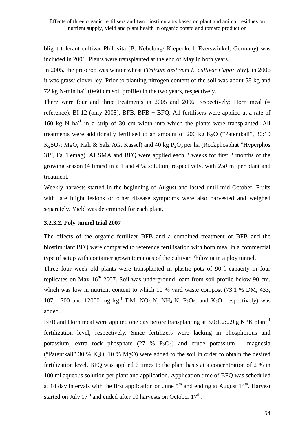blight tolerant cultivar Philovita (B. Nebelung/ Kiepenkerl, Everswinkel, Germany) was included in 2006. Plants were transplanted at the end of May in both years.

In 2005, the pre-crop was winter wheat (*Tritcum aestivum L. cultivar Capo; WW*), in 2006 it was grass/ clover ley. Prior to planting nitrogen content of the soil was about 58 kg and 72 kg N-min ha<sup>-1</sup> (0-60 cm soil profile) in the two years, respectively.

There were four and three treatments in 2005 and 2006, respectively: Horn meal  $(=$ reference), BI 12 (only 2005), BFB, BFB + BFQ. All fertilisers were applied at a rate of 160 kg N  $ha^{-1}$  in a strip of 30 cm width into which the plants were transplanted. All treatments were additionally fertilised to an amount of 200 kg  $K_2O$  ("Patentkali", 30:10 K<sub>2</sub>SO<sub>4</sub>: MgO, Kali & Salz AG, Kassel) and 40 kg  $P_2O_5$  per ha (Rockphosphat "Hyperphos" 31", Fa. Temag). AUSMA and BFQ were applied each 2 weeks for first 2 months of the growing season (4 times) in a 1 and 4 % solution, respectively, with *250* ml per plant and treatment*.*

Weekly harvests started in the beginning of August and lasted until mid October. Fruits with late blight lesions or other disease symptoms were also harvested and weighed separately. Yield was determined for each plant.

### **3.2.3.2. Poly tunnel trial 2007**

The effects of the organic fertilizer BFB and a combined treatment of BFB and the biostimulant BFQ were compared to reference fertilisation with horn meal in a commercial type of setup with container grown tomatoes of the cultivar Philovita in a ploy tunnel.

Three four week old plants were transplanted in plastic pots of 90 l capacity in four replicates on May  $16<sup>th</sup>$  2007. Soil was underground loam from soil profile below 90 cm, which was low in nutrient content to which 10 % yard waste compost (73.1 % DM, 433, 107, 1700 and 12000 mg  $kg^{-1}$  DM, NO<sub>3</sub>-N, NH<sub>4</sub>-N, P<sub>2</sub>O<sub>5</sub>, and K<sub>2</sub>O, respectively) was added.

BFB and Horn meal were applied one day before transplanting at  $3.0:1.2:2.9$  g NPK plant<sup>-1</sup> fertilization level, respectively. Since fertilizers were lacking in phosphorous and potassium, extra rock phosphate  $(27 \% \text{ P}_2\text{O}_5)$  and crude potassium – magnesia ("Patentkali" 30 % K<sub>2</sub>O, 10 % MgO) were added to the soil in order to obtain the desired fertilization level. BFQ was applied 6 times to the plant basis at a concentration of 2 % in 100 ml aqueous solution per plant and application. Application time of BFQ was scheduled at 14 day intervals with the first application on June  $5<sup>th</sup>$  and ending at August 14<sup>th</sup>. Harvest started on July  $17<sup>th</sup>$  and ended after 10 harvests on October  $17<sup>th</sup>$ .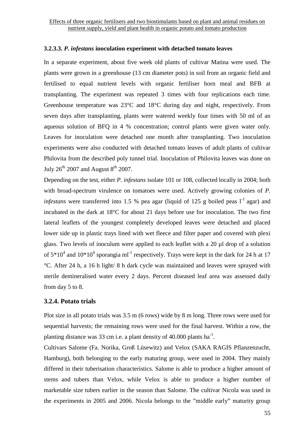# **3.2.3.3.** *P. infestans* **inoculation experiment with detached tomato leaves**

In a separate experiment, about five week old plants of cultivar Matina were used. The plants were grown in a greenhouse (13 cm diameter pots) in soil from an organic field and fertilised to equal nutrient levels with organic fertiliser horn meal and BFB at transplanting. The experiment was repeated 3 times with four replications each time. Greenhouse temperature was 23°C and 18°C during day and night, respectively. From seven days after transplanting, plants were watered weekly four times with 50 ml of an aqueous solution of BFQ in 4 % concentration; control plants were given water only. Leaves for inoculation were detached one month after transplanting. Two inoculation experiments were also conducted with detached tomato leaves of adult plants of cultivar Philovita from the described poly tunnel trial. Inoculation of Philovita leaves was done on July  $26^{th}$  2007 and August  $8^{th}$  2007.

Depending on the test, either *P. infestans* isolate 101 or 108, collected locally in 2004; both with broad-spectrum virulence on tomatoes were used. Actively growing colonies of *P. infestans* were transferred into 1.5 % pea agar (liquid of 125 g boiled peas  $I<sup>-1</sup>$  agar) and incubated in the dark at 18°C for about 21 days before use for inoculation. The two first lateral leaflets of the youngest completely developed leaves were detached and placed lower side up in plastic trays lined with wet fleece and filter paper and covered with plexi glass. Two levels of inoculum were applied to each leaflet with a 20 µl drop of a solution of  $5*10^4$  and  $10*10^4$  sporangia ml<sup>-1</sup> respectively. Trays were kept in the dark for 24 h at 17 °C. After 24 h, a 16 h light/ 8 h dark cycle was maintained and leaves were sprayed with sterile demineralised water every 2 days. Percent diseased leaf area was assessed daily from day 5 to 8.

# **3.2.4. Potato trials**

Plot size in all potato trials was 3.5 m (6 rows) wide by 8 m long. Three rows were used for sequential harvests; the remaining rows were used for the final harvest. Within a row, the planting distance was 33 cm i.e. a plant density of 40.000 plants  $ha^{-1}$ .

Cultivars Salome (Fa. Norika, Groß Lüsewitz) and Velox (SAKA RAGIS Pflanzenzucht, Hamburg), both belonging to the early maturing group, were used in 2004. They mainly differed in their tuberisation characteristics. Salome is able to produce a higher amount of stems and tubers than Velox, while Velox is able to produce a higher number of marketable size tubers earlier in the season than Salome. The cultivar Nicola was used in the experiments in 2005 and 2006. Nicola belongs to the "middle early" maturity group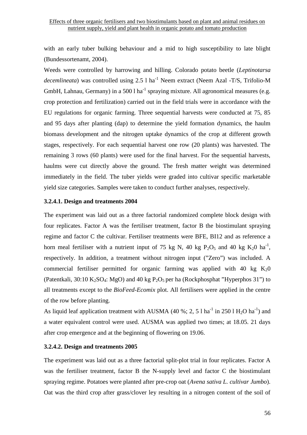with an early tuber bulking behaviour and a mid to high susceptibility to late blight (Bundessortenamt, 2004).

Weeds were controlled by harrowing and hilling. Colorado potato beetle (*Leptinotarsa decemlineata*) was controlled using 2.5 l ha<sup>-1</sup> Neem extract (Neem Azal -T/S, Trifolio-M GmbH, Lahnau, Germany) in a 500 l ha<sup>-1</sup> spraying mixture. All agronomical measures (e.g. crop protection and fertilization) carried out in the field trials were in accordance with the EU regulations for organic farming. Three sequential harvests were conducted at 75, 85 and 95 days after planting (dap) to determine the yield formation dynamics, the haulm biomass development and the nitrogen uptake dynamics of the crop at different growth stages, respectively. For each sequential harvest one row (20 plants) was harvested. The remaining 3 rows (60 plants) were used for the final harvest. For the sequential harvests, haulms were cut directly above the ground. The fresh matter weight was determined immediately in the field. The tuber yields were graded into cultivar specific marketable yield size categories. Samples were taken to conduct further analyses, respectively.

#### **3.2.4.1. Design and treatments 2004**

The experiment was laid out as a three factorial randomized complete block design with four replicates. Factor A was the fertiliser treatment, factor B the biostimulant spraying regime and factor C the cultivar. Fertiliser treatments were BFE, BI12 and as reference a horn meal fertiliser with a nutrient input of 75 kg N, 40 kg  $P_2O_5$  and 40 kg  $K_2O$  ha<sup>-1</sup>, respectively. In addition, a treatment without nitrogen input ("Zero") was included. A commercial fertiliser permitted for organic farming was applied with 40 kg  $K_2$ 0 (Patentkali, 30:10 K<sub>2</sub>SO<sub>4</sub>: MgO) and 40 kg P<sub>2</sub>O<sub>5</sub> per ha (Rockphosphat "Hyperphos 31") to all treatments except to the *BioFeed-Ecomix* plot. All fertilisers were applied in the centre of the row before planting.

As liquid leaf application treatment with AUSMA (40 %; 2, 5 l ha<sup>-1</sup> in 250 l H<sub>2</sub>O ha<sup>-1</sup>) and a water equivalent control were used. AUSMA was applied two times; at 18.05. 21 days after crop emergence and at the beginning of flowering on 19.06.

#### **3.2.4.2. Design and treatments 2005**

The experiment was laid out as a three factorial split-plot trial in four replicates. Factor A was the fertiliser treatment, factor B the N-supply level and factor C the biostimulant spraying regime. Potatoes were planted after pre-crop oat (*Avena sativa L. cultivar Jumbo*). Oat was the third crop after grass/clover ley resulting in a nitrogen content of the soil of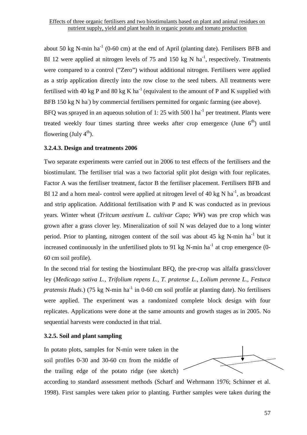about 50 kg N-min ha<sup>-1</sup> (0-60 cm) at the end of April (planting date). Fertilisers BFB and BI 12 were applied at nitrogen levels of 75 and 150 kg N ha<sup>-1</sup>, respectively. Treatments were compared to a control ("Zero") without additional nitrogen. Fertilisers were applied as a strip application directly into the row close to the seed tubers. All treatments were fertilised with 40 kg P and 80 kg K ha<sup>-1</sup> (equivalent to the amount of P and K supplied with BFB 150 kg N ha<sup>-</sup>) by commercial fertilisers permitted for organic farming (see above). BFQ was sprayed in an aqueous solution of 1: 25 with 500 l ha<sup>-1</sup> per treatment. Plants were

treated weekly four times starting three weeks after crop emergence (June  $6<sup>th</sup>$ ) until flowering (July  $4^{th}$ ).

# **3.2.4.3. Design and treatments 2006**

Two separate experiments were carried out in 2006 to test effects of the fertilisers and the biostimulant. The fertiliser trial was a two factorial split plot design with four replicates. Factor A was the fertiliser treatment, factor B the fertiliser placement. Fertilisers BFB and BI 12 and a horn meal- control were applied at nitrogen level of 40 kg N ha<sup>-1</sup>, as broadcast and strip application. Additional fertilisation with P and K was conducted as in previous years. Winter wheat (*Tritcum aestivum L. cultivar Capo; WW*) was pre crop which was grown after a grass clover ley. Mineralization of soil N was delayed due to a long winter period. Prior to planting, nitrogen content of the soil was about 45 kg N-min  $ha^{-1}$  but it increased continuously in the unfertilised plots to 91 kg N-min  $ha^{-1}$  at crop emergence (0-60 cm soil profile).

In the second trial for testing the biostimulant BFQ, the pre-crop was alfalfa grass/clover ley (*Medicago sativa L., Trifolium repens L., T. pratense L., Lolium perenne L., Festuca pratensis Huds*.) (75 kg N-min ha<sup>-1</sup> in 0-60 cm soil profile at planting date). No fertilisers were applied. The experiment was a randomized complete block design with four replicates. Applications were done at the same amounts and growth stages as in 2005. No sequential harvests were conducted in that trial.

# **3.2.5. Soil and plant sampling**

In potato plots, samples for N-min were taken in the soil profiles 0-30 and 30-60 cm from the middle of the trailing edge of the potato ridge (see sketch)

according to standard assessment methods (Scharf and Wehrmann 1976; Schinner et al. 1998). First samples were taken prior to planting. Further samples were taken during the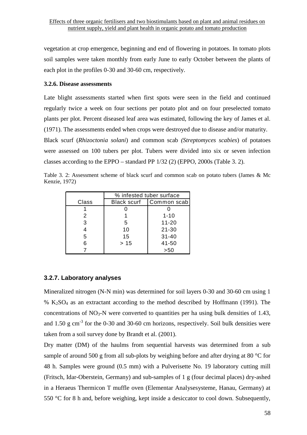vegetation at crop emergence, beginning and end of flowering in potatoes. In tomato plots soil samples were taken monthly from early June to early October between the plants of each plot in the profiles 0-30 and 30-60 cm, respectively.

#### **3.2.6. Disease assessments**

Late blight assessments started when first spots were seen in the field and continued regularly twice a week on four sections per potato plot and on four preselected tomato plants per plot. Percent diseased leaf area was estimated, following the key of James et al. (1971). The assessments ended when crops were destroyed due to disease and/or maturity.

Black scurf (*Rhizoctonia solani*) and common scab *(Streptomyces scabies*) of potatoes were assessed on 100 tubers per plot. Tubers were divided into six or seven infection classes according to the EPPO – standard PP 1/32 (2) (EPPO, 2000s (Table 3. 2).

Table 3. 2: Assessment scheme of black scurf and common scab on potato tubers (James & Mc Kenzie, 1972)

|       | % infested tuber surface |             |  |  |
|-------|--------------------------|-------------|--|--|
| Class | <b>Black scurf</b>       | Common scab |  |  |
|       |                          |             |  |  |
| 2     |                          | $1 - 10$    |  |  |
| 3     | 5                        | $11 - 20$   |  |  |
| 4     | 10                       | $21 - 30$   |  |  |
| 5     | 15                       | $31 - 40$   |  |  |
| 6     | >15                      | 41-50       |  |  |
|       |                          | >50         |  |  |

### **3.2.7. Laboratory analyses**

Mineralized nitrogen (N-N min) was determined for soil layers 0-30 and 30-60 cm using 1 %  $K<sub>2</sub>SO<sub>4</sub>$  as an extractant according to the method described by Hoffmann (1991). The concentrations of  $NO_3-N$  were converted to quantities per ha using bulk densities of 1.43, and  $1.50 \text{ g cm}^{-3}$  for the 0-30 and 30-60 cm horizons, respectively. Soil bulk densities were taken from a soil survey done by Brandt et al. (2001).

Dry matter (DM) of the haulms from sequential harvests was determined from a sub sample of around 500 g from all sub-plots by weighing before and after drying at 80 °C for 48 h. Samples were ground (0.5 mm) with a Pulverisette No. 19 laboratory cutting mill (Fritsch, Idar-Oberstein, Germany) and sub-samples of 1 g (four decimal places) dry-ashed in a Heraeus Thermicon T muffle oven (Elementar Analysesysteme, Hanau, Germany) at 550 °C for 8 h and, before weighing, kept inside a desiccator to cool down. Subsequently,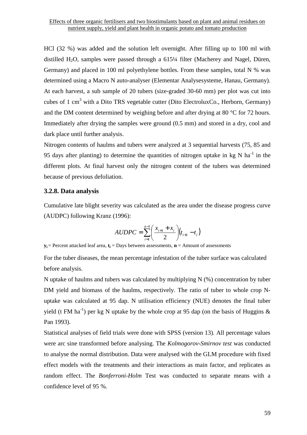HCl (32 %) was added and the solution left overnight. After filling up to 100 ml with distilled H2O, samples were passed through a 615¼ filter (Macherey and Nagel, Düren, Germany) and placed in 100 ml polyethylene bottles. From these samples, total N % was determined using a Macro N auto-analyser (Elementar Analysesysteme, Hanau, Germany). At each harvest, a sub sample of 20 tubers (size-graded 30-60 mm) per plot was cut into cubes of 1 cm<sup>3</sup> with a Dito TRS vegetable cutter (Dito ElectroluxCo., Herborn, Germany) and the DM content determined by weighing before and after drying at 80 °C for 72 hours. Immediately after drying the samples were ground (0.5 mm) and stored in a dry, cool and dark place until further analysis.

Nitrogen contents of haulms and tubers were analyzed at 3 sequential harvests (75, 85 and 95 days after planting) to determine the quantities of nitrogen uptake in kg N ha<sup>-1</sup> in the different plots. At final harvest only the nitrogen content of the tubers was determined because of previous defoliation.

## **3.2.8. Data analysis**

Cumulative late blight severity was calculated as the area under the disease progress curve (AUDPC) following Kranz (1996):

$$
AUDPC = \sum_{i=1}^{n-1} \left( \frac{x_{i+1} + x_i}{2} \right) (t_{i+1} - t_i)
$$

**y<sup>i</sup>** = Percent attacked leaf area, **t<sup>i</sup>** = Days between assessments, **n** = Amount of assessments

For the tuber diseases, the mean percentage infestation of the tuber surface was calculated before analysis.

N uptake of haulms and tubers was calculated by multiplying N (%) concentration by tuber DM yield and biomass of the haulms, respectively. The ratio of tuber to whole crop Nuptake was calculated at 95 dap. N utilisation efficiency (NUE) denotes the final tuber yield (t FM ha<sup>-1</sup>) per kg N uptake by the whole crop at 95 dap (on the basis of Huggins  $\&$ Pan 1993).

Statistical analyses of field trials were done with SPSS (version 13). All percentage values were arc sine transformed before analysing. The *Kolmogorov-Smirnov test* was conducted to analyse the normal distribution. Data were analysed with the GLM procedure with fixed effect models with the treatments and their interactions as main factor, and replicates as random effect. The *Bonferroni-Holm* Test was conducted to separate means with a confidence level of 95 %.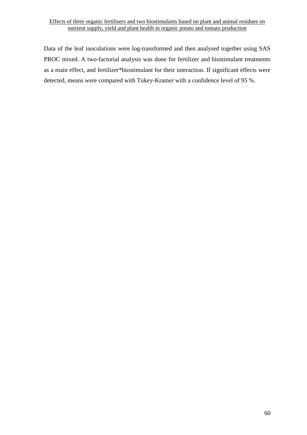Data of the leaf inoculations were log-transformed and then analysed together using SAS PROC mixed. A two-factorial analysis was done for fertilizer and biostimulant treatments as a main effect, and fertilizer\*biostimulant for their interaction. If significant effects were detected, means were compared with Tukey-Kramer with a confidence level of 95 %.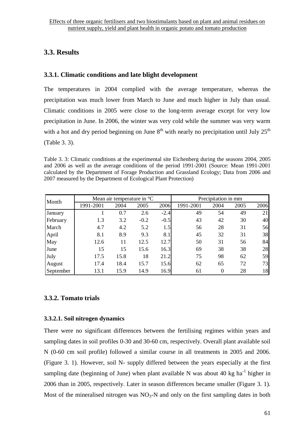# **3.3. Results**

# **3.3.1. Climatic conditions and late blight development**

The temperatures in 2004 complied with the average temperature, whereas the precipitation was much lower from March to June and much higher in July than usual. Climatic conditions in 2005 were close to the long-term average except for very low precipitation in June. In 2006, the winter was very cold while the summer was very warm with a hot and dry period beginning on June  $8<sup>th</sup>$  with nearly no precipitation until July  $25<sup>th</sup>$ (Table 3. 3).

Table 3. 3: Climatic conditions at the experimental site Eichenberg during the seasons 2004, 2005 and 2006 as well as the average conditions of the period 1991-2001 (Source: Mean 1991-2001 calculated by the Department of Forage Production and Grassland Ecology; Data from 2006 and 2007 measured by the Department of Ecological Plant Protection)

| Month     | Mean air temperature in $^{\circ}C$ |      |        |        | Precipitation in mm |          |      |      |
|-----------|-------------------------------------|------|--------|--------|---------------------|----------|------|------|
|           | 1991-2001                           | 2004 | 2005   | 2006   | 1991-2001           | 2004     | 2005 | 2006 |
| January   |                                     | 0.7  | 2.6    | $-2.4$ | 49                  | 54       | 49   | 21   |
| February  | 1.3                                 | 3.2  | $-0.2$ | $-0.5$ | 43                  | 42       | 30   | 40   |
| March     | 4.7                                 | 4.2  | 5.2    | 1.5    | 56                  | 28       | 31   | 56   |
| April     | 8.1                                 | 8.9  | 9.3    | 8.1    | 45                  | 32       | 31   | 38   |
| May       | 12.6                                | 11   | 12.5   | 12.7   | 50                  | 31       | 56   | 84   |
| June      | 15                                  | 15   | 15.6   | 16.3   | 69                  | 38       | 38   | 28   |
| July      | 17.5                                | 15.8 | 18     | 21.2   | 75                  | 98       | 62   | 59   |
| August    | 17.4                                | 18.4 | 15.7   | 15.6   | 62                  | 65       | 72   | 73   |
| September | 13.1                                | 15.9 | 14.9   | 16.9   | 61                  | $\Omega$ | 28   | 18   |

# **3.3.2. Tomato trials**

# **3.3.2.1. Soil nitrogen dynamics**

There were no significant differences between the fertilising regimes within years and sampling dates in soil profiles 0-30 and 30-60 cm, respectively. Overall plant available soil N (0-60 cm soil profile) followed a similar course in all treatments in 2005 and 2006. (Figure 3. 1). However, soil N- supply differed between the years especially at the first sampling date (beginning of June) when plant available N was about 40 kg ha $^{-1}$  higher in 2006 than in 2005, respectively. Later in season differences became smaller (Figure 3. 1). Most of the mineralised nitrogen was  $NO_3-N$  and only on the first sampling dates in both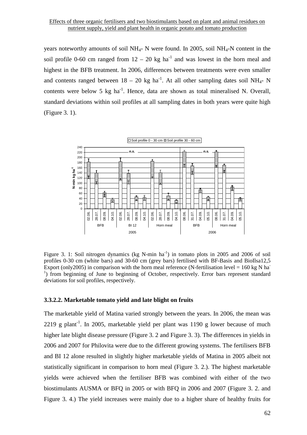years noteworthy amounts of soil NH4- N were found. In 2005, soil NH4-N content in the soil profile 0-60 cm ranged from  $12 - 20$  kg ha<sup>-1</sup> and was lowest in the horn meal and highest in the BFB treatment. In 2006, differences between treatments were even smaller and contents ranged between  $18 - 20$  kg ha<sup>-1</sup>. At all other sampling dates soil NH<sub>4</sub>- N contents were below 5 kg  $ha^{-1}$ . Hence, data are shown as total mineralised N. Overall, standard deviations within soil profiles at all sampling dates in both years were quite high (Figure 3. 1).



Figure 3. 1: Soil nitrogen dynamics (kg N-min  $ha^{-1}$ ) in tomato plots in 2005 and 2006 of soil profiles 0-30 cm (white bars) and 30-60 cm (grey bars) fertilised with BF-Basis and BioIlsa12,5 Export (only2005) in comparison with the horn meal reference (N-fertilisation level = 160 kg N ha<sup>-</sup> <sup>1</sup>) from beginning of June to beginning of October, respectively. Error bars represent standard deviations for soil profiles, respectively.

### **3.3.2.2. Marketable tomato yield and late blight on fruits**

The marketable yield of Matina varied strongly between the years. In 2006, the mean was 2219 g plant<sup>-1</sup>. In 2005, marketable yield per plant was 1190 g lower because of much higher late blight disease pressure (Figure 3. 2 and Figure 3. 3). The differences in yields in 2006 and 2007 for Philovita were due to the different growing systems. The fertilisers BFB and BI 12 alone resulted in slightly higher marketable yields of Matina in 2005 albeit not statistically significant in comparison to horn meal (Figure 3. 2.). The highest marketable yields were achieved when the fertiliser BFB was combined with either of the two biostimulants AUSMA or BFQ in 2005 or with BFQ in 2006 and 2007 (Figure 3. 2. and Figure 3. 4.) The yield increases were mainly due to a higher share of healthy fruits for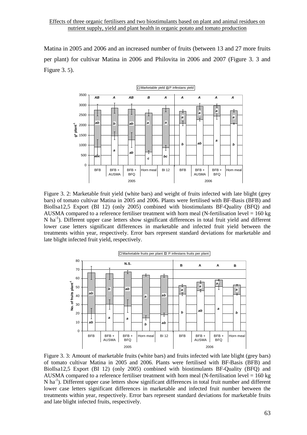Matina in 2005 and 2006 and an increased number of fruits (between 13 and 27 more fruits per plant) for cultivar Matina in 2006 and Philovita in 2006 and 2007 (Figure 3. 3 and Figure 3. 5).



Figure 3. 2: Marketable fruit yield (white bars) and weight of fruits infected with late blight (grey bars) of tomato cultivar Matina in 2005 and 2006. Plants were fertilised with BF-Basis (BFB) and BioIlsa12,5 Export (BI 12) (only 2005) combined with biostimulants BF-Quality (BFQ) and AUSMA compared to a reference fertiliser treatment with horn meal (N-fertilisation level  $= 160 \text{ kg}$ ) N ha<sup>-1</sup>). Different upper case letters show significant differences in total fruit yield and different lower case letters significant differences in marketable and infected fruit yield between the treatments within year, respectively. Error bars represent standard deviations for marketable and late blight infected fruit yield, respectively.



Figure 3. 3: Amount of marketable fruits (white bars) and fruits infected with late blight (grey bars) of tomato cultivar Matina in 2005 and 2006. Plants were fertilised with BF-Basis (BFB) and BioIlsa12,5 Export (BI 12) (only 2005) combined with biostimulants BF-Quality (BFQ) and AUSMA compared to a reference fertiliser treatment with horn meal (N-fertilisation level  $= 160$  kg  $N$  ha<sup>-1</sup>). Different upper case letters show significant differences in total fruit number and different lower case letters significant differences in marketable and infected fruit number between the treatments within year, respectively. Error bars represent standard deviations for marketable fruits and late blight infected fruits, respectively.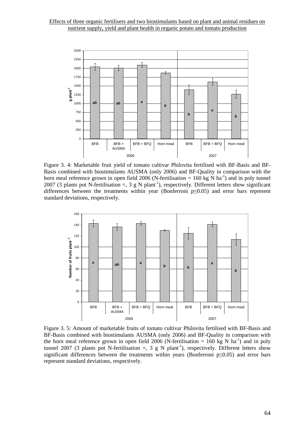

Figure 3. 4: Marketable fruit yield of tomato cultivar Philovita fertilised with BF-Basis and BF-Basis combined with biostimulants AUSMA (only 2006) and BF-Quality in comparison with the horn meal reference grown in open field 2006 (N-fertilisation =  $160 \text{ kg N}$  ha<sup>-1</sup>) and in poly tunnel 2007 (3 plants pot N-fertilisation  $=$ , 3 g N plant<sup>-1</sup>), respectively. Different letters show significant differences between the treatments within year (Bonferroni p≤0.05) and error bars represent standard deviations, respectively.



Figure 3. 5: Amount of marketable fruits of tomato cultivar Philovita fertilised with BF-Basis and BF-Basis combined with biostimulants AUSMA (only 2006) and BF-Quality in comparison with the horn meal reference grown in open field 2006 (N-fertilisation = 160 kg N ha<sup>-1</sup>) and in poly tunnel 2007 (3 plants pot N-fertilisation =, 3 g N plant<sup>-1</sup>), respectively. Different letters show significant differences between the treatments within years (Bonferroni p≤0.05) and error bars represent standard deviations, respectively.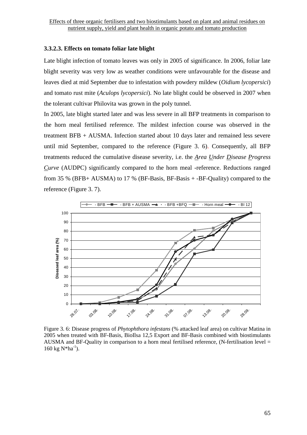# **3.3.2.3. Effects on tomato foliar late blight**

Late blight infection of tomato leaves was only in 2005 of significance. In 2006, foliar late blight severity was very low as weather conditions were unfavourable for the disease and leaves died at mid September due to infestation with powdery mildew (*Oidium lycopersici*) and tomato rust mite (*Aculops lycopersici*). No late blight could be observed in 2007 when the tolerant cultivar Philovita was grown in the poly tunnel.

In 2005, late blight started later and was less severe in all BFP treatments in comparison to the horn meal fertilised reference. The mildest infection course was observed in the treatment BFB + AUSMA. Infection started about 10 days later and remained less severe until mid September, compared to the reference (Figure 3. 6). Consequently, all BFP treatments reduced the cumulative disease severity, i.e. the *Area Under Disease Progress Curve* (AUDPC) significantly compared to the horn meal -reference. Reductions ranged from 35 % (BFB+ AUSMA) to 17 % (BF-Basis, BF-Basis  $+$ -BF-Quality) compared to the reference (Figure 3. 7).



Figure 3. 6: Disease progress of *Phytophthora infestans* (% attacked leaf area) on cultivar Matina in 2005 when treated with BF-Basis, BioIlsa 12,5 Export and BF-Basis combined with biostimulants AUSMA and BF-Quality in comparison to a horn meal fertilised reference, (N-fertilisation level =  $160 \text{ kg N*ha}^{-1}$ ).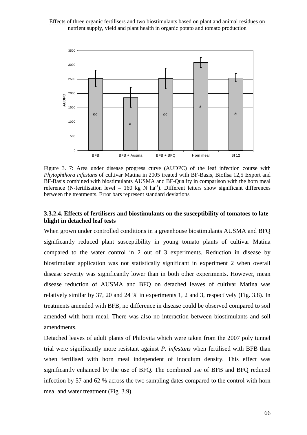

Figure 3. 7: Area under disease progress curve (AUDPC) of the leaf infection course with *Phytophthora infestans* of cultivar Matina in 2005 treated with BF-Basis, BioIlsa 12,5 Export and BF-Basis combined with biostimulants AUSMA and BF-Quality in comparison with the horn meal reference (N-fertilisation level = 160 kg N ha<sup>-1</sup>). Different letters show significant differences between the treatments. Error bars represent standard deviations

# **3.3.2.4. Effects of fertilisers and biostimulants on the susceptibility of tomatoes to late blight in detached leaf tests**

When grown under controlled conditions in a greenhouse biostimulants AUSMA and BFQ significantly reduced plant susceptibility in young tomato plants of cultivar Matina compared to the water control in 2 out of 3 experiments. Reduction in disease by biostimulant application was not statistically significant in experiment 2 when overall disease severity was significantly lower than in both other experiments. However, mean disease reduction of AUSMA and BFQ on detached leaves of cultivar Matina was relatively similar by 37, 20 and 24 % in experiments 1, 2 and 3, respectively (Fig. 3.8). In treatments amended with BFB, no difference in disease could be observed compared to soil amended with horn meal. There was also no interaction between biostimulants and soil amendments.

Detached leaves of adult plants of Philovita which were taken from the 2007 poly tunnel trial were significantly more resistant against *P. infestans* when fertilised with BFB than when fertilised with horn meal independent of inoculum density. This effect was significantly enhanced by the use of BFQ. The combined use of BFB and BFQ reduced infection by 57 and 62 % across the two sampling dates compared to the control with horn meal and water treatment (Fig. 3.9).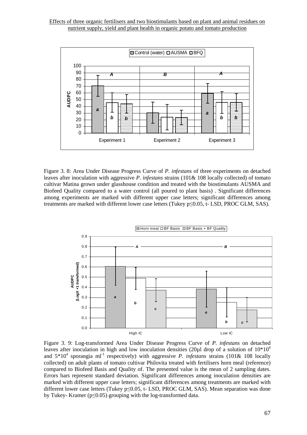

Figure 3. 8: Area Under Disease Progress Curve of *P. infestans* of three experiments on detached leaves after inoculation with aggressive *P. infestans* strains (101& 108 locally collected) of tomato cultivar Matina grown under glasshouse condition and treated with the biostimulants AUSMA and Biofeed Quality compared to a water control (all poured to plant basis) . Significant differences among experiments are marked with different upper case letters; significant differences among treatments are marked with different lower case letters (Tukey p≤0.05, t- LSD, PROC GLM, SAS).



Figure 3. 9: Log-transformed Area Under Disease Progress Curve of *P. infestans* on detached leaves after inoculation in high and low inoculation densities (20ul drop of a solution of  $10*10^4$ ) and  $5*10^4$  sporangia ml<sup>-1</sup> respectively) with aggressive *P. infestans* strains (101& 108 locally collected) on adult plants of tomato cultivar Philovita treated with fertilisers horn meal (reference) compared to Biofeed Basis and Quality of. The presented value is the mean of 2 sampling dates. Errors bars represent standard deviation. Significant differences among inoculation densities are marked with different upper case letters; significant differences among treatments are marked with different lower case letters (Tukey p≤0.05, t- LSD, PROC GLM, SAS). Mean separation was done by Tukey- Kramer ( $p \le 0.05$ ) grouping with the log-transformed data.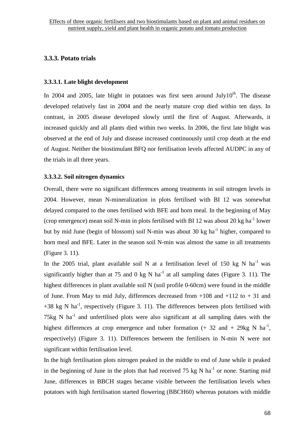# **3.3.3. Potato trials**

# **3.3.3.1. Late blight development**

In 2004 and 2005, late blight in potatoes was first seen around July10<sup>th</sup>. The disease developed relatively fast in 2004 and the nearly mature crop died within ten days. In contrast, in 2005 disease developed slowly until the first of August. Afterwards, it increased quickly and all plants died within two weeks. In 2006, the first late blight was observed at the end of July and disease increased continuously until crop death at the end of August. Neither the biostimulant BFQ nor fertilisation levels affected AUDPC in any of the trials in all three years.

# **3.3.3.2. Soil nitrogen dynamics**

Overall, there were no significant differences among treatments in soil nitrogen levels in 2004. However, mean N-mineralization in plots fertilised with BI 12 was somewhat delayed compared to the ones fertilised with BFE and horn meal. In the beginning of May (crop emergence) mean soil N-min in plots fertilised with BI 12 was about 20 kg ha<sup>-1</sup> lower but by mid June (begin of blossom) soil N-min was about 30 kg ha<sup>-1</sup> higher, compared to horn meal and BFE. Later in the season soil N-min was almost the same in all treatments (Figure 3. 11).

In the 2005 trial, plant available soil N at a fertilisation level of 150 kg N ha<sup>-1</sup> was significantly higher than at 75 and 0 kg N ha<sup>-1</sup> at all sampling dates (Figure 3. 11). The highest differences in plant available soil N (soil profile 0-60cm) were found in the middle of June. From May to mid July, differences decreased from  $+108$  and  $+112$  to  $+31$  and  $+38$  kg N ha<sup>-1</sup>, respectively (Figure 3. 11). The differences between plots fertilised with 75kg N  $ha^{-1}$  and unfertilised plots were also significant at all sampling dates with the highest differences at crop emergence and tuber formation  $(+ 32 \text{ and } + 29 \text{kg N} \text{ ha}^{-1})$ , respectively) (Figure 3. 11). Differences between the fertilisers in N-min N were not significant within fertilisation level.

In the high fertilisation plots nitrogen peaked in the middle to end of June while it peaked in the beginning of June in the plots that had received 75 kg N ha<sup>-1</sup> or none. Starting mid June, differences in BBCH stages became visible between the fertilisation levels when potatoes with high fertilisation started flowering (BBCH60) whereas potatoes with middle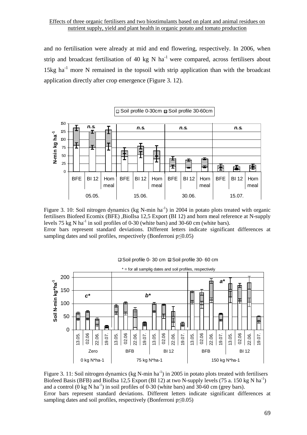and no fertilisation were already at mid and end flowering, respectively. In 2006, when strip and broadcast fertilisation of 40 kg N ha<sup>-1</sup> were compared, across fertilisers about 15kg  $ha^{-1}$  more N remained in the topsoil with strip application than with the broadcast application directly after crop emergence (Figure 3. 12).



Figure 3. 10: Soil nitrogen dynamics (kg N-min  $ha^{-1}$ ) in 2004 in potato plots treated with organic fertilisers Biofeed Ecomix (BFE) ,BioIlsa 12,5 Export (BI 12) and horn meal reference at N-supply levels 75 kg N ha<sup>-1</sup> in soil profiles of 0-30 (white bars) and 30-60 cm (white bars). Error bars represent standard deviations. Different letters indicate significant differences at sampling dates and soil profiles, respectively (Bonferroni p≤0.05)



#### Soil profile 0- 30 cm Soil profile 30- 60 cm

Figure 3. 11: Soil nitrogen dynamics (kg N-min  $ha^{-1}$ ) in 2005 in potato plots treated with fertilisers Biofeed Basis (BFB) and BioIlsa 12,5 Export (BI 12) at two N-supply levels (75 a. 150 kg N ha<sup>-1</sup>) and a control  $(0 \text{ kg } N \text{ ha}^{-1})$  in soil profiles of 0-30 (white bars) and 30-60 cm (grey bars). Error bars represent standard deviations. Different letters indicate significant differences at sampling dates and soil profiles, respectively (Bonferroni  $p \leq 0.05$ )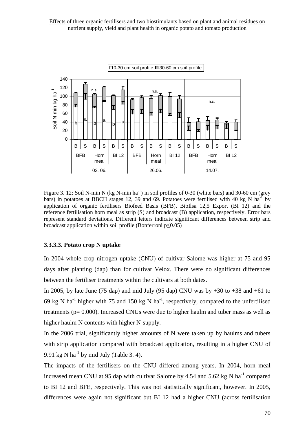

Figure 3. 12: Soil N-min N (kg N-min  $ha^{-1}$ ) in soil profiles of 0-30 (white bars) and 30-60 cm (grey bars) in potatoes at BBCH stages 12, 39 and 69. Potatoes were fertilised with 40 kg N ha<sup>-1</sup> by application of organic fertilisers Biofeed Basis (BFB), BioIlsa 12,5 Export (BI 12) and the reference fertilisation horn meal as strip (S) and broadcast (B) application, respectively. Error bars represent standard deviations. Different letters indicate significant differences between strip and broadcast application within soil profile (Bonferroni p≤0.05)

# **3.3.3.3. Potato crop N uptake**

In 2004 whole crop nitrogen uptake (CNU) of cultivar Salome was higher at 75 and 95 days after planting (dap) than for cultivar Velox. There were no significant differences between the fertiliser treatments within the cultivars at both dates.

In 2005, by late June (75 dap) and mid July (95 dap) CNU was by  $+30$  to  $+38$  and  $+61$  to 69 kg N ha<sup>-1</sup> higher with 75 and 150 kg N ha<sup>-1</sup>, respectively, compared to the unfertilised treatments (p= 0.000). Increased CNUs were due to higher haulm and tuber mass as well as higher haulm N contents with higher N-supply.

In the 2006 trial, significantly higher amounts of N were taken up by haulms and tubers with strip application compared with broadcast application, resulting in a higher CNU of 9.91 kg N ha<sup>-1</sup> by mid July (Table 3. 4).

The impacts of the fertilisers on the CNU differed among years. In 2004, horn meal increased mean CNU at 95 dap with cultivar Salome by 4.54 and 5.62 kg N ha<sup>-1</sup> compared to BI 12 and BFE, respectively. This was not statistically significant, however. In 2005, differences were again not significant but BI 12 had a higher CNU (across fertilisation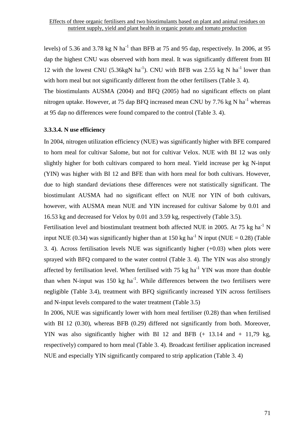levels) of 5.36 and 3.78 kg N ha<sup>-1</sup> than BFB at 75 and 95 dap, respectively. In 2006, at 95 dap the highest CNU was observed with horn meal. It was significantly different from BI 12 with the lowest CNU (5.36kgN ha<sup>-1</sup>). CNU with BFB was 2.55 kg N ha<sup>-1</sup> lower than with horn meal but not significantly different from the other fertilisers (Table 3. 4).

The biostimulants AUSMA (2004) and BFQ (2005) had no significant effects on plant nitrogen uptake. However, at 75 dap BFQ increased mean CNU by 7.76 kg N  $\text{ha}^{-1}$  whereas at 95 dap no differences were found compared to the control (Table 3. 4).

### **3.3.3.4. N use efficiency**

In 2004, nitrogen utilization efficiency (NUE) was significantly higher with BFE compared to horn meal for cultivar Salome, but not for cultivar Velox. NUE with BI 12 was only slightly higher for both cultivars compared to horn meal. Yield increase per kg N-input (YIN) was higher with BI 12 and BFE than with horn meal for both cultivars. However, due to high standard deviations these differences were not statistically significant. The biostimulant AUSMA had no significant effect on NUE nor YIN of both cultivars, however, with AUSMA mean NUE and YIN increased for cultivar Salome by 0.01 and 16.53 kg and decreased for Velox by 0.01 and 3.59 kg, respectively (Table 3.5).

Fertilisation level and biostimulant treatment both affected NUE in 2005. At 75 kg ha<sup>-1</sup> N input NUE (0.34) was significantly higher than at 150 kg ha<sup>-1</sup> N input (NUE = 0.28) (Table 3. 4). Across fertilisation levels NUE was significantly higher (+0.03) when plots were sprayed with BFQ compared to the water control (Table 3. 4). The YIN was also strongly affected by fertilisation level. When fertilised with  $75 \text{ kg ha}^{-1}$  YIN was more than double than when N-input was 150 kg ha<sup>-1</sup>. While differences between the two fertilisers were negligible (Table 3.4), treatment with BFQ significantly increased YIN across fertilisers and N-input levels compared to the water treatment (Table 3.5)

In 2006, NUE was significantly lower with horn meal fertiliser (0.28) than when fertilised with BI 12 (0.30), whereas BFB (0.29) differed not significantly from both. Moreover, YIN was also significantly higher with BI 12 and BFB (+ 13.14 and + 11,79 kg, respectively) compared to horn meal (Table 3. 4). Broadcast fertiliser application increased NUE and especially YIN significantly compared to strip application (Table 3. 4)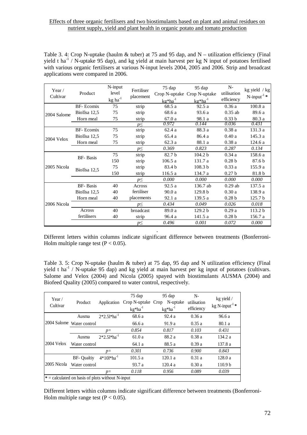Table 3. 4: Crop N-uptake (haulm & tuber) at 75 and 95 dap, and N – utilization efficiency (Final yield t ha<sup>-1</sup> / N-uptake 95 dap), and kg yield at main harvest per kg N input of potatoes fertilised with various organic fertilisers at various N-input levels 2004, 2005 and 2006. Strip and broadcast applications were compared in 2006.

| Year $/$<br>Cultivar | Product          | N-input<br>level<br>$kg$ ha <sup>-1</sup> | Fertiliser<br>placement | 75 dap<br>Crop N-uptake<br>$kg*ha^{-1}$ | 95 dap<br>Crop N-uptake<br>$kg*ha^{-1}$ | $N-$<br>utilisation<br>efficiency | $kg$ yield / $kg$<br>$N$ -input <sup>-1</sup> * |
|----------------------|------------------|-------------------------------------------|-------------------------|-----------------------------------------|-----------------------------------------|-----------------------------------|-------------------------------------------------|
|                      | BF- Ecomix       | 75                                        | strip                   | 68.5 a                                  | 92.5a                                   | 0.36a                             | 100.8a                                          |
| 2004 Salome          | BioIlsa 12,5     | 75                                        | strip                   | 68.6 a                                  | 93.6 a                                  | $0.35$ ab                         | 89.6 a                                          |
|                      | Horn meal        | 75                                        | strip                   | 67.0 a                                  | 98.1 a                                  | 0.33 <sub>b</sub>                 | 80.3 a                                          |
|                      |                  |                                           | $p \leq$                | 0.972                                   | 0.144                                   | 0.036                             | 0.431                                           |
|                      | BF-Ecomix        | 75                                        | strip                   | 62.4a                                   | 88.3 a                                  | 0.38a                             | 131.3 a                                         |
| 2004 Velox           | BioIlsa 12,5     | 75                                        | strip                   | 65.4 a                                  | 86.4 a                                  | 0.40a                             | 145.3a                                          |
|                      | Horn meal        | 75                                        | strip                   | 62.3a                                   | 88.1 a                                  | 0.38a                             | 124.6 a                                         |
|                      |                  |                                           | $p \leq$                | 0.369                                   | 0.823                                   | 0.287                             | 0.134                                           |
|                      | <b>BF-</b> Basis | 75                                        | strip                   | 82.7 <sub>b</sub>                       | 104.2 b                                 | 0.34a                             | 158.6 a                                         |
|                      |                  | 150                                       | strip                   | 106.5a                                  | 131.7 a                                 | 0.28 <sub>b</sub>                 | 87.6 b                                          |
| 2005 Nicola          | BioIlsa 12,5     | 75                                        | strip                   | 83.4 b                                  | 108.3 <sub>b</sub>                      | 0.33a                             | 155.9a                                          |
|                      |                  | 150                                       | strip                   | 116.5 a                                 | 134.7 a                                 | 0.27 <sub>b</sub>                 | 81.8 b                                          |
|                      |                  |                                           | $p \leq$                | 0.000                                   | 0.000                                   | 0.000                             | 0.000                                           |
|                      | <b>BF-</b> Basis | 40                                        | Across                  | 92.5a                                   | 136.7 ab                                | $0.29$ ab                         | 137.5 a                                         |
|                      | BioIlsa 12,5     | 40                                        | fertiliser              | 90.0a                                   | 129.8 <sub>b</sub>                      | 0.30a                             | 138.9 a                                         |
|                      | Horn meal        | 40                                        | placements              | 92.1a                                   | 139.5 a                                 | 0.28 <sub>b</sub>                 | 125.7 b                                         |
| 2006 Nicola          |                  |                                           | $p \leq$                | 0.434                                   | 0.049                                   | 0.026                             | 0.018                                           |
|                      | Across           | 40                                        | broadcast               | 89.0 a                                  | 129.2 b                                 | 0.29a                             | 113.2 <sub>b</sub>                              |
|                      | fertilisers      | 40                                        | strip                   | 96.4 a                                  | 141.5 a                                 | 0.28 <sub>b</sub>                 | 156.7 a                                         |
|                      |                  |                                           | $p \leq$                | 0.496                                   | 0.001                                   | 0.072                             | 0.000                                           |

. Different letters within columns indicate significant difference between treatments (Bonferroni-Holm multiple range test  $(P < 0.05)$ .

Table 3. 5: Crop N-uptake (haulm & tuber) at 75 dap, 95 dap and N utilization efficiency (Final yield t ha<sup>-1</sup> / N-uptake 95 dap) and kg yield at main harvest per kg input of potatoes (cultivars. Salome and Velox (2004) and Nicola (2005) spayed with biostimulants AUSMA (2004) and Biofeed Quality (2005) compared to water control, respectively.

| Year $/$<br>Cultivar | Product                                            | Application      | 75 dap<br>Crop N-uptake<br>$kg*ha^{-1}$ | 95 dap<br>N-uptake<br>Crop<br>$kg*ha^{-1}$ | $N-$<br>utilisation<br>efficiency | kg yield /<br>kg N-input <sup>-1</sup> $*$ |  |  |  |  |
|----------------------|----------------------------------------------------|------------------|-----------------------------------------|--------------------------------------------|-----------------------------------|--------------------------------------------|--|--|--|--|
|                      | Ausma                                              | $2*2.51*ha^{-1}$ | 68.6 a                                  | 92.4a                                      | 0.36a                             | 96.6a                                      |  |  |  |  |
|                      | 2004 Salome Water control                          |                  | 66.6 a                                  | 91.9 a                                     | 0.35a                             | 80.1 a                                     |  |  |  |  |
|                      |                                                    | $p=$             | 0.854                                   | 0.817                                      | 0.103                             | 0.431                                      |  |  |  |  |
|                      | Ausma                                              | $2*2.51*ha^{-1}$ | 61.0 a                                  | 88.2 a                                     | 0.38a                             | 134.2 a                                    |  |  |  |  |
| $2004$ Velox         | Water control                                      |                  | 64.1 a                                  | 88.5 a                                     | 0.39a                             | 137.8 a                                    |  |  |  |  |
|                      |                                                    | $p=$             | 0.301                                   | 0.736                                      | 0.900                             | 0.843                                      |  |  |  |  |
|                      | <b>BF-</b> Qualtiv                                 | $4*101*ha^{-1}$  | 101.5a                                  | 120.1a                                     | 0.31a                             | 128.0a                                     |  |  |  |  |
| 2005 Nicola          | Water control                                      |                  | 93.7 a                                  | 120.4a                                     | 0.30a                             | 110.9 <sub>b</sub>                         |  |  |  |  |
|                      |                                                    | $p=$             | 0.118                                   | 0.956                                      | 0.089                             | 0.039                                      |  |  |  |  |
|                      | $*$ = calculated on basis of plots without N-input |                  |                                         |                                            |                                   |                                            |  |  |  |  |

Different letters within columns indicate significant difference between treatments (Bonferroni-Holm multiple range test  $(P < 0.05)$ .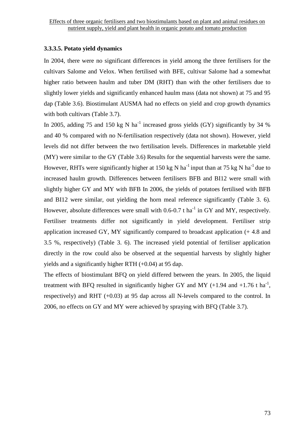## **3.3.3.5. Potato yield dynamics**

In 2004, there were no significant differences in yield among the three fertilisers for the cultivars Salome and Velox. When fertilised with BFE, cultivar Salome had a somewhat higher ratio between haulm and tuber DM (RHT) than with the other fertilisers due to slightly lower yields and significantly enhanced haulm mass (data not shown) at 75 and 95 dap (Table 3.6). Biostimulant AUSMA had no effects on yield and crop growth dynamics with both cultivars (Table 3.7).

In 2005, adding 75 and 150 kg N ha<sup>-1</sup> increased gross yields (GY) significantly by 34 % and 40 % compared with no N-fertilisation respectively (data not shown). However, yield levels did not differ between the two fertilisation levels. Differences in marketable yield (MY) were similar to the GY (Table 3.6) Results for the sequential harvests were the same. However, RHTs were significantly higher at 150 kg N ha<sup>-1</sup> input than at 75 kg N ha<sup>-1</sup> due to increased haulm growth. Differences between fertilisers BFB and BI12 were small with slightly higher GY and MY with BFB In 2006, the yields of potatoes fertilised with BFB and BI12 were similar, out yielding the horn meal reference significantly (Table 3. 6). However, absolute differences were small with  $0.6$ - $0.7$  t ha<sup>-1</sup> in GY and MY, respectively. Fertiliser treatments differ not significantly in yield development. Fertiliser strip application increased GY, MY significantly compared to broadcast application (+ 4.8 and 3.5 %, respectively) (Table 3. 6). The increased yield potential of fertiliser application directly in the row could also be observed at the sequential harvests by slightly higher yields and a significantly higher RTH (+0.04) at 95 dap.

The effects of biostimulant BFQ on yield differed between the years. In 2005, the liquid treatment with BFQ resulted in significantly higher GY and MY  $(+1.94$  and  $+1.76$  t ha<sup>-1</sup>, respectively) and RHT (+0.03) at 95 dap across all N-levels compared to the control. In 2006, no effects on GY and MY were achieved by spraying with BFQ (Table 3.7).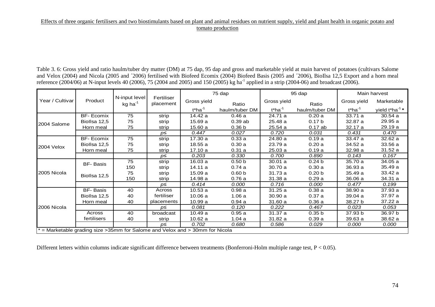Table 3. 6: Gross yield and ratio haulm/tuber dry matter (DM) at 75 dap, 95 dap and gross and marketable yield at main harvest of potatoes (cultivars Salome and Velox (2004) and Nicola (2005 and ´2006) fertilised with Biofeed Ecomix (2004) Biofeed Basis (2005 and ´2006), BioIlsa 12,5 Export and a horn meal reference (2004/06) at N-input levels 40 (2006), 75 (2004 and 2005) and 150 (2005) kg ha<sup>-1</sup> applied in a strip (2004-06) and broadcast (2006).

|                                                                               |                   |                                  |                         |                       | 75 dap            |             | 95 dap            |             | Main harvest                   |
|-------------------------------------------------------------------------------|-------------------|----------------------------------|-------------------------|-----------------------|-------------------|-------------|-------------------|-------------|--------------------------------|
| Year / Cultivar                                                               | Product           | N-input level<br>$kg$ ha $^{-1}$ | Fertiliser<br>placement | Gross yield           | Ratio             | Gross yield | Ratio             | Gross yield | Marketable                     |
| 2004 Salome<br>2004 Velox<br>2005 Nicola<br>2006 Nicola                       |                   |                                  |                         | $t*$ ha <sup>-1</sup> | haulm/tuber DM    | $t*ha-1$    | haulm/tuber DM    | $t*ha-1$    | yield $t^*$ ha <sup>-1</sup> * |
|                                                                               | <b>BF-</b> Ecomix | 75                               | strip                   | 14.42 a               | 0.46a             | 24.71 a     | 0.20a             | 33.71 a     | 30.54a                         |
|                                                                               | Biollsa 12,5      | 75                               | strip                   | 15.69a                | 0.39ab            | 25.48 a     | 0.17 <sub>b</sub> | 32.87 a     | 29.95 a                        |
|                                                                               | Horn meal         | 75                               | strip                   | 15.60a                | 0.36 <sub>b</sub> | 25.54 a     | $0.17$ ab         | 32.17 a     | 29.19 a                        |
|                                                                               |                   |                                  | p≤                      | 0.447                 | 0.027             | 0.720       | 0.031             | 0.431       | 0.470                          |
|                                                                               | <b>BF-</b> Ecomix | 75                               | strip                   | 17.30 a               | 0.33a             | 24.80 a     | 0.19a             | 33.47 a     | 32.62 a                        |
|                                                                               | Biollsa 12,5      | 75                               | strip                   | 18.55a                | 0.30a             | 23.79 a     | 0.20a             | 34.52 a     | 33.56 a                        |
|                                                                               | Horn meal         | 75                               | strip                   | 17.10a                | 0.31a             | 25.03 a     | 0.19a             | 32.98 a     | 31.52 a                        |
|                                                                               |                   |                                  | p≤                      | 0.203                 | 0.330             | 0.700       | 0.890             | 0.143       | 0.167                          |
|                                                                               | BF-Basis          | 75                               | strip                   | 16.03a                | 0.50 <sub>b</sub> | 30.01 a     | 0.24 <sub>b</sub> | 35.70 a     | 34.05 a                        |
|                                                                               |                   | 150                              | strip                   | 14.11 a               | 0.74a             | 30.70 a     | 0.30a             | 36.93 a     | 35.49 a                        |
|                                                                               |                   | 75                               | strip                   | 15.09a                | 0.60 <sub>b</sub> | 31.73 a     | 0.20 <sub>b</sub> | 35.49 a     | 33.42 a                        |
|                                                                               | Biollsa 12,5      | 150                              | strip                   | 14.98 a               | 0.76a             | 31.38 a     | 0.29a             | 36.06 a     | 34.31 a                        |
|                                                                               |                   |                                  | p≤                      | 0.414                 | 0.000             | 0.716       | 0.000             | 0.477       | 0.199                          |
|                                                                               | BF-Basis          | 40                               | Across                  | 10.53a                | 0.98a             | 31.25 a     | 0.38a             | 38.90 a     | 37.93 a                        |
|                                                                               | Biollsa 12,5      | 40                               | fertiliser              | 10.06a                | 1.06a             | 30.90 a     | 0.37a             | 39.04 a     | 37.97 a                        |
|                                                                               | Horn meal         | 40                               | placements              | 10.99a                | 0.94a             | 31.60a      | 0.36a             | 38.27 b     | 37.22 a                        |
|                                                                               |                   |                                  | p≤                      | 0.081                 | 0.120             | 0.222       | 0.467             | 0.023       | 0.053                          |
|                                                                               | Across            | 40                               | broadcast               | 10.49a                | 0.95a             | 31.37 a     | 0.35 <sub>b</sub> | 37.93 b     | 36.97 b                        |
|                                                                               | fertilisers       | 40                               | strip                   | 10.62a                | 1.04a             | 31.82 a     | 0.39a             | 39.63 a     | 38.62 a                        |
|                                                                               |                   |                                  | $p\leq$                 | 0.702                 | 0.680             | 0.586       | 0.029             | 0.000       | 0.000                          |
| * = Marketable grading size > 35mm for Salome and Velox and > 30mm for Nicola |                   |                                  |                         |                       |                   |             |                   |             |                                |

Different letters within columns indicate significant difference between treatments (Bonferroni-Holm multiple range test, P < 0.05).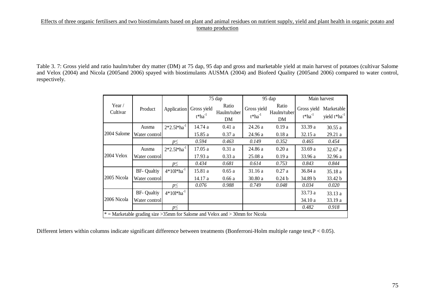Table 3. 7: Gross yield and ratio haulm/tuber dry matter (DM) at 75 dap, 95 dap and gross and marketable yield at main harvest of potatoes (cultivar Salome and Velox (2004) and Nicola (2005and 2006) spayed with biostimulants AUSMA (2004) and Biofeed Quality (2005and 2006) compared to water control, respectively.

|                           |                                                                                 |                  |                             | 75 dap                     |                             | 95 dap                     |                             | Main harvest                               |
|---------------------------|---------------------------------------------------------------------------------|------------------|-----------------------------|----------------------------|-----------------------------|----------------------------|-----------------------------|--------------------------------------------|
| Year $\prime$<br>Cultivar | Product                                                                         | Application      | Gross yield<br>$t^*ha^{-1}$ | Ratio<br>Haulm/tuber<br>DM | Gross yield<br>$t^*ha^{-1}$ | Ratio<br>Haulm/tuber<br>DM | Gross yield<br>$t^*ha^{-1}$ | Marketable<br>yield $t^*$ ha <sup>-1</sup> |
|                           | Ausma                                                                           | $2*2.51*ha^{-1}$ | 14.74 a                     | 0.41a                      | 24.26 a                     | 0.19a                      | 33.39 a                     | 30.55a                                     |
| 2004 Salome               | Water control                                                                   |                  | 15.85 a                     | 0.37a                      | 24.96 a                     | 0.18a                      | 32.15 a                     | 29.21 a                                    |
|                           |                                                                                 | $p \leq$         | 0.594                       | 0.463                      | 0.149                       | 0.352                      | 0.465                       | 0.454                                      |
|                           | Ausma                                                                           | $2*2.51*ha^{-1}$ | 17.05a                      | 0.31a                      | 24.86 a                     | 0.20a                      | 33.69 a                     | 32.67 a                                    |
| 2004 Velox                | Water controll                                                                  |                  | 17.93 a                     | 0.33a                      | 25.08a                      | 0.19a                      | 33.96 a                     | 32.96 a                                    |
|                           |                                                                                 | $p \leq$         | 0.434                       | 0.681                      | 0.614                       | 0.753                      | 0.843                       | 0.844                                      |
|                           | <b>BF- Qualtiy</b>                                                              | $4*101*ha^{-1}$  | 15.81 a                     | 0.65a                      | 31.16 a                     | 0.27a                      | 36.84 a                     | 35.18 a                                    |
| 2005 Nicola               | Water control                                                                   |                  | 14.17 a                     | 0.66a                      | 30.80a                      | 0.24 <sub>b</sub>          | 34.89 b                     | 33.42 b                                    |
|                           |                                                                                 | $p\leq$          | 0.076                       | 0.988                      | 0.749                       | 0.048                      | 0.034                       | 0.020                                      |
|                           | <b>BF- Qualtiy</b>                                                              | $4*101*ha^{-1}$  |                             |                            |                             |                            | 33.73 a                     | 33.13a                                     |
| 2006 Nicola               | Water control                                                                   |                  |                             |                            |                             |                            | 34.10a                      | 33.19a                                     |
|                           |                                                                                 | $p \leq$         |                             |                            |                             |                            | 0.482                       | 0.918                                      |
|                           | $*$ = Marketable grading size > 35mm for Salome and Velox and > 30mm for Nicola |                  |                             |                            |                             |                            |                             |                                            |

Different letters within columns indicate significant difference between treatments (Bonferroni-Holm multiple range test,P < 0.05).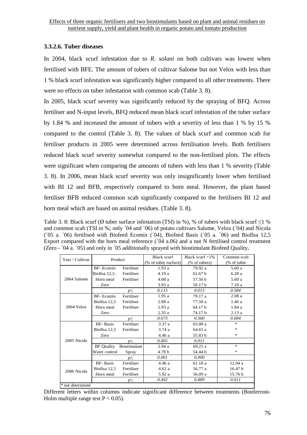## **3.3.2.6. Tuber diseases**

In 2004, black scurf infestation due to *R. solani* on both cultivars was lowest when fertilised with BFE. The amount of tubers of cultivar Salome but not Velox with less than 1 % black scurf infestation was significantly higher compared to all other treatments. There were no effects on tuber infestation with common scab (Table 3. 8).

In 2005, black scurf severity was significantly reduced by the spraying of BFQ. Across fertiliser and N-input levels, BFQ reduced mean black scurf infestation of the tuber surface by 1.84 % and increased the amount of tubers with a severity of less than 1 % by 15 % compared to the control (Table 3. 8). The values of black scurf and common scab for fertiliser products in 2005 were determined across fertilisation levels. Both fertilisers reduced black scurf severity somewhat compared to the non-fertilised plots. The effects were significant when comparing the amounts of tubers with less than 1 % severity (Table 3. 8). In 2006, mean black scurf severity was only insignificantly lower when fertilised with BI 12 and BFB, respectively compared to horn meal. However, the plant based fertiliser BFB reduced common scab significantly compared to the fertilisers BI 12 and horn meal which are based on animal residues. (Table 3. 8).

Table 3. 8: Black scurf (Ø tuber surface infestation (TSI) in %), % of tubers with black scurf ≤1 % and common scab (TSI in %; only ´04 and ´06) of potato cultivars Salome, Velox (´04) and Nicola ( $\overline{05}$  a.  $\overline{06}$ ) fertilised with Biofeed Ecomix ( $\overline{04}$ ), Biofeed Basis ( $\overline{05}$  a.  $\overline{06}$ ) and BioIlsa 12.5 Export compared with the horn meal reference (´04 a.06) and a not N fertilised control treatment (Zero - ´04 a. ´05) and only in ´05 additionally sprayed with biostimulant Biofeed Quality**.** 

| Year / Cultivar  | <b>Black scurf</b><br>Product<br><b>BF-Ecomix</b><br>Fertiliser<br>1.93a<br>BioIlsa 12,5.<br>Fertiliser<br>4.19 a<br>Horn meal<br>Fertiliser<br>4.08a<br>Zero<br>3.93 a<br>0.115<br>$p \leq$<br>BF-Ecomix<br>Fertiliser<br>1.95a<br>BioIlsa 12,5<br>Fertiliser<br>2.88 a<br>Horn meal<br>Fertiliser<br>2.93a<br>2.35a<br>Zero<br>0.673<br>$p \leq$<br><b>BF-</b> Basis<br>3.37 a<br>Fertiliser<br>BioIlsa 12,5<br>Fertiliser<br>3.74a<br>Zero<br>4.46 a<br>0.065<br>$p \leq$<br><b>BF</b> Quality<br>Biostimulant<br>2.94a<br>4.78 b<br>Water control<br>Spray<br>0.001<br>$p \leq$<br><b>BF-</b> Basis<br>Fertiliser<br>4.46 a<br>BioIlsa 12,5<br>Fertiliser<br>4.62a<br>Fertiliser<br>Horn meal<br>5.92 a |          | Black scurf $<$ 1%                                                                                                                                                                                                                                                 | Common scab |         |
|------------------|-------------------------------------------------------------------------------------------------------------------------------------------------------------------------------------------------------------------------------------------------------------------------------------------------------------------------------------------------------------------------------------------------------------------------------------------------------------------------------------------------------------------------------------------------------------------------------------------------------------------------------------------------------------------------------------------------------------|----------|--------------------------------------------------------------------------------------------------------------------------------------------------------------------------------------------------------------------------------------------------------------------|-------------|---------|
|                  |                                                                                                                                                                                                                                                                                                                                                                                                                                                                                                                                                                                                                                                                                                             |          | (% of tuber surface)<br>(% of tubers)<br>79.92 a<br>61.67 <sub>b</sub><br>57.50 b<br>59.17 b<br>0.013<br>79.17 a<br>77.50 a<br>64.17 b<br>74.17 b<br>0.360<br>65.00a<br>64.65 a<br>55.83 b<br>0.011<br>69.21a<br>54.44 b<br>0.000<br>61.18 a<br>56.77 a<br>56.09 a | (% of tuber |         |
|                  |                                                                                                                                                                                                                                                                                                                                                                                                                                                                                                                                                                                                                                                                                                             |          |                                                                                                                                                                                                                                                                    |             | 5.60a   |
|                  |                                                                                                                                                                                                                                                                                                                                                                                                                                                                                                                                                                                                                                                                                                             |          |                                                                                                                                                                                                                                                                    |             | 6.28a   |
| 2004 Salome      |                                                                                                                                                                                                                                                                                                                                                                                                                                                                                                                                                                                                                                                                                                             |          |                                                                                                                                                                                                                                                                    |             | 5.60 a  |
|                  |                                                                                                                                                                                                                                                                                                                                                                                                                                                                                                                                                                                                                                                                                                             |          |                                                                                                                                                                                                                                                                    |             | 7.10a   |
|                  |                                                                                                                                                                                                                                                                                                                                                                                                                                                                                                                                                                                                                                                                                                             |          |                                                                                                                                                                                                                                                                    |             | 0.584   |
|                  |                                                                                                                                                                                                                                                                                                                                                                                                                                                                                                                                                                                                                                                                                                             |          |                                                                                                                                                                                                                                                                    |             | 2.08a   |
|                  |                                                                                                                                                                                                                                                                                                                                                                                                                                                                                                                                                                                                                                                                                                             |          |                                                                                                                                                                                                                                                                    |             | 1.46a   |
| $2004$ Velox     |                                                                                                                                                                                                                                                                                                                                                                                                                                                                                                                                                                                                                                                                                                             |          |                                                                                                                                                                                                                                                                    |             | 1.84a   |
|                  |                                                                                                                                                                                                                                                                                                                                                                                                                                                                                                                                                                                                                                                                                                             |          |                                                                                                                                                                                                                                                                    |             | 2.13a   |
|                  |                                                                                                                                                                                                                                                                                                                                                                                                                                                                                                                                                                                                                                                                                                             |          |                                                                                                                                                                                                                                                                    |             | 0.684   |
|                  |                                                                                                                                                                                                                                                                                                                                                                                                                                                                                                                                                                                                                                                                                                             |          |                                                                                                                                                                                                                                                                    |             | *       |
|                  |                                                                                                                                                                                                                                                                                                                                                                                                                                                                                                                                                                                                                                                                                                             |          |                                                                                                                                                                                                                                                                    |             | ∗       |
|                  |                                                                                                                                                                                                                                                                                                                                                                                                                                                                                                                                                                                                                                                                                                             |          |                                                                                                                                                                                                                                                                    |             | *       |
| 2005 Nicola      |                                                                                                                                                                                                                                                                                                                                                                                                                                                                                                                                                                                                                                                                                                             |          |                                                                                                                                                                                                                                                                    |             |         |
|                  |                                                                                                                                                                                                                                                                                                                                                                                                                                                                                                                                                                                                                                                                                                             |          |                                                                                                                                                                                                                                                                    |             | $\ast$  |
|                  |                                                                                                                                                                                                                                                                                                                                                                                                                                                                                                                                                                                                                                                                                                             |          |                                                                                                                                                                                                                                                                    |             | $\ast$  |
|                  |                                                                                                                                                                                                                                                                                                                                                                                                                                                                                                                                                                                                                                                                                                             |          |                                                                                                                                                                                                                                                                    |             |         |
|                  |                                                                                                                                                                                                                                                                                                                                                                                                                                                                                                                                                                                                                                                                                                             |          |                                                                                                                                                                                                                                                                    |             | 12.04a  |
|                  |                                                                                                                                                                                                                                                                                                                                                                                                                                                                                                                                                                                                                                                                                                             |          |                                                                                                                                                                                                                                                                    |             | 16.47 b |
| 2006 Nicola      |                                                                                                                                                                                                                                                                                                                                                                                                                                                                                                                                                                                                                                                                                                             |          |                                                                                                                                                                                                                                                                    |             | 15.76 b |
|                  |                                                                                                                                                                                                                                                                                                                                                                                                                                                                                                                                                                                                                                                                                                             | $p \leq$ | 0.492                                                                                                                                                                                                                                                              | 0.889       | 0.011   |
| * not determined |                                                                                                                                                                                                                                                                                                                                                                                                                                                                                                                                                                                                                                                                                                             |          |                                                                                                                                                                                                                                                                    |             |         |

Different letters within columns indicate significant difference between treatments (Bonferroni-Holm multiple range test  $P < 0.05$ ).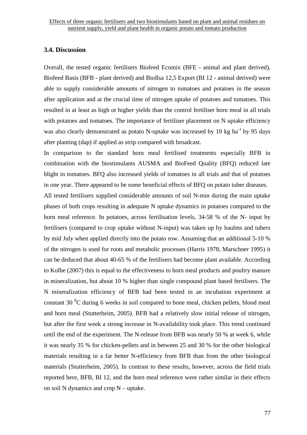## **3.4. Discussion**

Overall, the tested organic fertilisers Biofeed Ecomix (BFE - animal and plant derived), Biofeed Basis (BFB - plant derived) and BioIlsa 12,5 Export (BI 12 - animal derived) were able to supply considerable amounts of nitrogen to tomatoes and potatoes in the season after application and at the crucial time of nitrogen uptake of potatoes and tomatoes. This resulted in at least as high or higher yields than the control fertiliser horn meal in all trials with potatoes and tomatoes. The importance of fertiliser placement on N uptake efficiency was also clearly demonstrated as potato N-uptake was increased by 10 kg ha<sup>-1</sup> by 95 days after planting (dap) if applied as strip compared with broadcast.

In comparison to the standard horn meal fertilised treatments especially BFB in combination with the biostimulants AUSMA and BioFeed Quality (BFQ) reduced late blight in tomatoes. BFQ also increased yields of tomatoes in all trials and that of potatoes in one year. There appeared to be some beneficial effects of BFQ on potato tuber diseases.

All tested fertilisers supplied considerable amounts of soil N-min during the main uptake phases of both crops resulting in adequate N uptake dynamics in potatoes compared to the horn meal reference. In potatoes, across fertilisation levels, 34-58 % of the N- input by fertilisers (compared to crop uptake without N-input) was taken up by haulms and tubers by mid July when applied directly into the potato row. Assuming that an additional 5-10 % of the nitrogen is used for roots and metabolic processes (Harris 1978, Marschner 1995) it can be deduced that about 40-65 % of the fertilisers had become plant available. According to Kolbe (2007) this is equal to the effectiveness to horn meal products and poultry manure in mineralization, but about 10 % higher than single compound plant based fertilisers. The N mineralization efficiency of BFB had been tested in an incubation experiment at constant 30 $\mathrm{^{0}C}$  during 6 weeks in soil compared to bone meal, chicken pellets, blood meal and horn meal (Stutterheim, 2005). BFB had a relatively slow initial release of nitrogen, but after the first week a strong increase in N-availability took place. This trend continued until the end of the experiment. The N-release from BFB was nearly 50 % at week 6, while it was nearly 35 % for chicken-pellets and in between 25 and 30 % for the other biological materials resulting in a far better N-efficiency from BFB than from the other biological materials (Stutterheim, 2005). In contrast to these results, however, across the field trials reported here, BFB, BI 12, and the horn meal reference were rather similar in their effects on soil N dynamics and crop N – uptake.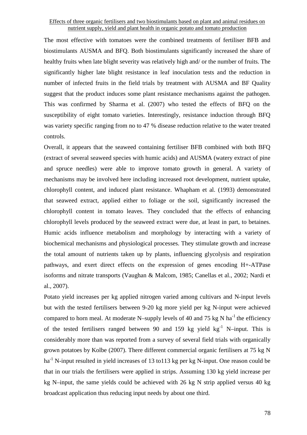The most effective with tomatoes were the combined treatments of fertiliser BFB and biostimulants AUSMA and BFQ. Both biostimulants significantly increased the share of healthy fruits when late blight severity was relatively high and/ or the number of fruits. The significantly higher late blight resistance in leaf inoculation tests and the reduction in number of infected fruits in the field trials by treatment with AUSMA and BF Quality suggest that the product induces some plant resistance mechanisms against the pathogen. This was confirmed by Sharma et al. (2007) who tested the effects of BFQ on the susceptibility of eight tomato varieties. Interestingly, resistance induction through BFQ was variety specific ranging from no to 47 % disease reduction relative to the water treated controls.

Overall, it appears that the seaweed containing fertiliser BFB combined with both BFQ (extract of several seaweed species with humic acids) and AUSMA (watery extract of pine and spruce needles) were able to improve tomato growth in general. A variety of mechanisms may be involved here including increased root development, nutrient uptake, chlorophyll content, and induced plant resistance. Whapham et al. (1993) demonstrated that seaweed extract, applied either to foliage or the soil, significantly increased the chlorophyll content in tomato leaves. They concluded that the effects of enhancing chlorophyll levels produced by the seaweed extract were due, at least in part, to betaines. Humic acids influence metabolism and morphology by interacting with a variety of biochemical mechanisms and physiological processes. They stimulate growth and increase the total amount of nutrients taken up by plants, influencing glycolysis and respiration pathways, and exert direct effects on the expression of genes encoding H+-ATPase isoforms and nitrate transports (Vaughan & Malcom, 1985; Canellas et al., 2002; Nardi et al., 2007).

Potato yield increases per kg applied nitrogen varied among cultivars and N-input levels but with the tested fertilisers between 9-20 kg more yield per kg N-input were achieved compared to horn meal. At moderate N–supply levels of 40 and 75 kg N ha<sup>-1</sup> the efficiency of the tested fertilisers ranged between 90 and 159 kg yield  $kg^{-1}$  N-input. This is considerably more than was reported from a survey of several field trials with organically grown potatoes by Kolbe (2007). There different commercial organic fertilisers at 75 kg N ha<sup>-1</sup> N-input resulted in yield increases of 13 to113 kg per kg N-input. One reason could be that in our trials the fertilisers were applied in strips. Assuming 130 kg yield increase per kg N–input, the same yields could be achieved with 26 kg N strip applied versus 40 kg broadcast application thus reducing input needs by about one third.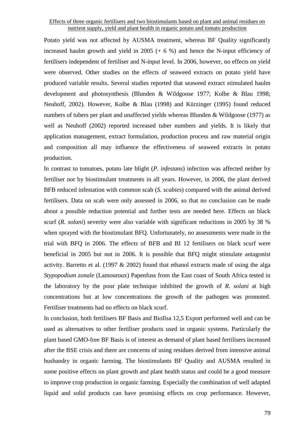Potato yield was not affected by AUSMA treatment, whereas BF Quality significantly increased haulm growth and yield in  $2005 (+ 6 %)$  and hence the N-input efficiency of fertilisers independent of fertiliser and N-input level. In 2006, however, no effects on yield were observed. Other studies on the effects of seaweed extracts on potato yield have produced variable results. Several studies reported that seaweed extract stimulated haulm development and photosynthesis (Blunden & Wildgoose 1977; Kolbe & Blau 1998; Neuhoff, 2002). However, Kolbe & Blau (1998) and Kürzinger (1995) found reduced numbers of tubers per plant and unaffected yields whereas Blunden & Wildgoose (1977) as well as Neuhoff (2002) reported increased tuber numbers and yields. It is likely that application management, extract formulation, production process and raw material origin and composition all may influence the effectiveness of seaweed extracts in potato production.

In contrast to tomatoes, potato late blight (*P. infestans*) infection was affected neither by fertiliser nor by biostimulant treatments in all years. However, in 2006, the plant derived BFB reduced infestation with common scab (*S. scabies*) compared with the animal derived fertilisers. Data on scab were only assessed in 2006, so that no conclusion can be made about a possible reduction potential and further tests are needed here. Effects on black scurf (*R. solani*) severity were also variable with significant reductions in 2005 by 38 % when sprayed with the biostimulant BFQ. Unfortunately, no assessments were made in the trial with BFQ in 2006. The effects of BFB and BI 12 fertilisers on black scurf were beneficial in 2005 but not in 2006. It is possible that BFQ might stimulate antagonist activity. Barretto et al. (1997  $& 2002$ ) found that ethanol extracts made of using the alga *Stypopodium zonale* (Lamouroux) Papenfuss from the East coast of South Africa tested in the laboratory by the pour plate technique inhibited the growth of *R. solani* at high concentrations but at low concentrations the growth of the pathogen was promoted. Fertiliser treatments had no effects on black scurf.

In conclusion, both fertilisers BF Basis and BioIlsa 12,5 Export performed well and can be used as alternatives to other fertiliser products used in organic systems. Particularly the plant based GMO-free BF Basis is of interest as demand of plant based fertilisers increased after the BSE crisis and there are concerns of using residues derived from intensive animal husbandry in organic farming. The biostimulants BF Quality and AUSMA resulted in some positive effects on plant growth and plant health status and could be a good measure to improve crop production in organic farming. Especially the combination of well adapted liquid and solid products can have promising effects on crop performance. However,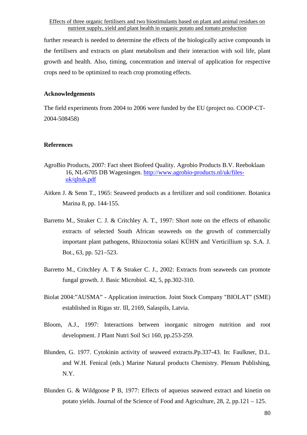further research is needed to determine the effects of the biologically active compounds in the fertilisers and extracts on plant metabolism and their interaction with soil life, plant growth and health. Also, timing, concentration and interval of application for respective crops need to be optimized to reach crop promoting effects.

## **Acknowledgements**

The field experiments from 2004 to 2006 were funded by the EU (project no. COOP-CT-2004-508458)

#### **References**

- AgroBio Products, 2007: Fact sheet Biofeed Quality. Agrobio Products B.V. Reeboklaan 16, NL-6705 DB Wageningen. http://www.agrobio-products.nl/uk/filesuk/qltuk.pdf
- Aitken J. & Senn T., 1965: Seaweed products as a fertilizer and soil conditioner. Botanica Marina 8, pp. 144-155.
- Barretto M., Straker C. J. & Critchley A. T., 1997: Short note on the effects of ethanolic extracts of selected South African seaweeds on the growth of commercially important plant pathogens, Rhizoctonia solani KÜHN and Verticillium sp. S.A. J. Bot., 63, pp. 521–523.
- Barretto M., Critchley A. T & Straker C. J., 2002: Extracts from seaweeds can promote fungal growth. J. Basic Microbiol. 42, 5, pp.302-310.
- Biolat 2004:"AUSMA" Application instruction. Joint Stock Company "BIOLAT" (SME) established in Rigas str. Ill, 2169, Salaspils, Latvia.
- Bloom, A.J., 1997: Interactions between inorganic nitrogen nutrition and root development. J Plant Nutri Soil Sci 160, pp.253-259.
- Blunden, G. 1977. Cytokinin activity of seaweed extracts.Pp.337-43. In: Faulkner, D.L. and W.H. Fenical (eds.) Marine Natural products Chemistry. Plenum Publishing, N.Y.
- Blunden G. & Wildgoose P B, 1977: Effects of aqueous seaweed extract and kinetin on potato yields. Journal of the Science of Food and Agriculture, 28, 2, pp.121 – 125.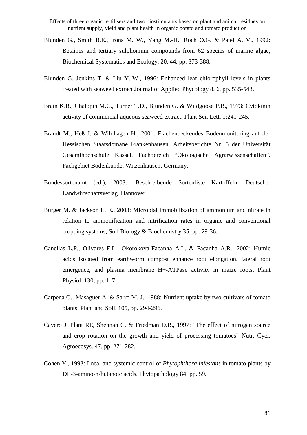- Blunden G.**,** Smith B.E., Irons M. W., Yang M.-H., Roch O.G. & Patel A. V., 1992: Betaines and tertiary sulphonium compounds from 62 species of marine algae, Biochemical Systematics and Ecology, 20, 44, pp. 373-388.
- Blunden G, Jenkins T. & Liu Y.-W., 1996: Enhanced leaf chlorophyll levels in plants treated with seaweed extract Journal of Applied Phycology 8, 6, pp. 535-543.
- Brain K.R., Chalopin M.C., Turner T.D., Blunden G. & Wildgoose P.B., 1973: Cytokinin activity of commercial aqueous seaweed extract. Plant Sci. Lett. 1:241-245.
- Brandt M., Heß J. & Wildhagen H., 2001: Flächendeckendes Bodenmonitoring auf der Hessischen Staatsdomäne Frankenhausen. Arbeitsberichte Nr. 5 der Universität Gesamthochschule Kassel. Fachbereich "Ökologische Agrarwissenschaften". Fachgebiet Bodenkunde. Witzenhausen, Germany.
- Bundessortenamt (ed.), 2003.: Beschreibende Sortenliste Kartoffeln. Deutscher Landwirtschaftsverlag. Hannover.
- Burger M. & Jackson L. E., 2003: Microbial immobilization of ammonium and nitrate in relation to ammonification and nitrification rates in organic and conventional cropping systems, Soil Biology & Biochemistry 35, pp. 29-36.
- Canellas L.P., Olivares F.L., Okorokova-Facanha A.L. & Facanha A.R., 2002: Humic acids isolated from earthworm compost enhance root elongation, lateral root emergence, and plasma membrane H+-ATPase activity in maize roots. Plant Physiol. 130, pp. 1–7.
- Carpena O., Masaguer A. & Sarro M. J., 1988: Nutrient uptake by two cultivars of tomato plants. Plant and Soil, 105, pp. 294-296.
- Cavero J, Plant RE, Shennan C. & Friedman D.B., 1997: "The effect of nitrogen source and crop rotation on the growth and yield of processing tomatoes" Nutr. Cycl. Agroecosys. 47, pp. 271-282.
- Cohen Y., 1993: Local and systemic control of *Phytophthora infestans* in tomato plants by DL-3-amino-n-butanoic acids. Phytopathology 84: pp. 59.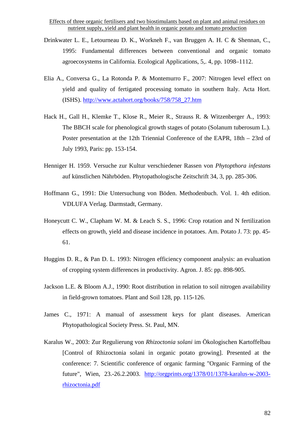- Drinkwater L. E., Letourneau D. K., Workneh F., van Bruggen A. H. C & Shennan, C., 1995: Fundamental differences between conventional and organic tomato agroecosystems in California. Ecological Applications, 5,. 4, pp. 1098–1112.
- Elia A., Conversa G., La Rotonda P. & Montemurro F., 2007: Nitrogen level effect on yield and quality of fertigated processing tomato in southern Italy. Acta Hort. (ISHS). http://www.actahort.org/books/758/758\_27.htm
- Hack H., Gall H., Klemke T., Klose R., Meier R., Strauss R. & Witzenberger A., 1993: The BBCH scale for phenological growth stages of potato (Solanum tuberosum L.). Poster presentation at the 12th Triennial Conference of the EAPR, 18th – 23rd of July 1993, Paris: pp. 153-154.
- Henniger H. 1959. Versuche zur Kultur verschiedener Rassen von *Phytopthora infestans* auf künstlichen Nährböden. Phytopathologische Zeitschrift 34, 3, pp. 285-306.
- Hoffmann G., 1991: Die Untersuchung von Böden. Methodenbuch. Vol. 1. 4th edition. VDLUFA Verlag. Darmstadt, Germany.
- Honeycutt C. W., Clapham W. M. & Leach S. S., 1996: Crop rotation and N fertilization effects on growth, yield and disease incidence in potatoes. Am. Potato J. 73: pp. 45- 61.
- Huggins D. R., & Pan D. L. 1993: Nitrogen efficiency component analysis: an evaluation of cropping system differences in productivity. Agron. J. 85: pp. 898-905.
- Jackson L.E. & Bloom A.J., 1990: Root distribution in relation to soil nitrogen availability in field-grown tomatoes. Plant and Soil 128, pp. 115-126.
- James C., 1971: A manual of assessment keys for plant diseases. American Phytopathological Society Press. St. Paul, MN.
- Karalus W., 2003: Zur Regulierung von *Rhizoctonia solani* im Ökologischen Kartoffelbau [Control of Rhizoctonia solani in organic potato growing]. Presented at the conference: 7. Scientific conference of organic farming "Organic Farming of the future", Wien, 23.-26.2.2003. http://orgprints.org/1378/01/1378-karalus-w-2003 rhizoctonia.pdf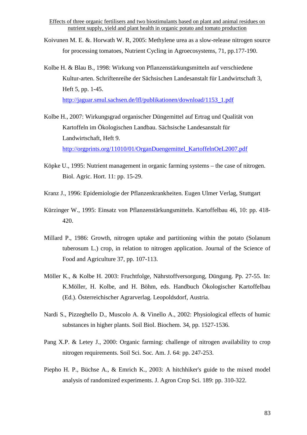- Koivunen M. E. &. Horwath W. R, 2005: Methylene urea as a slow-release nitrogen source for processing tomatoes, Nutrient Cycling in Agroecosystems, 71, pp.177-190.
- Kolbe H. & Blau B., 1998: Wirkung von Pflanzenstärkungsmitteln auf verschiedene Kultur-arten. Schriftenreihe der Sächsischen Landesanstalt für Landwirtschaft 3, Heft 5, pp. 1-45. http://jaguar.smul.sachsen.de/lfl/publikationen/download/1153\_1.pdf
- Kolbe H., 2007: Wirkungsgrad organischer Düngemittel auf Ertrag und Qualität von Kartoffeln im Ökologischen Landbau. Sächsische Landesanstalt für Landwirtschaft, Heft 9. http://orgprints.org/11010/01/OrganDuengemittel\_KartoffelnOeL2007.pdf
- Köpke U., 1995: Nutrient management in organic farming systems the case of nitrogen. Biol. Agric. Hort. 11: pp. 15-29.
- Kranz J., 1996: Epidemiologie der Pflanzenkrankheiten. Eugen Ulmer Verlag, Stuttgart
- Kürzinger W., 1995: Einsatz von Pflanzenstärkungsmitteln. Kartoffelbau 46, 10: pp. 418- 420.
- Millard P., 1986: Growth, nitrogen uptake and partitioning within the potato (Solanum tuberosum L.) crop, in relation to nitrogen application. Journal of the Science of Food and Agriculture 37, pp. 107-113.
- Möller K., & Kolbe H. 2003: Fruchtfolge, Nährstoffversorgung, Düngung. Pp. 27-55. In: K.Möller, H. Kolbe, and H. Böhm, eds. Handbuch Ökologischer Kartoffelbau (Ed.). Österreichischer Agrarverlag. Leopoldsdorf, Austria.
- Nardi S., Pizzeghello D., Muscolo A. & Vinello A., 2002: Physiological effects of humic substances in higher plants. Soil Biol. Biochem. 34, pp. 1527-1536.
- Pang X.P. & Letey J., 2000: Organic farming: challenge of nitrogen availability to crop nitrogen requirements. Soil Sci. Soc. Am. J. 64: pp. 247-253.
- Piepho H. P., Büchse A., & Emrich K., 2003: A hitchhiker's guide to the mixed model analysis of randomized experiments. J. Agron Crop Sci. 189: pp. 310-322.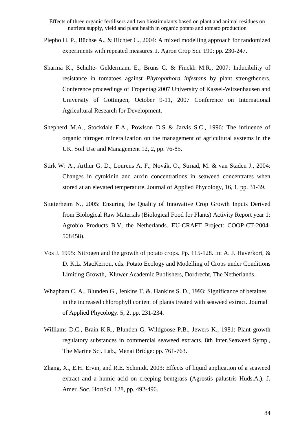- Piepho H. P., Büchse A., & Richter C., 2004: A mixed modelling approach for randomized experiments with repeated measures. J. Agron Crop Sci. 190: pp. 230-247.
- Sharma K., Schulte- Geldermann E., Bruns C. & Finckh M.R., 2007: Inducibility of resistance in tomatoes against *Phytophthora infestans* by plant strengtheners, Conference proceedings of Tropentag 2007 University of Kassel-Witzenhausen and University of Göttingen, October 9-11, 2007 Conference on International Agricultural Research for Development.
- Shepherd M.A., Stockdale E.A., Powlson D.S & Jarvis S.C., 1996: The influence of organic nitrogen mineralization on the management of agricultural systems in the UK. Soil Use and Management 12, 2, pp. 76-85.
- Stirk W: A., Arthur G. D., Lourens A. F., Novák, O., Strnad, M. & van Staden J., 2004: Changes in cytokinin and auxin concentrations in seaweed concentrates when stored at an elevated temperature. Journal of Applied Phycology, 16, 1, pp. 31-39.
- Stutterheim N., 2005: Ensuring the Quality of Innovative Crop Growth Inputs Derived from Biological Raw Materials (Biological Food for Plants) Activity Report year 1: Agrobio Products B.V, the Netherlands. EU-CRAFT Project: COOP-CT-2004- 508458).
- Vos J. 1995: Nitrogen and the growth of potato crops. Pp. 115-128. In: A. J. Haverkort, & D. K.L. MacKerron, eds. Potato Ecology and Modelling of Crops under Conditions Limiting Growth,. Kluwer Academic Publishers, Dordrecht, The Netherlands.
- Whapham C. A., Blunden G., Jenkins T. &. Hankins S. D., 1993: Significance of betaines in the increased chlorophyll content of plants treated with seaweed extract. Journal of Applied Phycology. 5, 2, pp. 231-234.
- Williams D.C., Brain K.R., Blunden G, Wildgoose P.B., Jewers K., 1981: Plant growth regulatory substances in commercial seaweed extracts. 8th Inter.Seaweed Symp., The Marine Sci. Lab., Menai Bridge: pp. 761-763.
- Zhang, X., E.H. Ervin, and R.E. Schmidt. 2003: Effects of liquid application of a seaweed extract and a humic acid on creeping bentgrass (Agrostis palustris Huds.A.). J. Amer. Soc. HortSci. 128, pp. 492-496.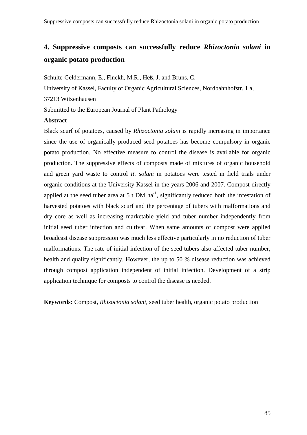# **4. Suppressive composts can successfully reduce** *Rhizoctonia solani* **in organic potato production**

Schulte-Geldermann, E., Finckh, M.R., Heß, J. and Bruns, C. University of Kassel, Faculty of Organic Agricultural Sciences, Nordbahnhofstr. 1 a, 37213 Witzenhausen Submitted to the European Journal of Plant Pathology

## **Abstract**

Black scurf of potatoes, caused by *Rhizoctonia solani* is rapidly increasing in importance since the use of organically produced seed potatoes has become compulsory in organic potato production. No effective measure to control the disease is available for organic production. The suppressive effects of composts made of mixtures of organic household and green yard waste to control *R. solani* in potatoes were tested in field trials under organic conditions at the University Kassel in the years 2006 and 2007. Compost directly applied at the seed tuber area at 5 t DM ha<sup>-1</sup>, significantly reduced both the infestation of harvested potatoes with black scurf and the percentage of tubers with malformations and dry core as well as increasing marketable yield and tuber number independently from initial seed tuber infection and cultivar. When same amounts of compost were applied broadcast disease suppression was much less effective particularly in no reduction of tuber malformations. The rate of initial infection of the seed tubers also affected tuber number, health and quality significantly. However, the up to 50 % disease reduction was achieved through compost application independent of initial infection. Development of a strip application technique for composts to control the disease is needed.

**Keywords:** Compost, *Rhizoctonia solani,* seed tuber health, organic potato production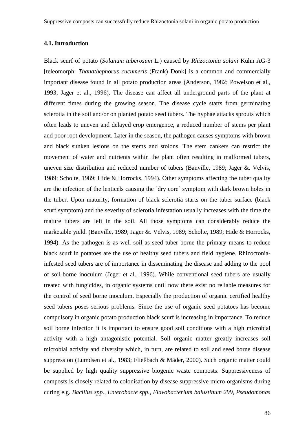### **4.1. Introduction**

Black scurf of potato (*Solanum tuberosum* L.) caused by *Rhizoctonia solani* Kühn AG-3 [teleomorph: *Thanathephorus cucumeris* (Frank) Donk] is a common and commercially important disease found in all potato production areas (Anderson, 1982; Powelson et al., 1993; Jager et al., 1996). The disease can affect all underground parts of the plant at different times during the growing season. The disease cycle starts from germinating sclerotia in the soil and/or on planted potato seed tubers. The hyphae attacks sprouts which often leads to uneven and delayed crop emergence, a reduced number of stems per plant and poor root development. Later in the season, the pathogen causes symptoms with brown and black sunken lesions on the stems and stolons. The stem cankers can restrict the movement of water and nutrients within the plant often resulting in malformed tubers, uneven size distribution and reduced number of tubers (Banville, 1989; Jager &. Velvis, 1989; Scholte, 1989; Hide & Horrocks, 1994). Other symptoms affecting the tuber quality are the infection of the lenticels causing the ´dry core` symptom with dark brown holes in the tuber. Upon maturity, formation of black sclerotia starts on the tuber surface (black scurf symptom) and the severity of sclerotia infestation usually increases with the time the mature tubers are left in the soil. All those symptoms can considerably reduce the marketable yield. (Banville, 1989; Jager &. Velvis, 1989; Scholte, 1989; Hide & Horrocks, 1994). As the pathogen is as well soil as seed tuber borne the primary means to reduce black scurf in potatoes are the use of healthy seed tubers and field hygiene. Rhizoctoniainfested seed tubers are of importance in disseminating the disease and adding to the pool of soil-borne inoculum (Jeger et al., 1996). While conventional seed tubers are usually treated with fungicides, in organic systems until now there exist no reliable measures for the control of seed borne inoculum. Especially the production of organic certified healthy seed tubers poses serious problems. Since the use of organic seed potatoes has become compulsory in organic potato production black scurf is increasing in importance. To reduce soil borne infection it is important to ensure good soil conditions with a high microbial activity with a high antagonistic potential. Soil organic matter greatly increases soil microbial activity and diversity which, in turn, are related to soil and seed borne disease suppression (Lumdsen et al., 1983; Fließbach & Mäder, 2000). Such organic matter could be supplied by high quality suppressive biogenic waste composts. Suppressiveness of composts is closely related to colonisation by disease suppressive micro-organisms during curing e.g. *Bacillus spp., Enterobacte spp., Flavobacterium balustinum 299, Pseudomonas*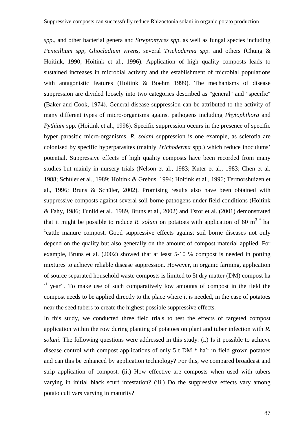*spp*., and other bacterial genera and *Streptomyces spp*. as well as fungal species including *Penicillium spp, Gliocladium virens,* several *Trichoderma spp*. and others (Chung & Hoitink, 1990; Hoitink et al., 1996). Application of high quality composts leads to sustained increases in microbial activity and the establishment of microbial populations with antagonistic features (Hoitink & Boehm 1999). The mechanisms of disease suppression are divided loosely into two categories described as "general" and "specific" (Baker and Cook, 1974). General disease suppression can be attributed to the activity of many different types of micro-organisms against pathogens including *Phytophthora* and *Pythium* spp. (Hoitink et al., 1996). Specific suppression occurs in the presence of specific hyper parasitic micro-organisms. *R. solani* suppression is one example, as sclerotia are colonised by specific hyperparasites (mainly *Trichoderma* spp.) which reduce inoculums' potential. Suppressive effects of high quality composts have been recorded from many studies but mainly in nursery trials (Nelson et al., 1983; Kuter et al., 1983; Chen et al. 1988; Schüler et al., 1989; Hoitink & Grebus, 1994; Hoitink et al., 1996; Termorshuizen et al., 1996; Bruns & Schüler, 2002). Promising results also have been obtained with suppressive composts against several soil-borne pathogens under field conditions (Hoitink & Fahy, 1986; Tunlid et al., 1989, Bruns et al., 2002) and Tsror et al. (2001) demonstrated that it might be possible to reduce *R. solani* on potatoes with application of 60 m<sup>3</sup>  $*$  ha<sup>-</sup> <sup>1</sup>cattle manure compost. Good suppressive effects against soil borne diseases not only depend on the quality but also generally on the amount of compost material applied. For example, Bruns et al. (2002) showed that at least 5-10 % compost is needed in potting mixtures to achieve reliable disease suppression. However, in organic farming, application of source separated household waste composts is limited to 5t dry matter (DM) compost ha <sup>-1</sup> year<sup>-1</sup>. To make use of such comparatively low amounts of compost in the field the compost needs to be applied directly to the place where it is needed, in the case of potatoes near the seed tubers to create the highest possible suppressive effects.

In this study, we conducted three field trials to test the effects of targeted compost application within the row during planting of potatoes on plant and tuber infection with *R. solani*. The following questions were addressed in this study: (i.) Is it possible to achieve disease control with compost applications of only 5 t DM  $*$  ha<sup>-1</sup> in field grown potatoes and can this be enhanced by application technology? For this, we compared broadcast and strip application of compost. (ii.) How effective are composts when used with tubers varying in initial black scurf infestation? (iii.) Do the suppressive effects vary among potato cultivars varying in maturity?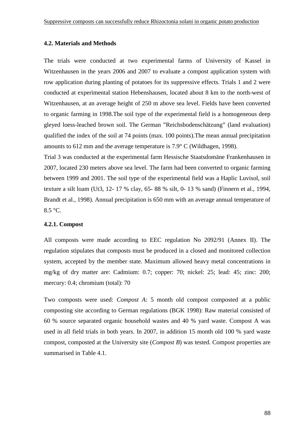### **4.2. Materials and Methods**

The trials were conducted at two experimental farms of University of Kassel in Witzenhausen in the years 2006 and 2007 to evaluate a compost application system with row application during planting of potatoes for its suppressive effects. Trials 1 and 2 were conducted at experimental station Hebenshausen, located about 8 km to the north-west of Witzenhausen, at an average height of 250 m above sea level. Fields have been converted to organic farming in 1998.The soil type of the experimental field is a homogeneous deep gleyed loess-leached brown soil. The German "Reichsbodenschätzung" (land evaluation) qualified the index of the soil at 74 points (max. 100 points).The mean annual precipitation amounts to 612 mm and the average temperature is  $7.9^{\circ}$  C (Wildhagen, 1998).

Trial 3 was conducted at the experimental farm Hessische Staatsdomäne Frankenhausen in 2007, located 230 meters above sea level. The farm had been converted to organic farming between 1999 and 2001. The soil type of the experimental field was a Haplic Luvisol, soil texture a silt loam (Ut3, 12- 17 % clay, 65- 88 % silt, 0- 13 % sand) (Finnern et al., 1994, Brandt et al., 1998). Annual precipitation is 650 mm with an average annual temperature of 8.5 °C.

## **4.2.1. Compost**

All composts were made according to EEC regulation No 2092/91 (Annex II). The regulation stipulates that composts must be produced in a closed and monitored collection system, accepted by the member state. Maximum allowed heavy metal concentrations in mg/kg of dry matter are: Cadmium: 0.7; copper: 70; nickel: 25; lead: 45; zinc: 200; mercury: 0.4; chromium (total): 70

Two composts were used: *Compost A*: 5 month old compost composted at a public composting site according to German regulations (BGK 1998): Raw material consisted of 60 % source separated organic household wastes and 40 % yard waste. Compost A was used in all field trials in both years. In 2007, in addition 15 month old 100 % yard waste compost, composted at the University site (*Compost B*) was tested. Compost properties are summarised in Table 4.1.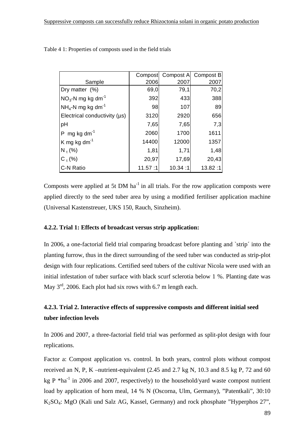|                                        | Compost | <b>Compost A</b> | Compost B |
|----------------------------------------|---------|------------------|-----------|
| Sample                                 | 2006    | 2007             | 2007      |
| Dry matter (%)                         | 69,0    | 79,1             | 70,2      |
| $NO3$ -N mg kg dm <sup>-1</sup>        | 392     | 433              | 388       |
| $NH_4$ -N mg kg dm <sup>-1</sup>       | 98      | 107              | 89        |
| Electrical conductivity (µs)           | 3120    | 2920             | 656       |
| pH                                     | 7,65    | 7,65             | 7,3       |
| mg kg dm <sup>-1</sup><br>$\mathsf{P}$ | 2060    | 1700             | 1611      |
| $\mathsf K$ mg kg dm <sup>-1</sup>     | 14400   | 12000            | 1357      |
| $N_{t}$ (%)                            | 1,81    | 1,71             | 1,48      |
| $C_+(%)$                               | 20,97   | 17,69            | 20,43     |
| <b>C-N Ratio</b>                       | 11.57:1 | 10.34:1          | 13.82:1   |

Table 4 1: Properties of composts used in the field trials

Composts were applied at 5t DM  $ha^{-1}$  in all trials. For the row application composts were applied directly to the seed tuber area by using a modified fertiliser application machine (Universal Kastenstreuer, UKS 150, Rauch, Sinzheim).

## **4.2.2. Trial 1: Effects of broadcast versus strip application:**

In 2006, a one-factorial field trial comparing broadcast before planting and `strip´ into the planting furrow, thus in the direct surrounding of the seed tuber was conducted as strip-plot design with four replications. Certified seed tubers of the cultivar Nicola were used with an initial infestation of tuber surface with black scurf sclerotia below 1 %. Planting date was May  $3<sup>rd</sup>$ , 2006. Each plot had six rows with 6.7 m length each.

## **4.2.3. Trial 2. Interactive effects of suppressive composts and different initial seed tuber infection levels**

In 2006 and 2007, a three-factorial field trial was performed as split-plot design with four replications.

Factor a: Compost application vs. control. In both years, control plots without compost received an N, P, K –nutrient-equivalent (2.45 and 2.7 kg N, 10.3 and 8.5 kg P, 72 and 60 kg P  $*$ ha<sup>-1</sup> in 2006 and 2007, respectively) to the household/yard waste compost nutrient load by application of horn meal, 14 % N (Oscorna, Ulm, Germany), "Patentkali", 30:10 K2SO4: MgO (Kali und Salz AG, Kassel, Germany) and rock phosphate "Hyperphos 27",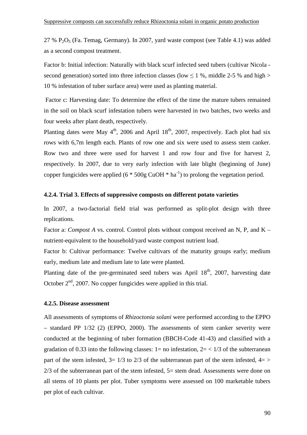$27 \% P_2O<sub>5</sub>$  (Fa. Temag, Germany). In 2007, yard waste compost (see Table 4.1) was added as a second compost treatment.

Factor b: Initial infection: Naturally with black scurf infected seed tubers (cultivar Nicola second generation) sorted into three infection classes (low  $\leq 1$  %, middle 2-5 % and high > 10 % infestation of tuber surface area) were used as planting material.

 Factor c: Harvesting date: To determine the effect of the time the mature tubers remained in the soil on black scurf infestation tubers were harvested in two batches, two weeks and four weeks after plant death, respectively.

Planting dates were May  $4<sup>th</sup>$ , 2006 and April 18<sup>th</sup>, 2007, respectively. Each plot had six rows with 6,7m length each. Plants of row one and six were used to assess stem canker. Row two and three were used for harvest 1 and row four and five for harvest 2, respectively. In 2007, due to very early infection with late blight (beginning of June) copper fungicides were applied  $(6 * 500g CuOH * ha<sup>-1</sup>)$  to prolong the vegetation period.

## **4.2.4. Trial 3. Effects of suppressive composts on different potato varieties**

In 2007, a two-factorial field trial was performed as split-plot design with three replications.

Factor a: *Compost A vs.* control. Control plots without compost received an N, P, and K – nutrient-equivalent to the household/yard waste compost nutrient load.

Factor b: Cultivar performance: Twelve cultivars of the maturity groups early; medium early, medium late and medium late to late were planted.

Planting date of the pre-germinated seed tubers was April  $18<sup>th</sup>$ , 2007, harvesting date October  $2<sup>nd</sup>$ , 2007. No copper fungicides were applied in this trial.

### **4.2.5. Disease assessment**

All assessments of symptoms of *Rhizoctonia solani* were performed according to the EPPO – standard PP 1/32 (2) (EPPO, 2000). The assessments of stem canker severity were conducted at the beginning of tuber formation (BBCH-Code 41-43) and classified with a gradation of 0.33 into the following classes:  $1=$  no infestation,  $2=$  <  $1/3$  of the subterranean part of the stem infested,  $3=1/3$  to  $2/3$  of the subterranean part of the stem infested,  $4=$  > 2/3 of the subterranean part of the stem infested, 5= stem dead. Assessments were done on all stems of 10 plants per plot. Tuber symptoms were assessed on 100 marketable tubers per plot of each cultivar.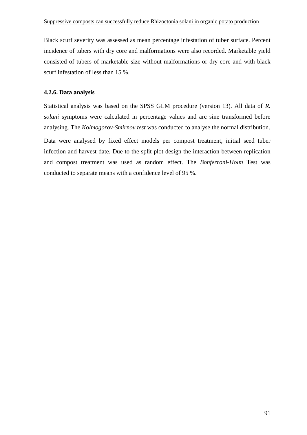Black scurf severity was assessed as mean percentage infestation of tuber surface. Percent incidence of tubers with dry core and malformations were also recorded. Marketable yield consisted of tubers of marketable size without malformations or dry core and with black scurf infestation of less than 15 %.

## **4.2.6. Data analysis**

Statistical analysis was based on the SPSS GLM procedure (version 13). All data of *R. solani* symptoms were calculated in percentage values and arc sine transformed before analysing. The *Kolmogorov-Smirnov test* was conducted to analyse the normal distribution.

Data were analysed by fixed effect models per compost treatment, initial seed tuber infection and harvest date. Due to the split plot design the interaction between replication and compost treatment was used as random effect. The *Bonferroni-Holm* Test was conducted to separate means with a confidence level of 95 %.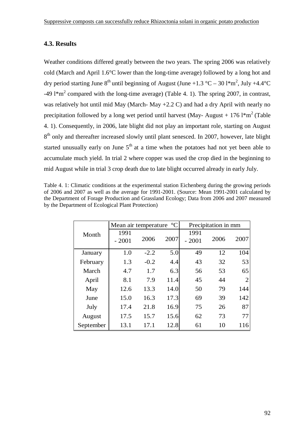## **4.3. Results**

Weather conditions differed greatly between the two years. The spring 2006 was relatively cold (March and April 1.6°C lower than the long-time average) followed by a long hot and dry period starting June  $8^{th}$  until beginning of August (June +1.3 °C – 30 l\*m<sup>2</sup>, July +4.4 °C -49 l<sup>\*</sup>m<sup>2</sup> compared with the long-time average) (Table 4. 1). The spring 2007, in contrast, was relatively hot until mid May (March- May +2.2 C) and had a dry April with nearly no precipitation followed by a long wet period until harvest (May-August + 176 l\*m<sup>2</sup> (Table 4. 1). Consequently, in 2006, late blight did not play an important role, starting on August 8<sup>th</sup> only and thereafter increased slowly until plant senesced. In 2007, however, late blight started unusually early on June  $5<sup>th</sup>$  at a time when the potatoes had not yet been able to accumulate much yield. In trial 2 where copper was used the crop died in the beginning to mid August while in trial 3 crop death due to late blight occurred already in early July.

Table 4. 1: Climatic conditions at the experimental station Eichenberg during the growing periods of 2006 and 2007 as well as the average for 1991-2001. (Source: Mean 1991-2001 calculated by the Department of Forage Production and Grassland Ecology; Data from 2006 and 2007 measured by the Department of Ecological Plant Protection)

|           | Mean air temperature °C |        |      | Precipitation in mm |      |                |  |
|-----------|-------------------------|--------|------|---------------------|------|----------------|--|
| Month     | 1991<br>$-2001$         | 2006   | 2007 | 1991<br>$-2001$     | 2006 | 2007           |  |
| January   | 1.0                     | $-2.2$ | 5.0  | 49                  | 12   | 104            |  |
| February  | 1.3                     | $-0.2$ | 4.4  | 43                  | 32   | 53             |  |
| March     | 4.7                     | 1.7    | 6.3  | 56                  | 53   | 65             |  |
| April     | 8.1                     | 7.9    | 11.4 | 45                  | 44   | $\overline{2}$ |  |
| May       | 12.6                    | 13.3   | 14.0 | 50                  | 79   | 144            |  |
| June      | 15.0                    | 16.3   | 17.3 | 69                  | 39   | 142            |  |
| July      | 17.4                    | 21.8   | 16.9 | 75                  | 26   | 87             |  |
| August    | 17.5                    | 15.7   | 15.6 | 62                  | 73   | 77             |  |
| September | 13.1                    | 17.1   | 12.8 | 61                  | 10   | 116            |  |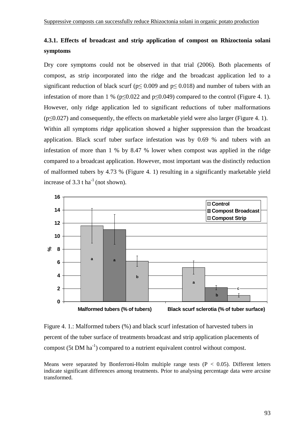## **4.3.1. Effects of broadcast and strip application of compost on Rhizoctonia solani symptoms**

Dry core symptoms could not be observed in that trial (2006). Both placements of compost, as strip incorporated into the ridge and the broadcast application led to a significant reduction of black scurf ( $p \le 0.009$  and  $p \le 0.018$ ) and number of tubers with an infestation of more than 1 % ( $p \le 0.022$  and  $p \le 0.049$ ) compared to the control (Figure 4. 1). However, only ridge application led to significant reductions of tuber malformations (p≤0.027) and consequently, the effects on marketable yield were also larger (Figure 4. 1). Within all symptoms ridge application showed a higher suppression than the broadcast application. Black scurf tuber surface infestation was by 0.69 % and tubers with an infestation of more than 1 % by 8.47 % lower when compost was applied in the ridge compared to a broadcast application. However, most important was the distinctly reduction of malformed tubers by 4.73 % (Figure 4. 1) resulting in a significantly marketable yield increase of  $3.3$  t ha<sup>-1</sup> (not shown).



Figure 4. 1.: Malformed tubers (%) and black scurf infestation of harvested tubers in percent of the tuber surface of treatments broadcast and strip application placements of compost  $(5t \text{ DM ha}^{-1})$  compared to a nutrient equivalent control without compost.

Means were separated by Bonferroni-Holm multiple range tests ( $P < 0.05$ ). Different letters indicate significant differences among treatments. Prior to analysing percentage data were arcsine transformed.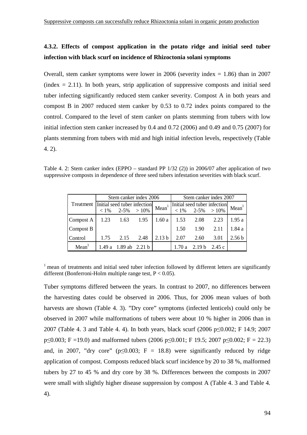## **4.3.2. Effects of compost application in the potato ridge and initial seed tuber infection with black scurf on incidence of Rhizoctonia solani symptoms**

Overall, stem canker symptoms were lower in 2006 (severity index  $= 1.86$ ) than in 2007  $(index = 2.11)$ . In both years, strip application of suppressive composts and initial seed tuber infecting significantly reduced stem canker severity. Compost A in both years and compost B in 2007 reduced stem canker by 0.53 to 0.72 index points compared to the control. Compared to the level of stem canker on plants stemming from tubers with low initial infection stem canker increased by 0.4 and 0.72 (2006) and 0.49 and 0.75 (2007) for plants stemming from tubers with mid and high initial infection levels, respectively (Table 4. 2).

Table 4. 2: Stem canker index (EPPO – standard PP 1/32 (2)) in 2006/07 after application of two suppressive composts in dependence of three seed tubers infestation severities with black scurf.

|                   | Stem canker index 2006                                |                   | Stem canker index 2007 |                       |                                                |                   |  |
|-------------------|-------------------------------------------------------|-------------------|------------------------|-----------------------|------------------------------------------------|-------------------|--|
| Treatment         | Initial seed tuber infection<br>$< 1\%$ 2-5% $> 10\%$ | Mean <sup>1</sup> |                        | $< 1\%$ 2-5% $> 10\%$ | Initial seed tuber infection Mean <sup>1</sup> |                   |  |
| Compost A         | 1.23 1.63 1.95   1.60 a   1.53 2.08 2.23              |                   |                        |                       |                                                | 1.95a             |  |
| Compost B         |                                                       |                   | 1.50                   | 1.90                  | 2.11                                           | 1.84a             |  |
| Control           | 1.75 2.15 2.48                                        | 2.13 <sub>b</sub> | 2.07                   | 2.60                  | 3.01                                           | 2.56 <sub>b</sub> |  |
| Mean <sup>1</sup> | 1.49 a $1.89$ ab $2.21$ b                             |                   | 1.70 a                 | 2.19 b 2.45 c         |                                                |                   |  |

 $1$  mean of treatments and initial seed tuber infection followed by different letters are significantly different (Bonferroni-Holm multiple range test, P < 0.05).

Tuber symptoms differed between the years. In contrast to 2007, no differences between the harvesting dates could be observed in 2006. Thus, for 2006 mean values of both harvests are shown (Table 4. 3). "Dry core" symptoms (infected lenticels) could only be observed in 2007 while malformations of tubers were about 10 % higher in 2006 than in 2007 (Table 4. 3 and Table 4. 4). In both years, black scurf (2006 p≤0.002; F 14.9; 2007  $p\leq 0.003$ ; F =19.0) and malformed tubers (2006 p $\leq 0.001$ ; F 19.5; 2007 p $\leq 0.002$ ; F = 22.3) and, in 2007, "dry core" ( $p \le 0.003$ ; F = 18.8) were significantly reduced by ridge application of compost. Composts reduced black scurf incidence by 20 to 38 %, malformed tubers by 27 to 45 % and dry core by 38 %. Differences between the composts in 2007 were small with slightly higher disease suppression by compost A (Table 4. 3 and Table 4. 4).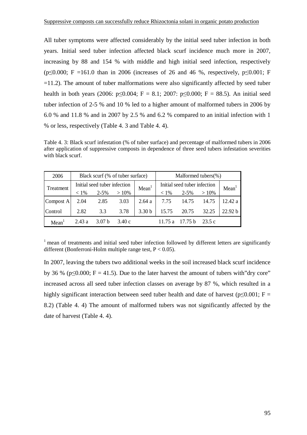All tuber symptoms were affected considerably by the initial seed tuber infection in both years. Initial seed tuber infection affected black scurf incidence much more in 2007, increasing by 88 and 154 % with middle and high initial seed infection, respectively (p≤0.000; F =161.0 than in 2006 (increases of 26 and 46 %, respectively, p≤0.001; F  $=11.2$ ). The amount of tuber malformations were also significantly affected by seed tuber health in both years (2006:  $p \le 0.004$ ; F = 8.1; 2007:  $p \le 0.000$ ; F = 88.5). An initial seed tuber infection of 2-5 % and 10 % led to a higher amount of malformed tubers in 2006 by 6.0 % and 11.8 % and in 2007 by 2.5 % and 6.2 % compared to an initial infection with 1 % or less, respectively (Table 4. 3 and Table 4. 4).

Table 4. 3: Black scurf infestation (% of tuber surface) and percentage of malformed tubers in 2006 after application of suppressive composts in dependence of three seed tubers infestation severities with black scurf.

| 2006              |         |                              | Black scurf (% of tuber surface) |                   | Malformed tubers $(\% )$     |                   |        |         |  |
|-------------------|---------|------------------------------|----------------------------------|-------------------|------------------------------|-------------------|--------|---------|--|
| Treatment         |         | Initial seed tuber infection |                                  | Mean <sup>1</sup> | Initial seed tuber infection | Mean <sup>1</sup> |        |         |  |
|                   | $< 1\%$ | $2 - 5\%$                    | $>10\%$                          |                   | $< 1\%$                      | $2 - 5\%$         | >10%   |         |  |
| Compost A         | 2.04    | 2.85                         | 3.03                             | 2.64a             |                              | 7.75 14.75        | 14.75  | 12.42 a |  |
| Control           | 2.82    | 3.3                          | 3.78                             | 3.30 <sub>b</sub> | 15.75                        | 20.75             | 32.25  | 22.92 b |  |
| Mean <sup>1</sup> | 2.43a   | 3.07 <sub>b</sub>            | 3.40c                            |                   | 11 75 a                      | 17.75 h           | 23.5 c |         |  |

 $1$  mean of treatments and initial seed tuber infection followed by different letters are significantly different (Bonferroni-Holm multiple range test,  $P < 0.05$ ).

In 2007, leaving the tubers two additional weeks in the soil increased black scurf incidence by 36 % ( $p \le 0.000$ ; F = 41.5). Due to the later harvest the amount of tubers with "dry core" increased across all seed tuber infection classes on average by 87 %, which resulted in a highly significant interaction between seed tuber health and date of harvest ( $p \le 0.001$ ; F = 8.2) (Table 4. 4) The amount of malformed tubers was not significantly affected by the date of harvest (Table 4. 4).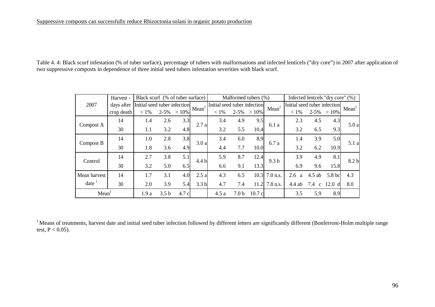Table 4. 4: Black scurf infestation (% of tuber surface), percentage of tubers with malformations and infected lenticels ("dry core") in 2007 after application of two suppressive composts in dependence of three initial seed tubers infestation severities with black scurf.

|              | Harvest -  | Black scurf (% of tuber surface) |                  |         |                  |                              | Malformed tubers (%) |         |                  |                              | Infected lentcels "dry core" (%) |                      |                   |
|--------------|------------|----------------------------------|------------------|---------|------------------|------------------------------|----------------------|---------|------------------|------------------------------|----------------------------------|----------------------|-------------------|
| 2007         | days after | Initial seed tuber infection     |                  |         |                  | Initial seed tuber infection |                      |         |                  | Initial seed tuber infection |                                  |                      |                   |
|              | crop death | $< 1\%$                          | $2 - 5%$         | $>10\%$ | Mean             | $< 1\%$                      | $2 - 5\%$            | $>10\%$ | Mean             | $< 1\%$                      |                                  | $2-5\% > 10\%$       | Mean <sup>1</sup> |
| Compost A    | 14         | 1.4                              | 2.6              | 3.3     | 2.7a             | 3.4                          | 4.9                  | 9.5     | 6.1a             | 2.3                          | 4.5                              | 4.3                  | 5.0a              |
|              | 30         | 1.1                              | 3.2              | 4.8     |                  | 3.2                          | 5.5                  | 10.4    |                  | 3.2                          | 6.5                              | 9.3                  |                   |
|              | 14         | 1.0                              | 2.8              | 3.8     | 3.0a             | 3.4                          | 6.0                  | 8.9     | 6.7 a            | 1.4                          | 3.9                              | 5.0                  | 5.1 a             |
| Compost B    | 30         | 1.8                              | 3.6              | 4.9     |                  | 4.4                          | 7.7                  | 10.0    |                  | 3.2                          | 6.2                              | 10.9                 |                   |
| Control      | 14         | 2.7                              | 3.8              | 5.1     | 4.4 b            | 5.9                          | 8.7                  | 12.4    | 9.3 <sub>b</sub> | 3.9                          | 4.9                              | 8.1                  | 8.2 <sub>b</sub>  |
|              | 30         | 3.2                              | 5.0              | 6.5     |                  | 6.6                          | 9.1                  | 13.3    |                  | 6.9                          | 9.6                              | 15.8                 |                   |
| Mean harvest | 14         | 1.7                              | 3.1              | 4.0     | 2.5a             | 4.3                          | 6.5                  |         | 10.3 7.0 n.s.    | 2.6<br>a                     | $4.5$ ab                         | 5.8 bc               | 4.3               |
| date         | 30         | 2.0                              | 3.9              | 5.4     | 3.3 <sub>b</sub> | 4.7                          | 7.4                  |         | $11.2$ 7.8 n.s.  | $4.4$ ab                     | 7.4<br>$\mathbf{c}$              | 12.0<br><sub>d</sub> | 8.0               |
| Mean         |            | 1.9a                             | 3.5 <sub>b</sub> | 4.7 c   |                  | 4.5a                         | 7.0 b                | 10.7c   |                  | 3.5                          | 5.9                              | 8.9                  |                   |

 $1$  Means of treatments, harvest date and initial seed tuber infection followed by different letters are significantly different (Bonferroni-Holm multiple range test,  $P < 0.05$ ).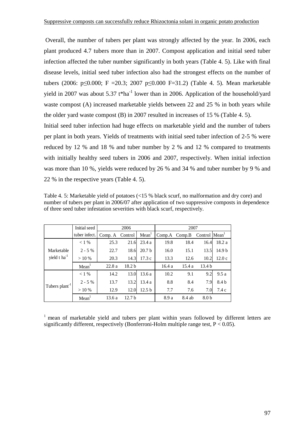Overall, the number of tubers per plant was strongly affected by the year. In 2006, each plant produced 4.7 tubers more than in 2007. Compost application and initial seed tuber infection affected the tuber number significantly in both years (Table 4. 5). Like with final disease levels, initial seed tuber infection also had the strongest effects on the number of tubers (2006: p≤0.000; F =20.3; 2007 p≤0.000 F=31.2) (Table 4. 5). Mean marketable yield in 2007 was about 5.37  $t<sup>*</sup>ha<sup>-1</sup>$  lower than in 2006. Application of the household/yard waste compost (A) increased marketable yields between 22 and 25 % in both years while the older yard waste compost (B) in 2007 resulted in increases of 15 % (Table 4. 5).

Initial seed tuber infection had huge effects on marketable yield and the number of tubers per plant in both years. Yields of treatments with initial seed tuber infection of 2-5 % were reduced by 12 % and 18 % and tuber number by 2 % and 12 % compared to treatments with initially healthy seed tubers in 2006 and 2007, respectively. When initial infection was more than 10 %, yields were reduced by 26 % and 34 % and tuber number by 9 % and 22 % in the respective years (Table 4. 5).

Table 4. 5: Marketable yield of potatoes (<15 % black scurf, no malformation and dry core) and number of tubers per plant in 2006/07 after application of two suppressive composts in dependence of three seed tuber infestation severities with black scurf, respectively.

|                                        | Initial seed      |         | 2006              |                   | 2007   |        |                           |                   |  |
|----------------------------------------|-------------------|---------|-------------------|-------------------|--------|--------|---------------------------|-------------------|--|
|                                        | tuber infect.     | Comp. A | Control           | Mean <sup>1</sup> | Comp.A | Comp.B | Control Mean <sup>1</sup> |                   |  |
| Marketable<br>yield t ha <sup>-1</sup> | $< 1\%$           | 25.3    | 21.6              | 23.4a             | 19.8   | 18.4   | 16.4                      | 18.2 a            |  |
|                                        | $2 - 5\%$         | 22.7    | 18.6              | 20.7 <sub>b</sub> | 16.0   | 15.1   | 13.5                      | 14.9 <sub>b</sub> |  |
|                                        | >10%              | 20.3    | 14.3              | 17.3c             | 13.3   | 12.6   | 10.2                      | 12.0c             |  |
|                                        | Mean <sup>1</sup> | 22.8a   | 18.2 <sub>b</sub> |                   | 16.4a  | 15.4a  | 13.4 <sub>b</sub>         |                   |  |
|                                        | $< 1\%$           | 14.2    | 13.0              | 13.6a             | 10.2   | 9.1    | 9.2                       | 9.5a              |  |
| Tubers plant <sup>-1</sup>             | $2 - 5%$          | 13.7    | 13.2              | 13.4a             | 8.8    | 8.4    | 7.9                       | 8.4 b             |  |
|                                        | >10%              | 12.9    | 12.0              | 12.5 <sub>b</sub> | 7.7    | 7.6    | 7.0                       | 7.4c              |  |
|                                        | Mean <sup>1</sup> | 13.6a   | 12.7 <sub>b</sub> |                   | 8.9 a  | 8.4 ab | 8.0 <sub>b</sub>          |                   |  |

 $1$  mean of marketable yield and tubers per plant within years followed by different letters are significantly different, respectively (Bonferroni-Holm multiple range test,  $P < 0.05$ ).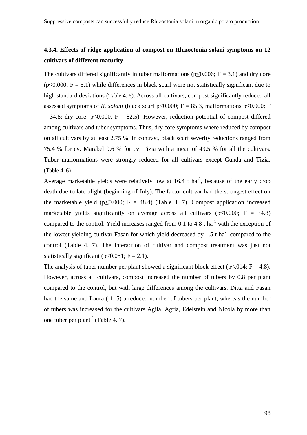## **4.3.4. Effects of ridge application of compost on Rhizoctonia solani symptoms on 12 cultivars of different maturity**

The cultivars differed significantly in tuber malformations ( $p \le 0.006$ ; F = 3.1) and dry core  $(p<0.000; F = 5.1)$  while differences in black scurf were not statistically significant due to high standard deviations (Table 4. 6). Across all cultivars, compost significantly reduced all assessed symptoms of *R. solani* (black scurf  $p \le 0.000$ ; F = 85.3, malformations  $p \le 0.000$ ; F  $= 34.8$ ; dry core: p<0.000, F = 82.5). However, reduction potential of compost differed among cultivars and tuber symptoms. Thus, dry core symptoms where reduced by compost on all cultivars by at least 2.75 %. In contrast, black scurf severity reductions ranged from 75.4 % for cv. Marabel 9.6 % for cv. Tizia with a mean of 49.5 % for all the cultivars. Tuber malformations were strongly reduced for all cultivars except Gunda and Tizia. (Table 4. 6)

Average marketable yields were relatively low at  $16.4$  t ha<sup>-1</sup>, because of the early crop death due to late blight (beginning of July). The factor cultivar had the strongest effect on the marketable yield (p≤0.000; F = 48.4) (Table 4. 7). Compost application increased marketable yields significantly on average across all cultivars ( $p \le 0.000$ ; F = 34.8) compared to the control. Yield increases ranged from 0.1 to 4.8 t ha<sup>-1</sup> with the exception of the lowest yielding cultivar Fasan for which yield decreased by 1.5 t ha<sup>-1</sup> compared to the control (Table 4. 7). The interaction of cultivar and compost treatment was just not statistically significant ( $p \le 0.051$ ; F = 2.1).

The analysis of tuber number per plant showed a significant block effect ( $p \le 0.014$ ; F = 4.8). However, across all cultivars, compost increased the number of tubers by 0.8 per plant compared to the control, but with large differences among the cultivars. Ditta and Fasan had the same and Laura (-1. 5) a reduced number of tubers per plant, whereas the number of tubers was increased for the cultivars Agila, Agria, Edelstein and Nicola by more than one tuber per plant<sup>-1</sup> (Table 4, 7).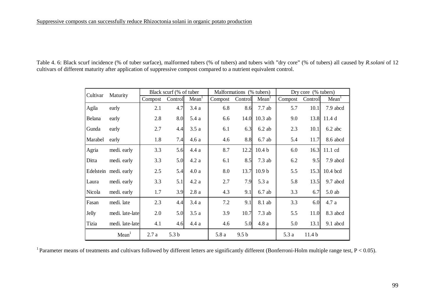| Table 4. 6: Black scurf incidence (% of tuber surface), malformed tubers (% of tubers) and tubers with "dry core" (% of tubers) all caused by R.solani of 12 |  |
|--------------------------------------------------------------------------------------------------------------------------------------------------------------|--|
| cultivars of different maturity after application of suppressive compost compared to a nutrient equivalent control.                                          |  |

| Cultivar | Maturity              | Black scurf (% of tuber |                  |                   | Malformations (% tubers) |                  |                   | Dry core (% tubers) |                   |                   |
|----------|-----------------------|-------------------------|------------------|-------------------|--------------------------|------------------|-------------------|---------------------|-------------------|-------------------|
|          |                       | Compost                 | Control          | Mean <sup>1</sup> | Compost                  | Control          | Mean <sup>1</sup> | Compost             | Control           | Mean <sup>1</sup> |
| Agila    | early                 | 2.1                     | 4.7              | 3.4a              | 6.8                      | 8.6              | 7.7ab             | 5.7                 | 10.1              | 7.9 abcd          |
| Belana   | early                 | 2.8                     | 8.0              | 5.4 a             | 6.6                      | 14.0             | $10.3$ ab         | 9.0                 | 13.8              | 11.4d             |
| Gunda    | early                 | 2.7                     | 4.4              | 3.5a              | 6.1                      | 6.3              | $6.2$ ab          | 2.3                 | 10.1              | 6.2 abc           |
| Marabel  | early                 | 1.8                     | 7.4              | 4.6a              | 4.6                      | 8.8              | $6.7$ ab          | 5.4                 | 11.7              | 8.6 abcd          |
| Agria    | medi. early           | 3.3                     | 5.6              | 4.4a              | 8.7                      | 12.2             | 10.4 <sub>b</sub> | 6.0                 | 16.3              | 11.1 cd           |
| Ditta    | medi. early           | 3.3                     | 5.0              | 4.2a              | 6.1                      | 8.5              | $7.3$ ab          | 6.2                 | 9.5               | 7.9 abcd          |
|          | Edelstein medi. early | 2.5                     | 5.4              | 4.0a              | 8.0                      | 13.7             | 10.9 <sub>b</sub> | 5.5                 | 15.3              | 10.4 bcd          |
| Laura    | medi. early           | 3.3                     | 5.1              | 4.2a              | 2.7                      | 7.9              | 5.3a              | 5.8                 | 13.5              | 9.7 abcd          |
| Nicola   | medi. early           | 1.7                     | 3.9              | 2.8a              | 4.3                      | 9.1              | $6.7$ ab          | 3.3                 | 6.7               | $5.0$ ab          |
| Fasan    | medi. late            | 2.3                     | 4.4              | 3.4a              | 7.2                      | 9.1              | 8.1 ab            | 3.3                 | 6.0               | 4.7 a             |
| Jelly    | medi. late-late       | 2.0                     | 5.0              | 3.5a              | 3.9                      | 10.7             | $7.3$ ab          | 5.5                 | 11.0              | 8.3 abcd          |
| Tizia    | medi. late-late       | 4.1                     | 4.6              | 4.4a              | 4.6                      | 5.0              | 4.8a              | 5.0                 | 13.1              | 9.1 abcd          |
|          | Mean <sup>1</sup>     | 2.7a                    | 5.3 <sub>b</sub> |                   | 5.8a                     | 9.5 <sub>b</sub> |                   | 5.3a                | 11.4 <sub>b</sub> |                   |

<sup>1</sup> Parameter means of treatments and cultivars followed by different letters are significantly different (Bonferroni-Holm multiple range test,  $P < 0.05$ ).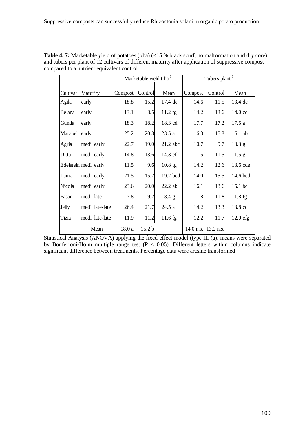|               |                       |         | Marketable yield t ha <sup>-1</sup> |                   | Tubers plant <sup>-1</sup> |         |                   |  |
|---------------|-----------------------|---------|-------------------------------------|-------------------|----------------------------|---------|-------------------|--|
| Cultivar      | Maturity              | Compost | Control                             | Mean              | Compost                    | Control | Mean              |  |
| Agila         | early                 | 18.8    | 15.2                                | 17.4 de           | 14.6                       | 11.5    | 13.4 de           |  |
| Belana        | early                 | 13.1    | 8.5                                 | $11.2 \text{ fg}$ | 14.2                       | 13.6    | 14.0 cd           |  |
| Gunda         | early                 | 18.3    | 18.2                                | 18.3 cd           | 17.7                       | 17.2    | 17.5a             |  |
| Marabel early |                       | 25.2    | 20.8                                | 23.5a             | 16.3                       | 15.8    | 16.1 ab           |  |
| Agria         | medi. early           | 22.7    | 19.0                                | $21.2$ abc        | 10.7                       | 9.7     | 10.3 <sub>g</sub> |  |
| Ditta         | medi. early           | 14.8    | 13.6                                | 14.3 ef           | 11.5                       | 11.5    | $11.5$ g          |  |
|               | Edelstein medi. early | 11.5    | 9.6                                 | $10.8$ fg         | 14.2                       | 12.6    | 13.6 cde          |  |
| Laura         | medi. early           | 21.5    | 15.7                                | 19.2 bcd          | 14.0                       | 15.5    | 14.6 bcd          |  |
| Nicola        | medi. early           | 23.6    | 20.0                                | $22.2$ ab         | 16.1                       | 13.6    | 15.1 bc           |  |
| Fasan         | medi. late            | 7.8     | 9.2                                 | $8.4\text{ g}$    | 11.8                       | 11.8    | $11.8 \text{ fg}$ |  |
| Jelly         | medi. late-late       | 26.4    | 21.7                                | 24.5 a            | 14.2                       | 13.3    | 13.8 cd           |  |
| Tizia         | medi. late-late       | 11.9    | 11.2                                | $11.6 \text{ fg}$ | 12.2                       | 11.7    | $12.0$ efg        |  |
|               | Mean                  | 18.0 a  | 15.2 <sub>b</sub>                   |                   | 14.0 n.s. 13.2 n.s.        |         |                   |  |

Table 4. 7: Marketable yield of potatoes (t/ha) (<15 % black scurf, no malformation and dry core) and tubers per plant of 12 cultivars of different maturity after application of suppressive compost compared to a nutrient equivalent control.

Statistical Analysis (ANOVA) applying the fixed effect model (type III (a), means were separated by Bonferroni-Holm multiple range test  $(P < 0.05)$ . Different letters within columns indicate significant difference between treatments. Percentage data were arcsine transformed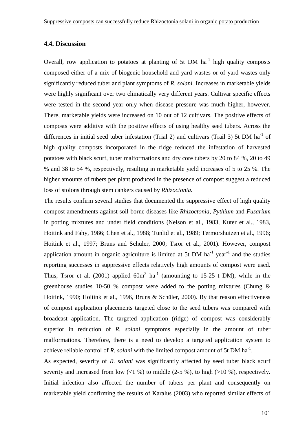## **4.4. Discussion**

Overall, row application to potatoes at planting of 5t DM  $ha^{-1}$  high quality composts composed either of a mix of biogenic household and yard wastes or of yard wastes only significantly reduced tuber and plant symptoms of *R. solani.* Increases in marketable yields were highly significant over two climatically very different years. Cultivar specific effects were tested in the second year only when disease pressure was much higher, however. There, marketable yields were increased on 10 out of 12 cultivars. The positive effects of composts were additive with the positive effects of using healthy seed tubers. Across the differences in initial seed tuber infestation (Trial 2) and cultivars (Trail 3) 5t DM ha<sup>-1</sup> of high quality composts incorporated in the ridge reduced the infestation of harvested potatoes with black scurf, tuber malformations and dry core tubers by 20 to 84 %, 20 to 49 % and 38 to 54 %, respectively, resulting in marketable yield increases of 5 to 25 %. The higher amounts of tubers per plant produced in the presence of compost suggest a reduced loss of stolons through stem cankers caused by *Rhizoctonia***.**

The results confirm several studies that documented the suppressive effect of high quality compost amendments against soil borne diseases like *Rhizoctonia, Pythium* and *Fusarium* in potting mixtures and under field conditions (Nelson et al., 1983, Kuter et al., 1983, Hoitink and Fahy, 1986; Chen et al., 1988; Tunlid et al., 1989; Termorshuizen et al., 1996; Hoitink et al., 1997; Bruns and Schüler, 2000; Tsror et al., 2001). However, compost application amount in organic agriculture is limited at 5t DM  $ha^{-1}$  year<sup>-1</sup> and the studies reporting successes in suppressive effects relatively high amounts of compost were used. Thus, Tsror et al. (2001) applied  $60m^3$  ha<sup>-1</sup> (amounting to 15-25 t DM), while in the greenhouse studies 10-50 % compost were added to the potting mixtures (Chung & Hoitink, 1990; Hoitink et al., 1996, Bruns & Schüler, 2000). By that reason effectiveness of compost application placements targeted close to the seed tubers was compared with broadcast application. The targeted application (ridge) of compost was considerably superior in reduction of *R. solani* symptoms especially in the amount of tuber malformations. Therefore, there is a need to develop a targeted application system to achieve reliable control of *R. solani* with the limited compost amount of 5t DM ha<sup>-1</sup>.

As expected, severity of *R. solani* was significantly affected by seed tuber black scurf severity and increased from low  $\ll 1$  %) to middle (2-5 %), to high  $\ll 10$  %), respectively. Initial infection also affected the number of tubers per plant and consequently on marketable yield confirming the results of Karalus (2003) who reported similar effects of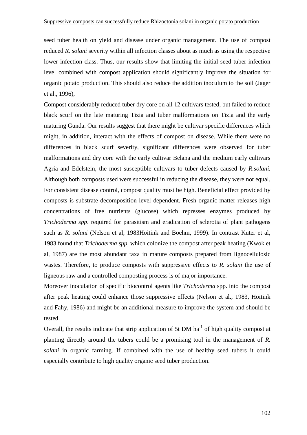seed tuber health on yield and disease under organic management. The use of compost reduced *R. solani* severity within all infection classes about as much as using the respective lower infection class. Thus, our results show that limiting the initial seed tuber infection level combined with compost application should significantly improve the situation for organic potato production. This should also reduce the addition inoculum to the soil (Jager et al., 1996),

Compost considerably reduced tuber dry core on all 12 cultivars tested, but failed to reduce black scurf on the late maturing Tizia and tuber malformations on Tizia and the early maturing Gunda. Our results suggest that there might be cultivar specific differences which might, in addition, interact with the effects of compost on disease. While there were no differences in black scurf severity, significant differences were observed for tuber malformations and dry core with the early cultivar Belana and the medium early cultivars Agria and Edelstein, the most susceptible cultivars to tuber defects caused by *R.solani.*  Although both composts used were successful in reducing the disease, they were not equal. For consistent disease control, compost quality must be high. Beneficial effect provided by composts is substrate decomposition level dependent. Fresh organic matter releases high concentrations of free nutrients (glucose) which represses enzymes produced by *Trichoderma spp*. required for parasitism and eradication of sclerotia of plant pathogens such as *R. solani* (Nelson et al, 1983Hoitink and Boehm, 1999). In contrast Kuter et al, 1983 found that *Trichoderma spp,* which colonize the compost after peak heating (Kwok et al, 1987) are the most abundant taxa in mature composts prepared from lignocellulosic wastes. Therefore, to produce composts with suppressive effects to *R. solani* the use of ligneous raw and a controlled composting process is of major importance.

Moreover inoculation of specific biocontrol agents like *Trichoderma* spp. into the compost after peak heating could enhance those suppressive effects (Nelson et al., 1983, Hoitink and Fahy, 1986) and might be an additional measure to improve the system and should be tested.

Overall, the results indicate that strip application of 5t DM  $ha^{-1}$  of high quality compost at planting directly around the tubers could be a promising tool in the management of *R. solani* in organic farming. If combined with the use of healthy seed tubers it could especially contribute to high quality organic seed tuber production.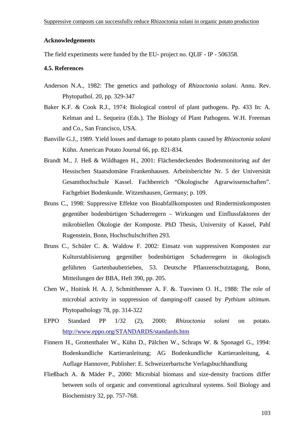### **Acknowledgements**

The field experiments were funded by the EU- project no. QLIF - IP - 506358.

#### **4.5. References**

- Anderson N.A., 1982: The genetics and pathology of *Rhizoctonia solani*. Annu. Rev. Phytopathol. 20, pp. 329-347
- Baker K.F. & Cook R.J., 1974: Biological control of plant pathogens. Pp. 433 In: A. Kelman and L. Sequeira (Eds.). The Biology of Plant Pathogens. W.H. Freeman and Co., San Francisco, USA.
- Banville G.J., 1989. Yield losses and damage to potato plants caused by *Rhizoctonia solani* Kühn. American Potato Journal 66, pp. 821-834.
- Brandt M., J. Heß & Wildhagen H., 2001: Flächendeckendes Bodenmonitoring auf der Hessischen Staatsdomäne Frankenhausen. Arbeitsberichte Nr. 5 der Universität Gesamthochschule Kassel. Fachbereich "Ökologische Agrarwissenschaften". Fachgebiet Bodenkunde. Witzenhausen, Germany; p. 109.
- Bruns C., 1998: Suppressive Effekte von Bioabfallkomposten und Rindermistkomposten gegenüber bodenbürtigen Schaderregern – Wirkungen und Einflussfaktoren der mikrobiellen Ökologie der Komposte. PhD Thesis, University of Kassel, Pahl Rugenstein, Bonn, Hochschulschriften 293.
- Bruns C., Schüler C. &. Waldow F. 2002: Einsatz von suppressiven Komposten zur Kulturstablisierung gegenüber bodenbürtigen Schaderregern in ökologisch geführten Gartenbaubetrieben, 53. Deutsche Pflanzenschutztagung, Bonn, Mitteilungen der BBA, Heft 390, pp. 205.
- Chen W., Hoitink H. A. J, Schmitthenner A. F. &. Tuovinen O. H., 1988: The role of microbial activity in suppression of damping-off caused by *Pythium ultimum*. Phytopathology 78, pp. 314-322
- EPPO Standard PP 1/32 (2), 2000: *Rhizoctonia solani* on potato. http://www.eppo.org/STANDARDS/standards.htm
- Finnern H., Grottenthaler W., Kühn D., Pälchen W., Schraps W. & Sponagel G., 1994: Bodenkundliche Kartieranleitung; AG Bodenkundliche Kartieranleitung, 4. Auflage Hannover, Publisher: E. Schweizerbartsche Verlagsbuchhandlung
- Fließbach A. & Mäder P., 2000: Microbial biomass and size-density fractions differ between soils of organic and conventional agricultural systems. Soil Biology and Biochemistry 32, pp. 757-768.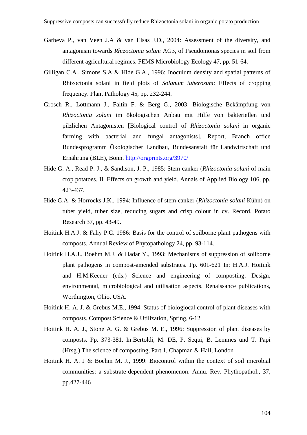- Garbeva P., van Veen J.A & van Elsas J.D., 2004: Assessment of the diversity, and antagonism towards *Rhizoctonia solani* AG3, of Pseudomonas species in soil from different agricultural regimes. FEMS Microbiology Ecology 47, pp. 51-64.
- Gilligan C.A., Simons S.A & Hide G.A., 1996: Inoculum density and spatial patterns of Rhizoctonia solani in field plots of *Solanum tuberosum*: Effects of cropping frequency. Plant Pathology 45, pp. 232-244.
- Grosch R., Lottmann J., Faltin F. & Berg G., 2003: Biologische Bekämpfung von *Rhizoctonia solani* im ökologischen Anbau mit Hilfe von bakteriellen und pilzlichen Antagonisten [Biological control of *Rhizoctonia solani* in organic farming with bacterial and fungal antagonists]. Report, Branch office Bundesprogramm Ökologischer Landbau, Bundesanstalt für Landwirtschaft und Ernährung (BLE), Bonn. http://orgprints.org/3970/
- Hide G. A., Read P. J., & Sandison, J. P., 1985: Stem canker (*Rhizoctonia solani* of main crop potatoes. II. Effects on growth and yield. Annals of Applied Biology 106, pp. 423-437.
- Hide G.A. & Horrocks J.K., 1994: Influence of stem canker (*Rhizoctonia solani* Kühn) on tuber yield, tuber size, reducing sugars and crisp colour in cv. Record. Potato Research 37, pp. 43-49.
- Hoitink H.A.J. & Fahy P.C. 1986: Basis for the control of soilborne plant pathogens with composts. Annual Review of Phytopathology 24, pp. 93-114.
- Hoitink H.A.J., Boehm M.J. & Hadar Y., 1993: Mechanisms of suppression of soilborne plant pathogens in compost-amended substrates. Pp. 601-621 In: H.A.J. Hoitink and H.M.Keener (eds.) Science and engineering of composting: Design, environmental, microbiological and utilisation aspects. Renaissance publications, Worthington, Ohio, USA.
- Hoitink H. A. J. & Grebus M.E., 1994: Status of biologiocal control of plant diseases with composts. Compost Science & Utilization, Spring, 6-12
- Hoitink H. A. J., Stone A. G. & Grebus M. E., 1996: Suppression of plant diseases by composts. Pp. 373-381. In:Bertoldi, M. DE, P. Sequi, B. Lemmes und T. Papi (Hrsg.) The science of composting, Part 1, Chapman & Hall, London
- Hoitink H. A. J & Boehm M. J., 1999: Biocontrol within the context of soil microbial communities: a substrate-dependent phenomenon. Annu. Rev. Phythopathol., 37, pp.427-446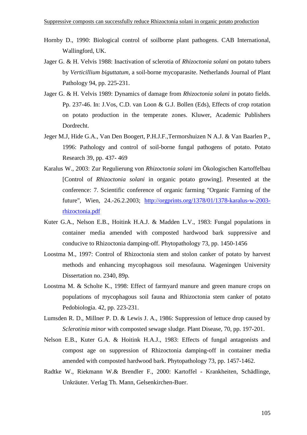- Hornby D., 1990: Biological control of soilborne plant pathogens. CAB International, Wallingford, UK.
- Jager G. & H. Velvis 1988: Inactivation of sclerotia of *Rhizoctonia solani* on potato tubers by *Verticillium biguttatum*, a soil-borne mycoparasite. Netherlands Journal of Plant Pathology 94, pp. 225-231.
- Jager G. & H. Velvis 1989: Dynamics of damage from *Rhizoctonia solani* in potato fields. Pp. 237-46. In: J.Vos, C.D. van Loon & G.J. Bollen (Eds), Effects of crop rotation on potato production in the temperate zones. Kluwer, Academic Publishers Dordrecht.
- Jeger M.J, Hide G.A., Van Den Boogert, P.H.J.F.,Termorshuizen N A.J. & Van Baarlen P., 1996: Pathology and control of soil-borne fungal pathogens of potato. Potato Research 39, pp. 437- 469
- Karalus W., 2003: Zur Regulierung von *Rhizoctonia solani* im Ökologischen Kartoffelbau [Control of *Rhizoctonia solani* in organic potato growing]. Presented at the conference: 7. Scientific conference of organic farming "Organic Farming of the future", Wien, 24.-26.2.2003; http://orgprints.org/1378/01/1378-karalus-w-2003 rhizoctonia.pdf
- Kuter G.A., Nelson E.B., Hoitink H.A.J. & Madden L.V., 1983: Fungal populations in container media amended with composted hardwood bark suppressive and conducive to Rhizoctonia damping-off. Phytopathology 73, pp. 1450-1456
- Loostma M., 1997: Control of Rhizoctonia stem and stolon canker of potato by harvest methods and enhancing mycophagous soil mesofauna. Wageningen University Dissertation no. 2340, 89p.
- Loostma M. & Scholte K., 1998: Effect of farmyard manure and green manure crops on populations of mycophagous soil fauna and Rhizoctonia stem canker of potato Pedobiologia. 42, pp. 223-231.
- Lumsden R. D., Millner P. D. & Lewis J. A., 1986: Suppression of lettuce drop caused by *Sclerotinia minor* with composted sewage sludge. Plant Disease, 70, pp. 197-201.
- Nelson E.B., Kuter G.A. & Hoitink H.A.J., 1983: Effects of fungal antagonists and compost age on suppression of Rhizoctonia damping-off in container media amended with composted hardwood bark. Phytopathology 73, pp. 1457-1462.
- Radtke W., Riekmann W.& Brendler F., 2000: Kartoffel Krankheiten, Schädlinge, Unkräuter. Verlag Th. Mann, Gelsenkirchen-Buer.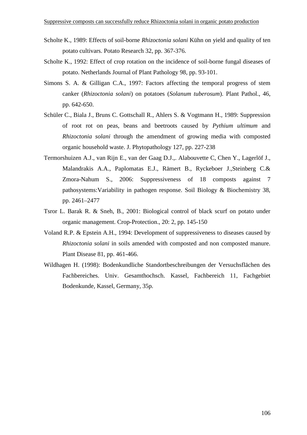- Scholte K., 1989: Effects of soil-borne *Rhizoctonia solani* Kühn on yield and quality of ten potato cultivars. Potato Research 32, pp. 367-376.
- Scholte K., 1992: Effect of crop rotation on the incidence of soil-borne fungal diseases of potato. Netherlands Journal of Plant Pathology 98, pp. 93-101.
- Simons S. A. & Gilligan C.A., 1997: Factors affecting the temporal progress of stem canker (*Rhizoctonia solani*) on potatoes (*Solanum tuberosum*). Plant Pathol., 46, pp. 642-650.
- Schüler C., Biala J., Bruns C. Gottschall R., Ahlers S. & Vogtmann H., 1989: Suppression of root rot on peas, beans and beetroots caused by *Pythium ultimum* and *Rhizoctonia solani* through the amendment of growing media with composted organic household waste. J. Phytopathology 127, pp. 227-238
- Termorshuizen A.J., van Rijn E., van der Gaag D.J.,. Alabouvette C, Chen Y., Lagerlöf J., Malandrakis A.A., Paplomatas E.J., Rämert B., Ryckeboer J.,Steinberg C.& Zmora-Nahum S., 2006: Suppressiveness of 18 composts against 7 pathosystems:Variability in pathogen response. Soil Biology & Biochemistry 38, pp. 2461–2477
- Tsror L. Barak R. & Sneh, B., 2001: Biological control of black scurf on potato under organic management. Crop-Protection., 20: 2, pp. 145-150
- Voland R.P. & Epstein A.H., 1994: Development of suppressiveness to diseases caused by *Rhizoctonia solani* in soils amended with composted and non composted manure. Plant Disease 81, pp. 461-466.
- Wildhagen H. (1998): Bodenkundliche Standortbeschreibungen der Versuchsflächen des Fachbereiches. Univ. Gesamthochsch. Kassel, Fachbereich 11, Fachgebiet Bodenkunde, Kassel, Germany, 35p.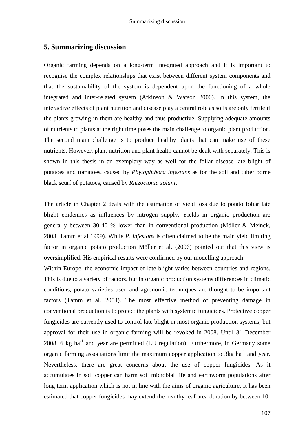## **5. Summarizing discussion**

Organic farming depends on a long-term integrated approach and it is important to recognise the complex relationships that exist between different system components and that the sustainability of the system is dependent upon the functioning of a whole integrated and inter-related system (Atkinson & Watson 2000). In this system, the interactive effects of plant nutrition and disease play a central role as soils are only fertile if the plants growing in them are healthy and thus productive. Supplying adequate amounts of nutrients to plants at the right time poses the main challenge to organic plant production. The second main challenge is to produce healthy plants that can make use of these nutrients. However, plant nutrition and plant health cannot be dealt with separately. This is shown in this thesis in an exemplary way as well for the foliar disease late blight of potatoes and tomatoes, caused by *Phytophthora infestans* as for the soil and tuber borne black scurf of potatoes, caused by *Rhizoctonia solani*.

The article in Chapter 2 deals with the estimation of yield loss due to potato foliar late blight epidemics as influences by nitrogen supply. Yields in organic production are generally between 30-40 % lower than in conventional production (Möller & Meinck, 2003, Tamm et al 1999). While *P. infestans* is often claimed to be the main yield limiting factor in organic potato production Möller et al. (2006) pointed out that this view is oversimplified. His empirical results were confirmed by our modelling approach.

Within Europe, the economic impact of late blight varies between countries and regions. This is due to a variety of factors, but in organic production systems differences in climatic conditions, potato varieties used and agronomic techniques are thought to be important factors (Tamm et al. 2004). The most effective method of preventing damage in conventional production is to protect the plants with systemic fungicides. Protective copper fungicides are currently used to control late blight in most organic production systems, but approval for their use in organic farming will be revoked in 2008. Until 31 December  $2008$ , 6 kg ha<sup>-1</sup> and year are permitted (EU regulation). Furthermore, in Germany some organic farming associations limit the maximum copper application to  $3kg$  ha<sup>-1</sup> and year. Nevertheless, there are great concerns about the use of copper fungicides. As it accumulates in soil copper can harm soil microbial life and earthworm populations after long term application which is not in line with the aims of organic agriculture. It has been estimated that copper fungicides may extend the healthy leaf area duration by between 10-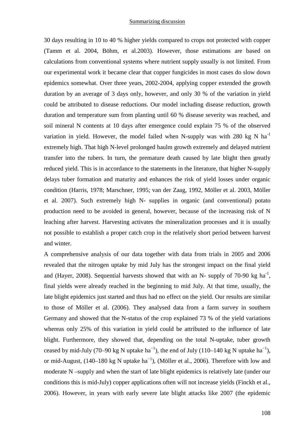30 days resulting in 10 to 40 % higher yields compared to crops not protected with copper (Tamm et al. 2004, Böhm, et al.2003). However, those estimations are based on calculations from conventional systems where nutrient supply usually is not limited. From our experimental work it became clear that copper fungicides in most cases do slow down epidemics somewhat. Over three years, 2002-2004, applying copper extended the growth duration by an average of 3 days only, however, and only 30 % of the variation in yield could be attributed to disease reductions. Our model including disease reduction, growth duration and temperature sum from planting until 60 % disease severity was reached, and soil mineral N contents at 10 days after emergence could explain 75 % of the observed variation in yield. However, the model failed when N-supply was with 280 kg N  $ha^{-1}$ extremely high. That high N-level prolonged haulm growth extremely and delayed nutrient transfer into the tubers. In turn, the premature death caused by late blight then greatly reduced yield. This is in accordance to the statements in the literature, that higher N-supply delays tuber formation and maturity and enhances the risk of yield losses under organic condition (Harris, 1978; Marschner, 1995; van der Zaag, 1992, Möller et al. 2003, Möller et al. 2007). Such extremely high N- supplies in organic (and conventional) potato production need to be avoided in general, however, because of the increasing risk of N leaching after harvest. Harvesting activates the mineralization processes and it is usually not possible to establish a proper catch crop in the relatively short period between harvest and winter.

A comprehensive analysis of our data together with data from trials in 2005 and 2006 revealed that the nitrogen uptake by mid July has the strongest impact on the final yield and (Hayer, 2008). Sequential harvests showed that with an N- supply of 70-90 kg ha<sup>-1</sup>, final yields were already reached in the beginning to mid July. At that time, usually, the late blight epidemics just started and thus had no effect on the yield. Our results are similar to those of Möller et al. (2006). They analysed data from a farm survey in southern Germany and showed that the N-status of the crop explained 73 % of the yield variations whereas only 25% of this variation in yield could be attributed to the influence of late blight. Furthermore, they showed that, depending on the total N-uptake, tuber growth ceased by mid-July (70–90 kg N uptake ha<sup>-1</sup>), the end of July (110–140 kg N uptake ha<sup>-1</sup>), or mid-August,  $(140-180 \text{ kg N})$  uptake ha<sup>-1</sup>), (Möller et al., 2006). Therefore with low and moderate N –supply and when the start of late blight epidemics is relatively late (under our conditions this is mid-July) copper applications often will not increase yields (Finckh et al., 2006). However, in years with early severe late blight attacks like 2007 (the epidemic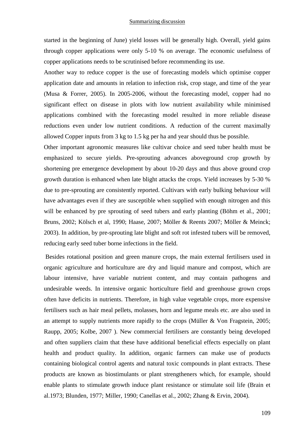started in the beginning of June) yield losses will be generally high. Overall, yield gains through copper applications were only 5-10 % on average. The economic usefulness of copper applications needs to be scrutinised before recommending its use.

Another way to reduce copper is the use of forecasting models which optimise copper application date and amounts in relation to infection risk, crop stage, and time of the year (Musa & Forrer, 2005). In 2005-2006, without the forecasting model, copper had no significant effect on disease in plots with low nutrient availability while minimised applications combined with the forecasting model resulted in more reliable disease reductions even under low nutrient conditions. A reduction of the current maximally allowed Copper inputs from 3 kg to 1.5 kg per ha and year should thus be possible.

Other important agronomic measures like cultivar choice and seed tuber health must be emphasized to secure yields. Pre-sprouting advances aboveground crop growth by shortening pre emergence development by about 10-20 days and thus above ground crop growth duration is enhanced when late blight attacks the crops. Yield increases by 5-30 % due to pre-sprouting are consistently reported. Cultivars with early bulking behaviour will have advantages even if they are susceptible when supplied with enough nitrogen and this will be enhanced by pre sprouting of seed tubers and early planting (Böhm et al., 2001; Bruns, 2002; Kölsch et al, 1990; Haase, 2007; Möller & Reents 2007; Möller & Meinck; 2003). In addition, by pre-sprouting late blight and soft rot infested tubers will be removed, reducing early seed tuber borne infections in the field.

 Besides rotational position and green manure crops, the main external fertilisers used in organic agriculture and horticulture are dry and liquid manure and compost, which are labour intensive, have variable nutrient content, and may contain pathogens and undesirable weeds. In intensive organic horticulture field and greenhouse grown crops often have deficits in nutrients. Therefore, in high value vegetable crops, more expensive fertilisers such as hair meal pellets, molasses, horn and legume meals etc. are also used in an attempt to supply nutrients more rapidly to the crops (Müller & Von Fragstein, 2005; Raupp, 2005; Kolbe, 2007 ). New commercial fertilisers are constantly being developed and often suppliers claim that these have additional beneficial effects especially on plant health and product quality. In addition, organic farmers can make use of products containing biological control agents and natural toxic compounds in plant extracts. These products are known as biostimulants or plant strengtheners which, for example, should enable plants to stimulate growth induce plant resistance or stimulate soil life (Brain et al.1973; Blunden, 1977; Miller, 1990; Canellas et al., 2002; Zhang & Ervin, 2004).

109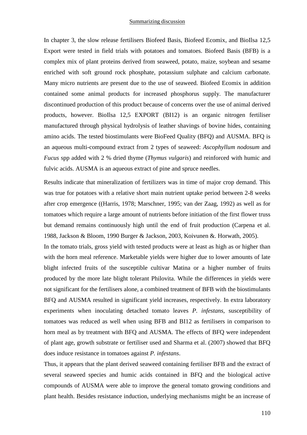In chapter 3, the slow release fertilisers Biofeed Basis, Biofeed Ecomix, and BioIlsa 12,5 Export were tested in field trials with potatoes and tomatoes. Biofeed Basis (BFB) is a complex mix of plant proteins derived from seaweed, potato, maize, soybean and sesame enriched with soft ground rock phosphate, potassium sulphate and calcium carbonate. Many micro nutrients are present due to the use of seaweed. Biofeed Ecomix in addition contained some animal products for increased phosphorus supply. The manufacturer discontinued production of this product because of concerns over the use of animal derived products, however. BioIlsa 12,5 EXPORT (BI12) is an organic nitrogen fertiliser manufactured through physical hydrolysis of leather shavings of bovine hides, containing amino acids. The tested biostimulants were BioFeed Quality (BFQ) and AUSMA. BFQ is an aqueous multi-compound extract from 2 types of seaweed: *Ascophyllum nodosum* and *Fucus* spp added with 2 % dried thyme (*Thymus vulgaris*) and reinforced with humic and fulvic acids. AUSMA is an aqueous extract of pine and spruce needles.

Results indicate that mineralization of fertilizers was in time of major crop demand. This was true for potatoes with a relative short main nutrient uptake period between 2-8 weeks after crop emergence ((Harris, 1978; Marschner, 1995; van der Zaag, 1992) as well as for tomatoes which require a large amount of nutrients before initiation of the first flower truss but demand remains continuously high until the end of fruit production (Carpena et al. 1988, Jackson & Bloom, 1990 Burger & Jackson, 2003, Koivunen &. Horwath, 2005).

In the tomato trials, gross yield with tested products were at least as high as or higher than with the horn meal reference. Marketable yields were higher due to lower amounts of late blight infected fruits of the susceptible cultivar Matina or a higher number of fruits produced by the more late blight tolerant Philovita. While the differences in yields were not significant for the fertilisers alone, a combined treatment of BFB with the biostimulants BFQ and AUSMA resulted in significant yield increases, respectively. In extra laboratory experiments when inoculating detached tomato leaves *P. infestans,* susceptibility of tomatoes was reduced as well when using BFB and BI12 as fertilisers in comparison to horn meal as by treatment with BFQ and AUSMA. The effects of BFQ were independent of plant age, growth substrate or fertiliser used and Sharma et al. (2007) showed that BFQ does induce resistance in tomatoes against *P. infestans*.

Thus, it appears that the plant derived seaweed containing fertiliser BFB and the extract of several seaweed species and humic acids contained in BFQ and the biological active compounds of AUSMA were able to improve the general tomato growing conditions and plant health. Besides resistance induction, underlying mechanisms might be an increase of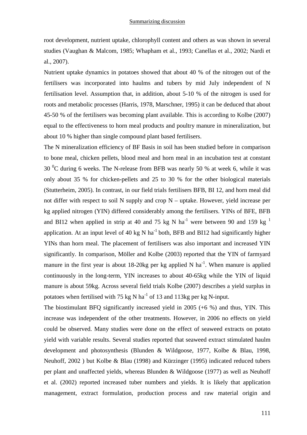root development, nutrient uptake, chlorophyll content and others as was shown in several studies (Vaughan & Malcom, 1985; Whapham et al., 1993; Canellas et al., 2002; Nardi et al., 2007).

Nutrient uptake dynamics in potatoes showed that about 40 % of the nitrogen out of the fertilisers was incorporated into haulms and tubers by mid July independent of N fertilisation level. Assumption that, in addition, about 5-10 % of the nitrogen is used for roots and metabolic processes (Harris, 1978, Marschner, 1995) it can be deduced that about 45-50 % of the fertilisers was becoming plant available. This is according to Kolbe (2007) equal to the effectiveness to horn meal products and poultry manure in mineralization, but about 10 % higher than single compound plant based fertilisers.

The N mineralization efficiency of BF Basis in soil has been studied before in comparison to bone meal, chicken pellets, blood meal and horn meal in an incubation test at constant 30  $\mathrm{^0C}$  during 6 weeks. The N-release from BFB was nearly 50 % at week 6, while it was only about 35 % for chicken-pellets and 25 to 30 % for the other biological materials (Stutterheim, 2005). In contrast, in our field trials fertilisers BFB, BI 12, and horn meal did not differ with respect to soil N supply and crop N – uptake. However, yield increase per kg applied nitrogen (YIN) differed considerably among the fertilisers. YINs of BFE, BFB and BI12 when applied in strip at 40 and 75 kg N ha<sup>-1</sup> were between 90 and 159 kg  $^1$ application. At an input level of 40 kg N ha<sup>-1</sup> both, BFB and BI12 had significantly higher YINs than horn meal. The placement of fertilisers was also important and increased YIN significantly. In comparison, Möller and Kolbe (2003) reported that the YIN of farmyard manure in the first year is about 18-20kg per kg applied N ha<sup>-1</sup>. When manure is applied continuously in the long-term, YIN increases to about 40-65kg while the YIN of liquid manure is about 59kg. Across several field trials Kolbe (2007) describes a yield surplus in potatoes when fertilised with 75 kg N ha<sup>-1</sup> of 13 and 113kg per kg N-input.

The biostimulant BFQ significantly increased yield in 2005 (+6 %) and thus, YIN. This increase was independent of the other treatments. However, in 2006 no effects on yield could be observed. Many studies were done on the effect of seaweed extracts on potato yield with variable results. Several studies reported that seaweed extract stimulated haulm development and photosynthesis (Blunden & Wildgoose, 1977, Kolbe & Blau, 1998, Neuhoff, 2002 ) but Kolbe & Blau (1998) and Kürzinger (1995) indicated reduced tubers per plant and unaffected yields, whereas Blunden & Wildgoose (1977) as well as Neuhoff et al. (2002) reported increased tuber numbers and yields. It is likely that application management, extract formulation, production process and raw material origin and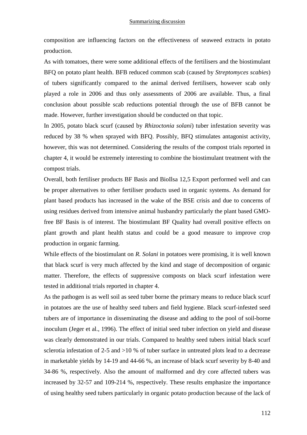composition are influencing factors on the effectiveness of seaweed extracts in potato production.

As with tomatoes, there were some additional effects of the fertilisers and the biostimulant BFQ on potato plant health. BFB reduced common scab (caused by *Streptomyces scabies*) of tubers significantly compared to the animal derived fertilisers, however scab only played a role in 2006 and thus only assessments of 2006 are available. Thus, a final conclusion about possible scab reductions potential through the use of BFB cannot be made. However, further investigation should be conducted on that topic.

In 2005, potato black scurf (caused by *Rhizoctonia solani*) tuber infestation severity was reduced by 38 % when sprayed with BFQ. Possibly, BFQ stimulates antagonist activity, however, this was not determined. Considering the results of the compost trials reported in chapter 4, it would be extremely interesting to combine the biostimulant treatment with the compost trials.

Overall, both fertiliser products BF Basis and BioIlsa 12,5 Export performed well and can be proper alternatives to other fertiliser products used in organic systems. As demand for plant based products has increased in the wake of the BSE crisis and due to concerns of using residues derived from intensive animal husbandry particularly the plant based GMOfree BF Basis is of interest. The biostimulant BF Quality had overall positive effects on plant growth and plant health status and could be a good measure to improve crop production in organic farming.

While effects of the biostimulant on *R. Solani* in potatoes were promising, it is well known that black scurf is very much affected by the kind and stage of decomposition of organic matter. Therefore, the effects of suppressive composts on black scurf infestation were tested in additional trials reported in chapter 4.

As the pathogen is as well soil as seed tuber borne the primary means to reduce black scurf in potatoes are the use of healthy seed tubers and field hygiene. Black scurf-infested seed tubers are of importance in disseminating the disease and adding to the pool of soil-borne inoculum (Jeger et al., 1996). The effect of initial seed tuber infection on yield and disease was clearly demonstrated in our trials. Compared to healthy seed tubers initial black scurf sclerotia infestation of 2-5 and >10 % of tuber surface in untreated plots lead to a decrease in marketable yields by 14-19 and 44-66 %, an increase of black scurf severity by 8-40 and 34-86 %, respectively. Also the amount of malformed and dry core affected tubers was increased by 32-57 and 109-214 %, respectively. These results emphasize the importance of using healthy seed tubers particularly in organic potato production because of the lack of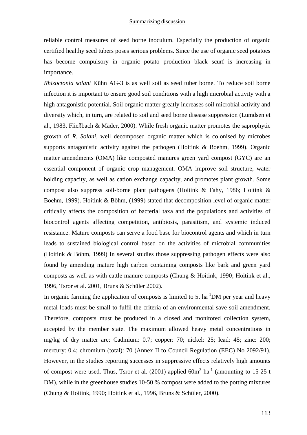reliable control measures of seed borne inoculum. Especially the production of organic certified healthy seed tubers poses serious problems. Since the use of organic seed potatoes has become compulsory in organic potato production black scurf is increasing in importance.

*Rhizoctonia solani* Kühn AG-3 is as well soil as seed tuber borne. To reduce soil borne infection it is important to ensure good soil conditions with a high microbial activity with a high antagonistic potential. Soil organic matter greatly increases soil microbial activity and diversity which, in turn, are related to soil and seed borne disease suppression (Lumdsen et al., 1983, Fließbach & Mäder, 2000). While fresh organic matter promotes the saprophytic growth of *R. Solani,* well decomposed organic matter which is colonised by microbes supports antagonistic activity against the pathogen (Hoitink & Boehm, 1999). Organic matter amendments (OMA) like composted manures green yard compost (GYC) are an essential component of organic crop management. OMA improve soil structure, water holding capacity, as well as cation exchange capacity, and promotes plant growth. Some compost also suppress soil-borne plant pathogens (Hoitink  $\&$  Fahy, 1986; Hoitink  $\&$ Boehm, 1999). Hoitink & Böhm, (1999) stated that decomposition level of organic matter critically affects the composition of bacterial taxa and the populations and activities of biocontrol agents affecting competition, antibiosis, parasitism, and systemic induced resistance. Mature composts can serve a food base for biocontrol agents and which in turn leads to sustained biological control based on the activities of microbial communities (Hoitink & Böhm, 1999) In several studies those suppressing pathogen effects were also found by amending mature high carbon containing composts like bark and green yard composts as well as with cattle manure composts (Chung & Hoitink, 1990; Hoitink et al., 1996, Tsror et al. 2001, Bruns & Schüler 2002).

In organic farming the application of composts is limited to 5t ha<sup>-1</sup>DM per year and heavy metal loads must be small to fulfil the criteria of an environmental save soil amendment. Therefore, composts must be produced in a closed and monitored collection system, accepted by the member state. The maximum allowed heavy metal concentrations in mg/kg of dry matter are: Cadmium: 0.7; copper: 70; nickel: 25; lead: 45; zinc: 200; mercury: 0.4; chromium (total): 70 (Annex II to Council Regulation (EEC) No 2092/91). However, in the studies reporting successes in suppressive effects relatively high amounts of compost were used. Thus, Tsror et al.  $(2001)$  applied  $60m<sup>3</sup>$  ha<sup>-1</sup> (amounting to 15-25 t DM), while in the greenhouse studies 10-50 % compost were added to the potting mixtures (Chung & Hoitink, 1990; Hoitink et al., 1996, Bruns & Schüler, 2000).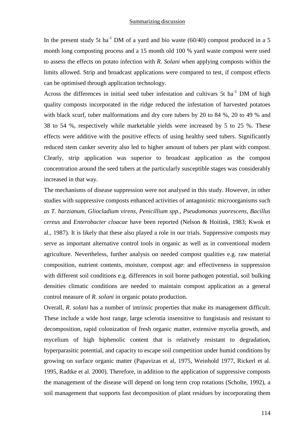In the present study 5t ha<sup>-1</sup> DM of a yard and bio waste (60/40) compost produced in a 5 month long composting process and a 15 month old 100 % yard waste compost were used to assess the effects on potato infection with *R. Solani* when applying composts within the limits allowed*.* Strip and broadcast applications were compared to test, if compost effects can be optimised through application technology.

Across the differences in initial seed tuber infestation and cultivars 5t ha<sup>-1</sup> DM of high quality composts incorporated in the ridge reduced the infestation of harvested potatoes with black scurf, tuber malformations and dry core tubers by 20 to 84 %, 20 to 49 % and 38 to 54 %, respectively while marketable yields were increased by 5 to 25 %. These effects were additive with the positive effects of using healthy seed tubers. Significantly reduced stem canker severity also led to higher amount of tubers per plant with compost. Clearly, strip application was superior to broadcast application as the compost concentration around the seed tubers at the particularly susceptible stages was considerably increased in that way.

The mechanisms of disease suppression were not analysed in this study. However, in other studies with suppressive composts enhanced activities of antagonistic microorganisms such *as T. harzianum, Gliocladium virens, Penicillium spp., Pseudomonas yuorescens, Bacillus cereus* and *Enterobacter cloacae* have been reported (Nelson & Hoitink, 1983; Kwok et al., 1987). It is likely that these also played a role in our trials. Suppressive composts may serve as important alternative control tools in organic as well as in conventional modern agriculture. Nevertheless, further analysis on needed compost qualities e.g. raw material composition, nutrient contents, moisture, compost age: and effectiveness in suppression with different soil conditions e.g. differences in soil borne pathogen potential, soil bulking densities climatic conditions are needed to maintain compost application as a general control measure of *R. solani* in organic potato production.

Overall, *R. solani* has a number of intrinsic properties that make its management difficult. These include a wide host range, large sclerotia insensitive to fungistasis and resistant to decomposition, rapid colonization of fresh organic matter, extensive mycelia growth, and mycelium of high biphenolic content that is relatively resistant to degradation, hyperparasitic potential, and capacity to escape soil competition under humid conditions by growing on surface organic matter (Papavizas et al, 1975, Weinhold 1977, Rickerl et al. 1995, Radtke et al. 2000). Therefore, in addition to the application of suppressive composts the management of the disease will depend on long term crop rotations (Scholte, 1992), a soil management that supports fast decomposition of plant residues by incorporating them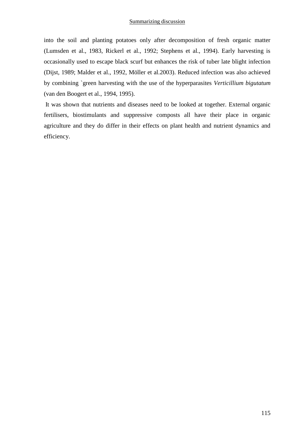into the soil and planting potatoes only after decomposition of fresh organic matter (Lumsden et al., 1983, Rickerl et al., 1992; Stephens et al., 1994). Early harvesting is occasionally used to escape black scurf but enhances the risk of tuber late blight infection (Dijst, 1989; Malder et al., 1992, Möller et al.2003). Reduced infection was also achieved by combining `green harvesting with the use of the hyperparasites *Verticillium bigutatum*  (van den Boogert et al., 1994, 1995).

 It was shown that nutrients and diseases need to be looked at together. External organic fertilisers, biostimulants and suppressive composts all have their place in organic agriculture and they do differ in their effects on plant health and nutrient dynamics and efficiency.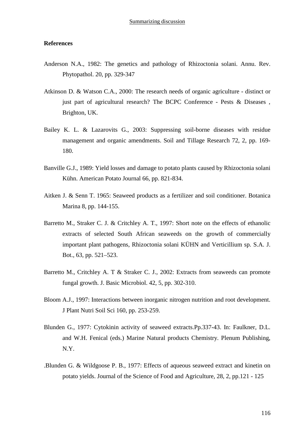#### **References**

- Anderson N.A., 1982: The genetics and pathology of Rhizoctonia solani. Annu. Rev. Phytopathol. 20, pp. 329-347
- Atkinson D. & Watson C.A., 2000: The research needs of organic agriculture distinct or just part of agricultural research? The BCPC Conference - Pests & Diseases, Brighton, UK.
- Bailey K. L. & Lazarovits G., 2003: Suppressing soil-borne diseases with residue management and organic amendments. Soil and Tillage Research 72, 2, pp. 169- 180.
- Banville G.J., 1989: Yield losses and damage to potato plants caused by Rhizoctonia solani Kühn. American Potato Journal 66, pp. 821-834.
- Aitken J. & Senn T. 1965: Seaweed products as a fertilizer and soil conditioner. Botanica Marina 8, pp. 144-155.
- Barretto M., Straker C. J. & Critchley A. T., 1997: Short note on the effects of ethanolic extracts of selected South African seaweeds on the growth of commercially important plant pathogens, Rhizoctonia solani KÜHN and Verticillium sp. S.A. J. Bot., 63, pp. 521–523.
- Barretto M., Critchley A. T & Straker C. J., 2002: Extracts from seaweeds can promote fungal growth. J. Basic Microbiol. 42, 5, pp. 302-310.
- Bloom A.J., 1997: Interactions between inorganic nitrogen nutrition and root development. J Plant Nutri Soil Sci 160, pp. 253-259.
- Blunden G., 1977: Cytokinin activity of seaweed extracts.Pp.337-43. In: Faulkner, D.L. and W.H. Fenical (eds.) Marine Natural products Chemistry. Plenum Publishing, N.Y.
- .Blunden G. & Wildgoose P. B., 1977: Effects of aqueous seaweed extract and kinetin on potato yields. Journal of the Science of Food and Agriculture, 28, 2, pp.121 - 125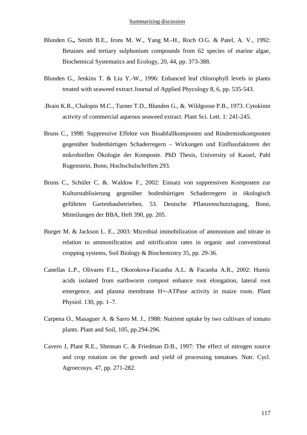- Blunden G**.,** Smith B.E., Irons M. W., Yang M.-H., Roch O.G. & Patel, A. V., 1992: Betaines and tertiary sulphonium compounds from 62 species of marine algae, Biochemical Systematics and Ecology, 20, 44, pp. 373-388.
- Blunden G., Jenkins T. & Liu Y.-W., 1996: Enhanced leaf chlorophyll levels in plants treated with seaweed extract Journal of Applied Phycology 8, 6, pp. 535-543.
- .Brain K.R., Chalopin M.C., Turner T.D., Blunden G., &. Wildgoose P.B., 1973. Cytokinin activity of commercial aqueous seaweed extract. Plant Sci. Lett. 1: 241-245.
- Bruns C., 1998: Suppressive Effekte von Bioabfallkomposten und Rindermistkomposten gegenüber bodenbürtigen Schaderregern – Wirkungen und Einflussfaktoren der mikrobiellen Ökologie der Komposte. PhD Thesis, University of Kassel, Pahl Rugenstein, Bonn, Hochschulschriften 293.
- Bruns C., Schüler C. &. Waldow F., 2002: Einsatz von suppressiven Komposten zur Kulturstablisierung gegenüber bodenbürtigen Schaderregern in ökologisch geführten Gartenbaubetrieben, 53. Deutsche Pflanzenschutztagung, Bonn, Mitteilungen der BBA, Heft 390, pp. 205.
- Burger M. & Jackson L. E., 2003: Microbial immobilization of ammonium and nitrate in relation to ammonification and nitrification rates in organic and conventional cropping systems, Soil Biology & Biochemistry 35, pp. 29-36.
- Canellas L.P., Olivares F.L., Okorokova-Facanha A.L. & Facanha A.R., 2002: Humic acids isolated from earthworm compost enhance root elongation, lateral root emergence, and plasma membrane H+-ATPase activity in maize roots. Plant Physiol. 130, pp. 1–7.
- Carpena O., Masaguer A. & Sarro M. J., 1988: Nutrient uptake by two cultivars of tomato plants. Plant and Soil, 105, pp.294-296.
- Cavero J, Plant R.E., Shennan C. & Friedman D.B., 1997: The effect of nitrogen source and crop rotation on the growth and yield of processing tomatoes. Nutr. Cycl. Agroecosys. 47, pp. 271-282.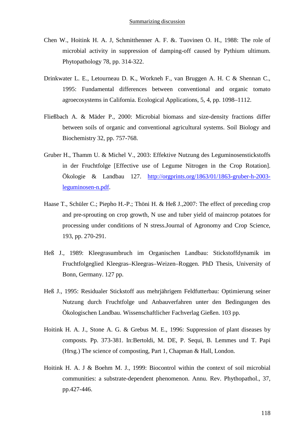- Chen W., Hoitink H. A. J, Schmitthenner A. F. &. Tuovinen O. H., 1988: The role of microbial activity in suppression of damping-off caused by Pythium ultimum. Phytopathology 78, pp. 314-322.
- Drinkwater L. E., Letourneau D. K., Workneh F., van Bruggen A. H. C & Shennan C., 1995: Fundamental differences between conventional and organic tomato agroecosystems in California. Ecological Applications, 5, 4, pp. 1098–1112.
- Fließbach A. & Mäder P., 2000: Microbial biomass and size-density fractions differ between soils of organic and conventional agricultural systems. Soil Biology and Biochemistry 32, pp. 757-768.
- Gruber H., Thamm U. & Michel V., 2003: Effektive Nutzung des Leguminosenstickstoffs in der Fruchtfolge [Effective use of Legume Nitrogen in the Crop Rotation]. Ökologie & Landbau 127. http://orgprints.org/1863/01/1863-gruber-h-2003 leguminosen-n.pdf.
- Haase T., Schüler C.; Piepho H.-P.; Thöni H. & Heß J., 2007: The effect of preceding crop and pre-sprouting on crop growth, N use and tuber yield of maincrop potatoes for processing under conditions of N stress.Journal of Agronomy and Crop Science, 193, pp. 270-291.
- Heß J., 1989: Kleegrasumbruch im Organischen Landbau: Stickstoffdynamik im Fruchtfolgeglied Kleegras–Kleegras–Weizen–Roggen. PhD Thesis, University of Bonn, Germany. 127 pp.
- Heß J., 1995: Residualer Stickstoff aus mehrjährigem Feldfutterbau: Optimierung seiner Nutzung durch Fruchtfolge und Anbauverfahren unter den Bedingungen des Ökologischen Landbau. Wissenschaftlicher Fachverlag Gießen. 103 pp.
- Hoitink H. A. J., Stone A. G. & Grebus M. E., 1996: Suppression of plant diseases by composts. Pp. 373-381. In:Bertoldi, M. DE, P. Sequi, B. Lemmes und T. Papi (Hrsg.) The science of composting, Part 1, Chapman & Hall, London.
- Hoitink H. A. J & Boehm M. J., 1999: Biocontrol within the context of soil microbial communities: a substrate-dependent phenomenon. Annu. Rev. Phythopathol., 37, pp.427-446.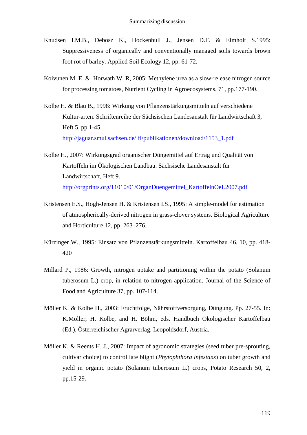- Knudsen I.M.B., Debosz K., Hockenhull J., Jensen D.F. & Elmholt S.1995: Suppressiveness of organically and conventionally managed soils towards brown foot rot of barley. Applied Soil Ecology 12, pp. 61-72.
- Koivunen M. E. &. Horwath W. R, 2005: Methylene urea as a slow-release nitrogen source for processing tomatoes, Nutrient Cycling in Agroecosystems, 71, pp.177-190.
- Kolbe H. & Blau B., 1998: Wirkung von Pflanzenstärkungsmitteln auf verschiedene Kultur-arten. Schriftenreihe der Sächsischen Landesanstalt für Landwirtschaft 3, Heft 5, pp.1-45. http://jaguar.smul.sachsen.de/lfl/publikationen/download/1153\_1.pdf
- Kolbe H., 2007: Wirkungsgrad organischer Düngemittel auf Ertrag und Qualität von Kartoffeln im Ökologischen Landbau. Sächsische Landesanstalt für Landwirtschaft, Heft 9. http://orgprints.org/11010/01/OrganDuengemittel\_KartoffelnOeL2007.pdf
- Kristensen E.S., Hogh-Jensen H. & Kristensen I.S., 1995: A simple-model for estimation of atmospherically-derived nitrogen in grass-clover systems. Biological Agriculture and Horticulture 12, pp. 263–276.
- Kürzinger W., 1995: Einsatz von Pflanzenstärkungsmitteln. Kartoffelbau 46, 10, pp. 418- 420
- Millard P., 1986: Growth, nitrogen uptake and partitioning within the potato (Solanum tuberosum L.) crop, in relation to nitrogen application. Journal of the Science of Food and Agriculture 37, pp. 107-114.
- Möller K. & Kolbe H., 2003: Fruchtfolge, Nährstoffversorgung, Düngung. Pp. 27-55. In: K.Möller, H. Kolbe, and H. Böhm, eds. Handbuch Ökologischer Kartoffelbau (Ed.). Österreichischer Agrarverlag. Leopoldsdorf, Austria.
- Möller K. & Reents H. J., 2007: Impact of agronomic strategies (seed tuber pre-sprouting, cultivar choice) to control late blight (*Phytophthora infestans*) on tuber growth and yield in organic potato (Solanum tuberosum L.) crops, Potato Research 50, 2, pp.15-29.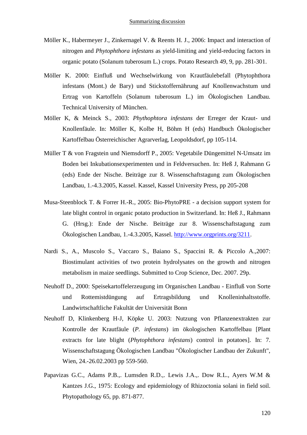- Möller K., Habermeyer J., Zinkernagel V. & Reents H. J., 2006: Impact and interaction of nitrogen and *Phytophthora infestans* as yield-limiting and yield-reducing factors in organic potato (Solanum tuberosum L.) crops. Potato Research 49, 9, pp. 281-301.
- Möller K. 2000: Einfluß und Wechselwirkung von Krautfäulebefall (Phytophthora infestans (Mont.) de Bary) und Stickstoffernährung auf Knollenwachstum und Ertrag von Kartoffeln (Solanum tuberosum L.) im Ökologischen Landbau. Technical University of München.
- Möller K, & Meinck S., 2003: *Phythophtora infestans* der Erreger der Kraut- und Knollenfäule. In: Möller K, Kolbe H, Böhm H (eds) Handbuch Ökologischer Kartoffelbau Österreichischer Agrarverlag, Leopoldsdorf, pp 105-114.
- Müller T & von Fragstein und Niemsdorff P., 2005: Vegetabile Düngemittel N-Umsatz im Boden bei Inkubationsexperimenten und in Feldversuchen. In: Heß J, Rahmann G (eds) Ende der Nische. Beiträge zur 8. Wissenschaftstagung zum Ökologischen Landbau, 1.-4.3.2005, Kassel. Kassel, Kassel University Press, pp 205-208
- Musa-Steenblock T. & Forrer H.-R., 2005: Bio-PhytoPRE a decision support system for late blight control in organic potato production in Switzerland. In: Heß J., Rahmann G. (Hrsg.): Ende der Nische. Beiträge zur 8. Wissenschaftstagung zum Ökologischen Landbau, 1.-4.3.2005, Kassel. http://www.orgprints.org/3211.
- Nardi S., A., Muscolo S., Vaccaro S., Baiano S., Spaccini R. & Piccolo A.,2007: Biostimulant activities of two protein hydrolysates on the growth and nitrogen metabolism in maize seedlings. Submitted to Crop Science, Dec. 2007. 29p.
- Neuhoff D., 2000: Speisekartoffelerzeugung im Organischen Landbau Einfluß von Sorte und Rottemistdüngung auf Ertragsbildung und Knolleninhaltsstoffe. Landwirtschaftliche Fakultät der Universität Bonn
- Neuhoff D, Klinkenberg H-J, Köpke U. 2003: Nutzung von Pflanzenextrakten zur Kontrolle der Krautfäule (*P. infestans*) im ökologischen Kartoffelbau [Plant extracts for late blight (*Phytophthora infestans*) control in potatoes]. In: 7. Wissenschaftstagung Ökologischen Landbau "Ökologischer Landbau der Zukunft", Wien, 24.-26.02.2003 pp 559-560.
- Papavizas G.C., Adams P.B.,. Lumsden R.D.,. Lewis J.A.,. Dow R.L., Ayers W.M & Kantzes J.G., 1975: Ecology and epidemiology of Rhizoctonia solani in field soil. Phytopathology 65, pp. 871-877.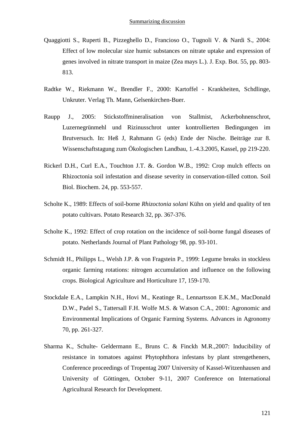- Quaggiotti S., Ruperti B., Pizzeghello D., Francioso O., Tugnoli V. & Nardi S., 2004: Effect of low molecular size humic substances on nitrate uptake and expression of genes involved in nitrate transport in maize (Zea mays L.). J. Exp. Bot. 55, pp. 803- 813.
- Radtke W., Riekmann W., Brendler F., 2000: Kartoffel Krankheiten, Schdlinge, Unkruter. Verlag Th. Mann, Gelsenkirchen-Buer.
- Raupp J., 2005: Stickstoffmineralisation von Stallmist, Ackerbohnenschrot, Luzernegrünmehl und Rizinusschrot unter kontrollierten Bedingungen im Brutversuch. In: Heß J, Rahmann G (eds) Ende der Nische. Beiträge zur 8. Wissenschaftstagung zum Ökologischen Landbau, 1.-4.3.2005, Kassel, pp 219-220.
- Rickerl D.H., Curl E.A., Touchton J.T. &. Gordon W.B., 1992: Crop mulch effects on Rhizoctonia soil infestation and disease severity in conservation-tilled cotton. Soil Biol. Biochem. 24, pp. 553-557.
- Scholte K., 1989: Effects of soil-borne *Rhizoctonia solani* Kühn on yield and quality of ten potato cultivars. Potato Research 32, pp. 367-376.
- Scholte K., 1992: Effect of crop rotation on the incidence of soil-borne fungal diseases of potato. Netherlands Journal of Plant Pathology 98, pp. 93-101.
- Schmidt H., Philipps L., Welsh J.P. & von Fragstein P., 1999: Legume breaks in stockless organic farming rotations: nitrogen accumulation and influence on the following crops. Biological Agriculture and Horticulture 17, 159-170.
- Stockdale E.A., Lampkin N.H., Hovi M., Keatinge R., Lennartsson E.K.M., MacDonald D.W., Padel S., Tattersall F.H. Wolfe M.S. & Watson C.A., 2001: Agronomic and Environmental Implications of Organic Farming Systems. Advances in Agronomy 70, pp. 261-327.
- Sharma K., Schulte- Geldermann E., Bruns C. & Finckh M.R.,2007: Inducibility of resistance in tomatoes against Phytophthora infestans by plant strengetheners, Conference proceedings of Tropentag 2007 University of Kassel-Witzenhausen and University of Göttingen, October 9-11, 2007 Conference on International Agricultural Research for Development.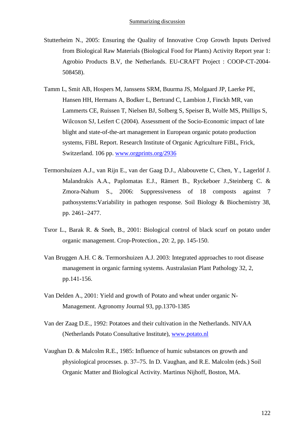- Stutterheim N., 2005: Ensuring the Quality of Innovative Crop Growth Inputs Derived from Biological Raw Materials (Biological Food for Plants) Activity Report year 1: Agrobio Products B.V, the Netherlands. EU-CRAFT Project : COOP-CT-2004- 508458).
- Tamm L, Smit AB, Hospers M, Janssens SRM, Buurma JS, Molgaard JP, Laerke PE, Hansen HH, Hermans A, Bodker L, Bertrand C, Lambion J, Finckh MR, van Lammerts CE, Ruissen T, Nielsen BJ, Solberg S, Speiser B, Wolfe MS, Phillips S, Wilcoxon SJ, Leifert C (2004). Assessment of the Socio-Economic impact of late blight and state-of-the-art management in European organic potato production systems, FiBL Report. Research Institute of Organic Agriculture FiBL, Frick, Switzerland. 106 pp. www.orgprints.org/2936
- Termorshuizen A.J., van Rijn E., van der Gaag D.J., Alabouvette C, Chen, Y., Lagerlöf J. Malandrakis A.A., Paplomatas E.J., Rämert B., Ryckeboer J.,Steinberg C. & Zmora-Nahum S., 2006: Suppressiveness of 18 composts against 7 pathosystems:Variability in pathogen response. Soil Biology & Biochemistry 38, pp. 2461–2477.
- Tsror L., Barak R. & Sneh, B., 2001: Biological control of black scurf on potato under organic management. Crop-Protection., 20: 2, pp. 145-150.
- Van Bruggen A.H. C &. Termorshuizen A.J. 2003: Integrated approaches to root disease management in organic farming systems. Australasian Plant Pathology 32, 2, pp.141-156.
- Van Delden A., 2001: Yield and growth of Potato and wheat under organic N-Management. Agronomy Journal 93, pp.1370-1385
- Van der Zaag D.E., 1992: Potatoes and their cultivation in the Netherlands. NIVAA (Netherlands Potato Consultative Institute), www.potato.nl
- Vaughan D. & Malcolm R.E., 1985: Influence of humic substances on growth and physiological processes. p. 37–75. In D. Vaughan, and R.E. Malcolm (eds.) Soil Organic Matter and Biological Activity. Martinus Nijhoff, Boston, MA.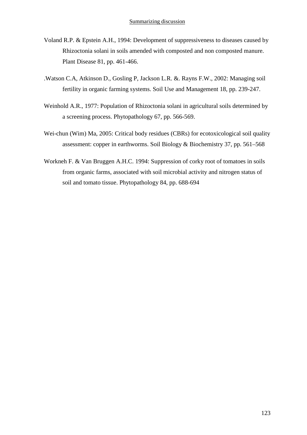- Voland R.P. & Epstein A.H., 1994: Development of suppressiveness to diseases caused by Rhizoctonia solani in soils amended with composted and non composted manure. Plant Disease 81, pp. 461-466.
- .Watson C.A, Atkinson D., Gosling P, Jackson L.R. &. Rayns F.W., 2002: Managing soil fertility in organic farming systems. Soil Use and Management 18, pp. 239-247.
- Weinhold A.R., 1977: Population of Rhizoctonia solani in agricultural soils determined by a screening process. Phytopathology 67, pp. 566-569.
- Wei-chun (Wim) Ma, 2005: Critical body residues (CBRs) for ecotoxicological soil quality assessment: copper in earthworms. Soil Biology & Biochemistry 37, pp. 561–568
- Workneh F. & Van Bruggen A.H.C. 1994: Suppression of corky root of tomatoes in soils from organic farms, associated with soil microbial activity and nitrogen status of soil and tomato tissue. Phytopathology 84, pp. 688-694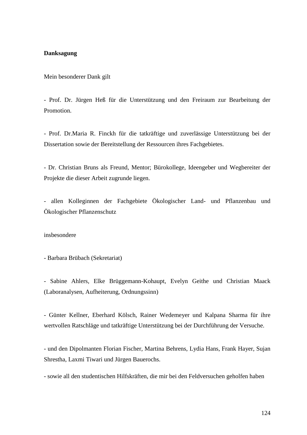## **Danksagung**

Mein besonderer Dank gilt

- Prof. Dr. Jürgen Heß für die Unterstützung und den Freiraum zur Bearbeitung der Promotion.

- Prof. Dr.Maria R. Finckh für die tatkräftige und zuverlässige Unterstützung bei der Dissertation sowie der Bereitstellung der Ressourcen ihres Fachgebietes.

- Dr. Christian Bruns als Freund, Mentor; Bürokollege, Ideengeber und Wegbereiter der Projekte die dieser Arbeit zugrunde liegen.

- allen Kolleginnen der Fachgebiete Ökologischer Land- und Pflanzenbau und Ökologischer Pflanzenschutz

insbesondere

- Barbara Brübach (Sekretariat)

- Sabine Ahlers, Elke Brüggemann-Kohaupt, Evelyn Geithe und Christian Maack (Laboranalysen, Aufheiterung, Ordnungssinn)

- Günter Kellner, Eberhard Kölsch, Rainer Wedemeyer und Kalpana Sharma für ihre wertvollen Ratschläge und tatkräftige Unterstützung bei der Durchführung der Versuche.

- und den Dipolmanten Florian Fischer, Martina Behrens, Lydia Hans, Frank Hayer, Sujan Shrestha, Laxmi Tiwari und Jürgen Bauerochs.

- sowie all den studentischen Hilfskräften, die mir bei den Feldversuchen geholfen haben